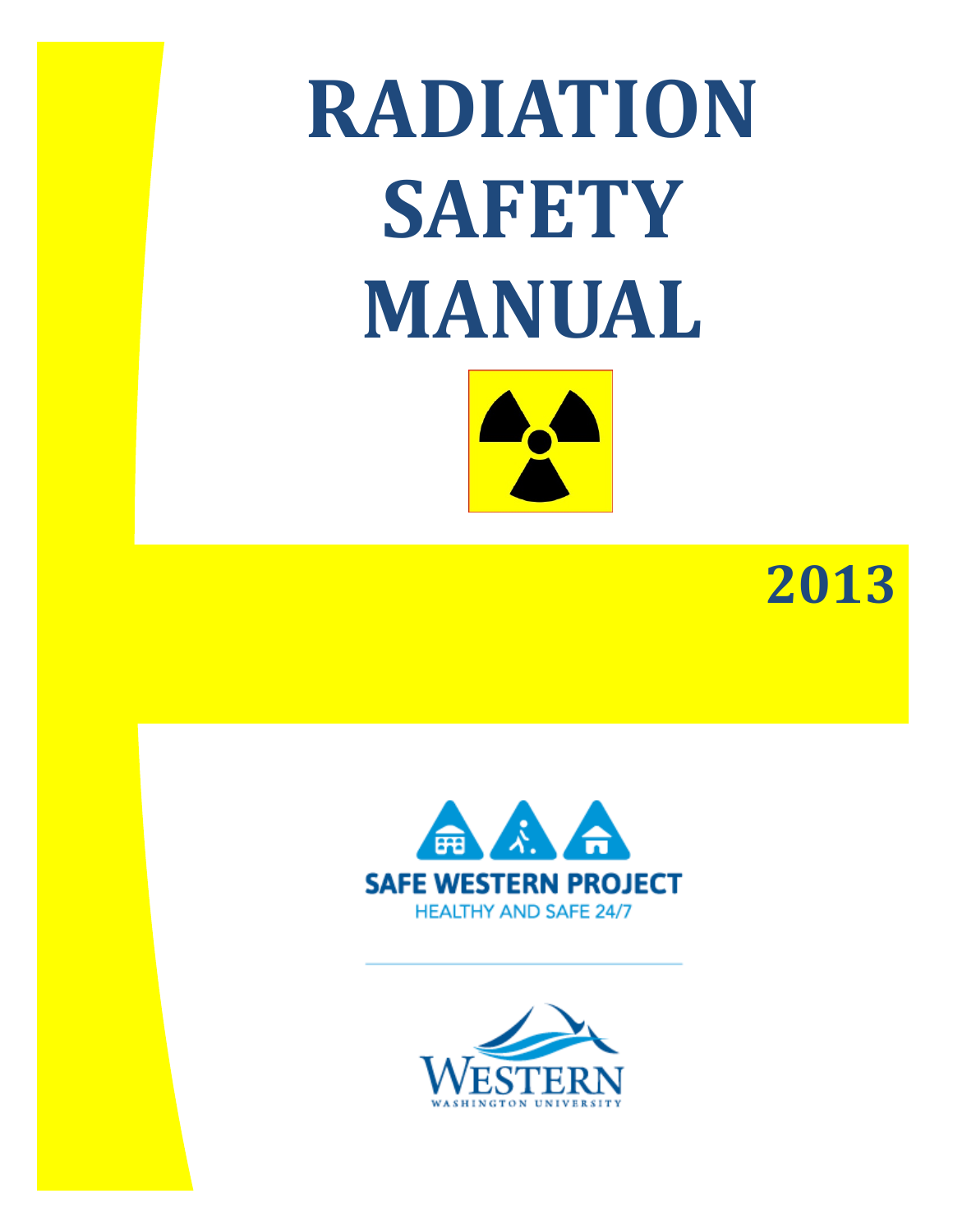**RADIATION SAFETY MANUAL**

 **2013**



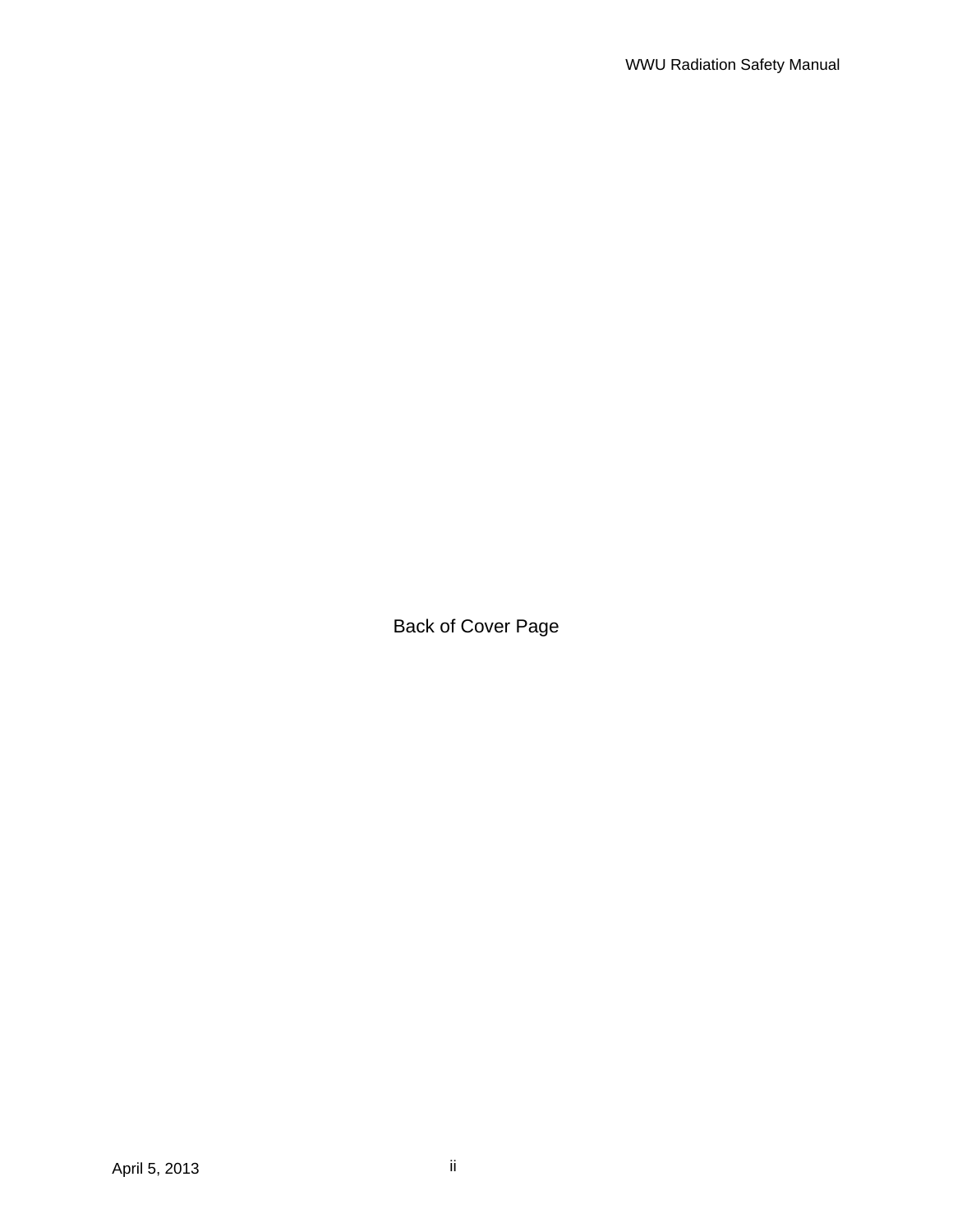Back of Cover Page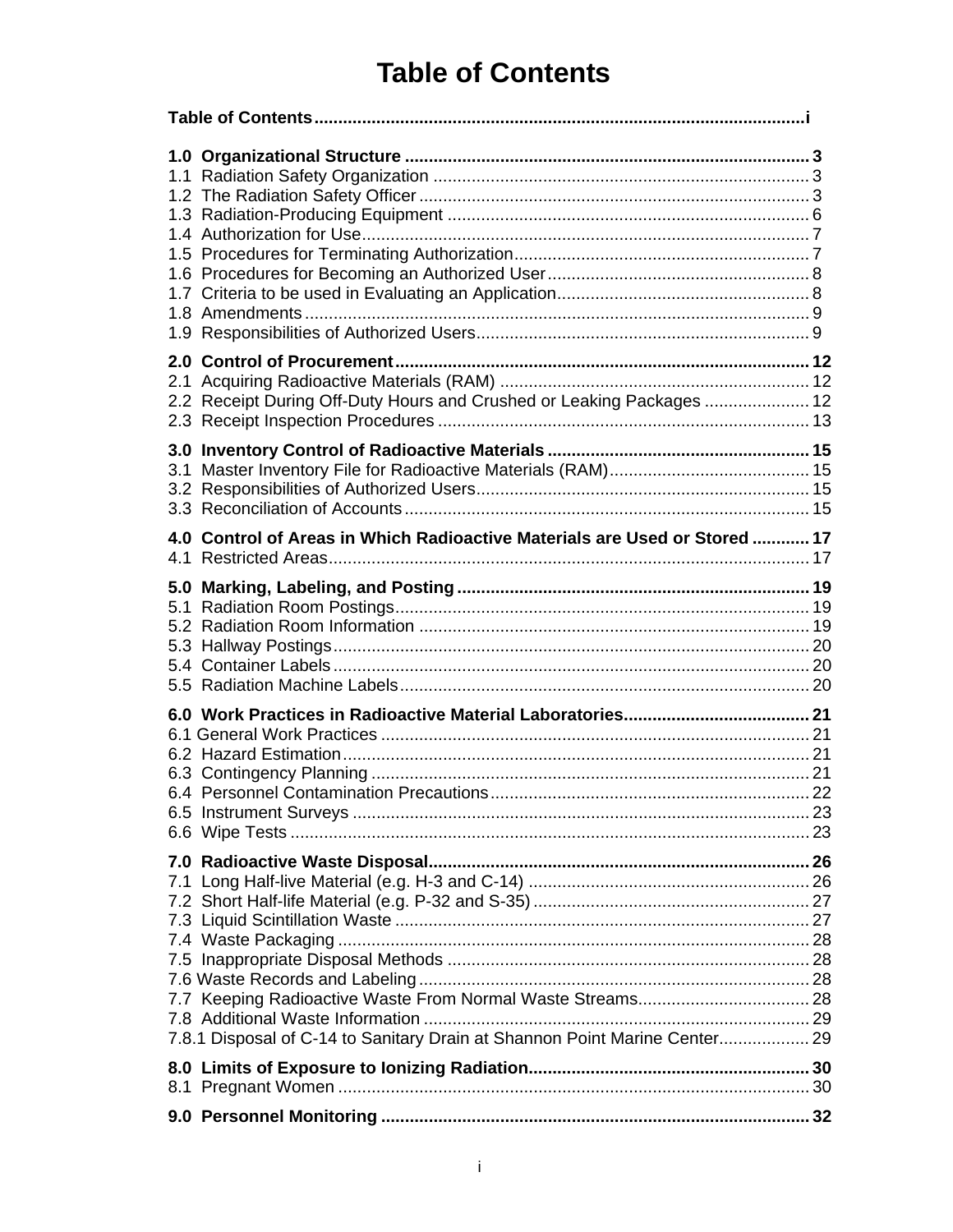# **Table of Contents**

|  | 2.2 Receipt During Off-Duty Hours and Crushed or Leaking Packages  12      |  |
|--|----------------------------------------------------------------------------|--|
|  |                                                                            |  |
|  | 4.0 Control of Areas in Which Radioactive Materials are Used or Stored  17 |  |
|  |                                                                            |  |
|  |                                                                            |  |
|  | 7.8.1 Disposal of C-14 to Sanitary Drain at Shannon Point Marine Center 29 |  |
|  |                                                                            |  |
|  |                                                                            |  |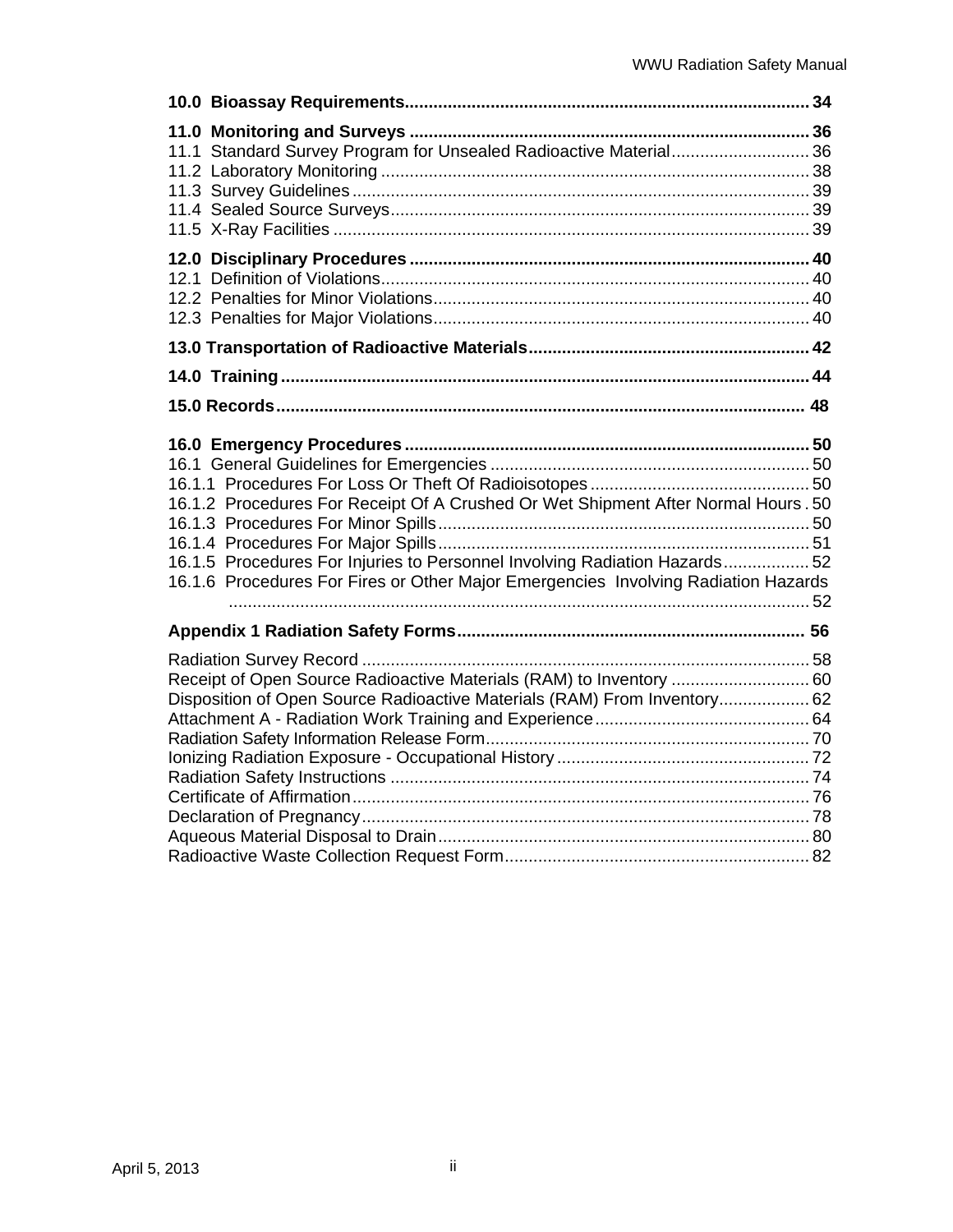| 11.1 Standard Survey Program for Unsealed Radioactive Material 36                                                                                                                                                                                     |  |
|-------------------------------------------------------------------------------------------------------------------------------------------------------------------------------------------------------------------------------------------------------|--|
|                                                                                                                                                                                                                                                       |  |
|                                                                                                                                                                                                                                                       |  |
|                                                                                                                                                                                                                                                       |  |
|                                                                                                                                                                                                                                                       |  |
| 16.1.2 Procedures For Receipt Of A Crushed Or Wet Shipment After Normal Hours . 50<br>16.1.5 Procedures For Injuries to Personnel Involving Radiation Hazards52<br>16.1.6 Procedures For Fires or Other Major Emergencies Involving Radiation Hazards |  |
|                                                                                                                                                                                                                                                       |  |
| Receipt of Open Source Radioactive Materials (RAM) to Inventory  60<br>Disposition of Open Source Radioactive Materials (RAM) From Inventory 62                                                                                                       |  |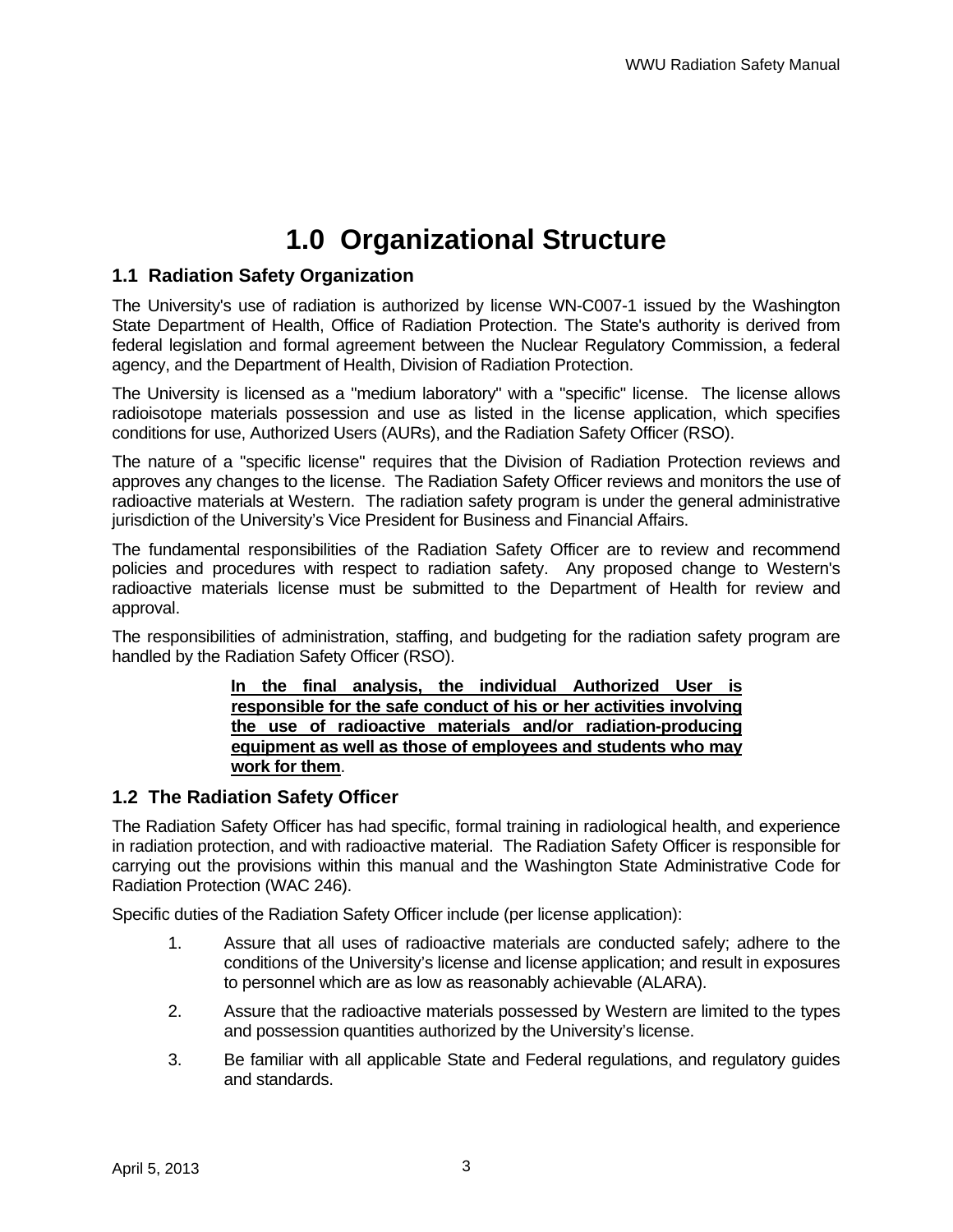# **1.0 Organizational Structure**

### **1.1 Radiation Safety Organization**

The University's use of radiation is authorized by license WN-C007-1 issued by the Washington State Department of Health, Office of Radiation Protection. The State's authority is derived from federal legislation and formal agreement between the Nuclear Regulatory Commission, a federal agency, and the Department of Health, Division of Radiation Protection.

The University is licensed as a "medium laboratory" with a "specific" license. The license allows radioisotope materials possession and use as listed in the license application, which specifies conditions for use, Authorized Users (AURs), and the Radiation Safety Officer (RSO).

The nature of a "specific license" requires that the Division of Radiation Protection reviews and approves any changes to the license. The Radiation Safety Officer reviews and monitors the use of radioactive materials at Western. The radiation safety program is under the general administrative jurisdiction of the University's Vice President for Business and Financial Affairs.

The fundamental responsibilities of the Radiation Safety Officer are to review and recommend policies and procedures with respect to radiation safety. Any proposed change to Western's radioactive materials license must be submitted to the Department of Health for review and approval.

The responsibilities of administration, staffing, and budgeting for the radiation safety program are handled by the Radiation Safety Officer (RSO).

#### **In the final analysis, the individual Authorized User is responsible for the safe conduct of his or her activities involving the use of radioactive materials and/or radiation-producing equipment as well as those of employees and students who may work for them**.

### **1.2 The Radiation Safety Officer**

The Radiation Safety Officer has had specific, formal training in radiological health, and experience in radiation protection, and with radioactive material. The Radiation Safety Officer is responsible for carrying out the provisions within this manual and the Washington State Administrative Code for Radiation Protection (WAC 246).

Specific duties of the Radiation Safety Officer include (per license application):

- 1. Assure that all uses of radioactive materials are conducted safely; adhere to the conditions of the University's license and license application; and result in exposures to personnel which are as low as reasonably achievable (ALARA).
- 2. Assure that the radioactive materials possessed by Western are limited to the types and possession quantities authorized by the University's license.
- 3. Be familiar with all applicable State and Federal regulations, and regulatory guides and standards.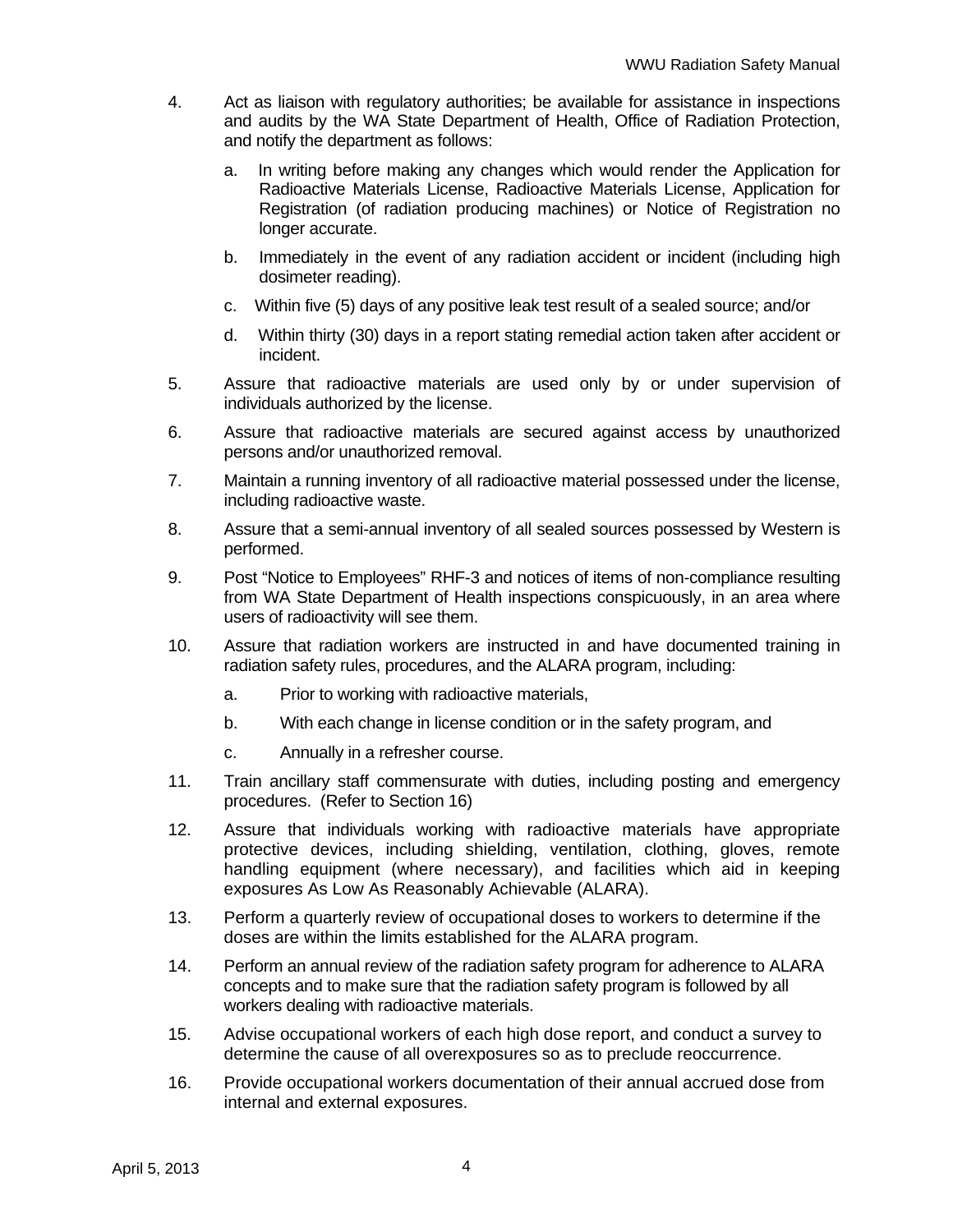- 4. Act as liaison with regulatory authorities; be available for assistance in inspections and audits by the WA State Department of Health, Office of Radiation Protection, and notify the department as follows:
	- a. In writing before making any changes which would render the Application for Radioactive Materials License, Radioactive Materials License, Application for Registration (of radiation producing machines) or Notice of Registration no longer accurate.
	- b. Immediately in the event of any radiation accident or incident (including high dosimeter reading).
	- c. Within five (5) days of any positive leak test result of a sealed source; and/or
	- d. Within thirty (30) days in a report stating remedial action taken after accident or incident.
- 5. Assure that radioactive materials are used only by or under supervision of individuals authorized by the license.
- 6. Assure that radioactive materials are secured against access by unauthorized persons and/or unauthorized removal.
- 7. Maintain a running inventory of all radioactive material possessed under the license, including radioactive waste.
- 8. Assure that a semi-annual inventory of all sealed sources possessed by Western is performed.
- 9. Post "Notice to Employees" RHF-3 and notices of items of non-compliance resulting from WA State Department of Health inspections conspicuously, in an area where users of radioactivity will see them.
- 10. Assure that radiation workers are instructed in and have documented training in radiation safety rules, procedures, and the ALARA program, including:
	- a. Prior to working with radioactive materials,
	- b. With each change in license condition or in the safety program, and
	- c. Annually in a refresher course.
- 11. Train ancillary staff commensurate with duties, including posting and emergency procedures. (Refer to Section 16)
- 12. Assure that individuals working with radioactive materials have appropriate protective devices, including shielding, ventilation, clothing, gloves, remote handling equipment (where necessary), and facilities which aid in keeping exposures As Low As Reasonably Achievable (ALARA).
- 13. Perform a quarterly review of occupational doses to workers to determine if the doses are within the limits established for the ALARA program.
- 14. Perform an annual review of the radiation safety program for adherence to ALARA concepts and to make sure that the radiation safety program is followed by all workers dealing with radioactive materials.
- 15. Advise occupational workers of each high dose report, and conduct a survey to determine the cause of all overexposures so as to preclude reoccurrence.
- 16. Provide occupational workers documentation of their annual accrued dose from internal and external exposures.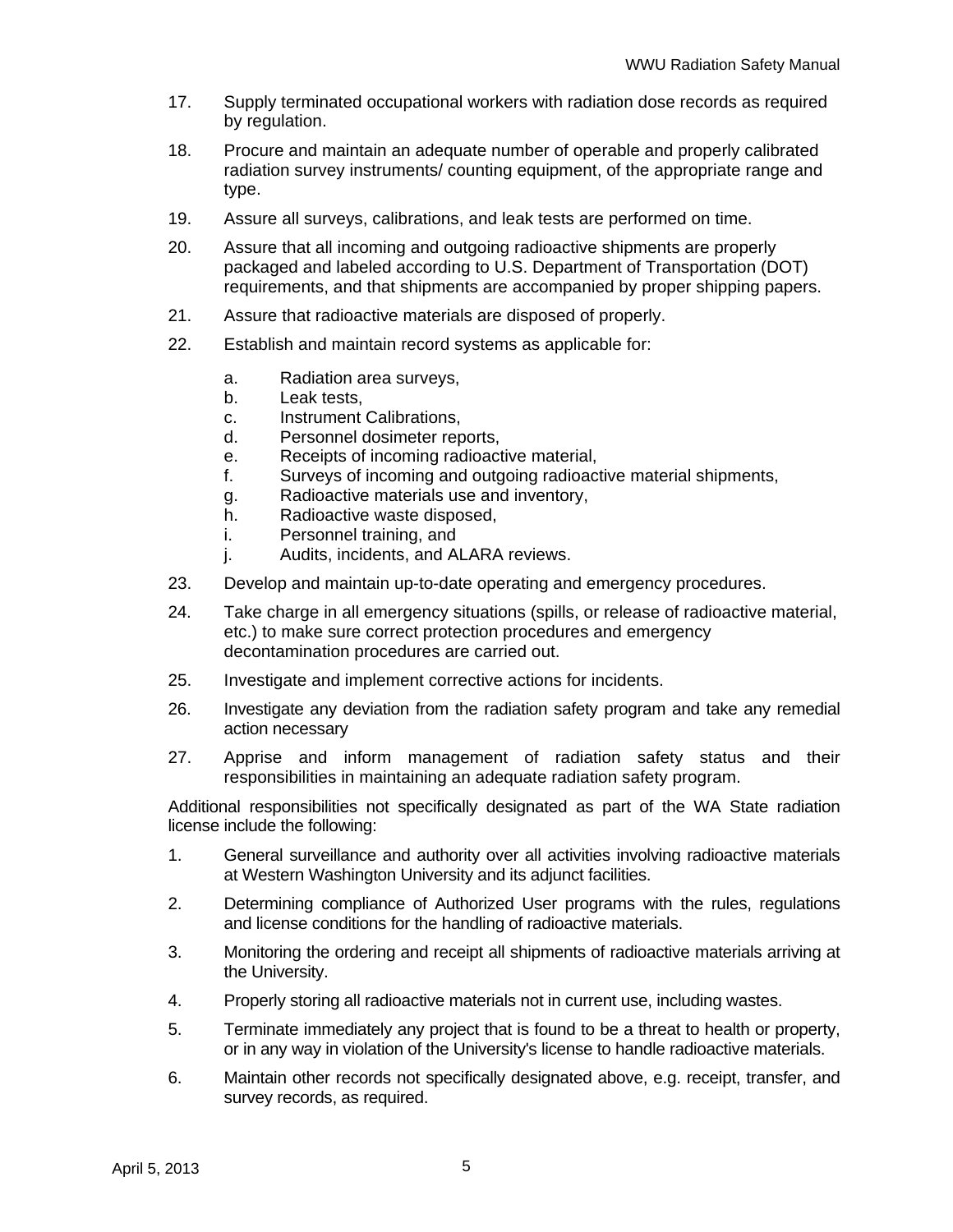- 17. Supply terminated occupational workers with radiation dose records as required by regulation.
- 18. Procure and maintain an adequate number of operable and properly calibrated radiation survey instruments/ counting equipment, of the appropriate range and type.
- 19. Assure all surveys, calibrations, and leak tests are performed on time.
- 20. Assure that all incoming and outgoing radioactive shipments are properly packaged and labeled according to U.S. Department of Transportation (DOT) requirements, and that shipments are accompanied by proper shipping papers.
- 21. Assure that radioactive materials are disposed of properly.
- 22. Establish and maintain record systems as applicable for:
	- a. Radiation area surveys,
	- b. Leak tests,
	- c. Instrument Calibrations,
	- d. Personnel dosimeter reports,
	- e. Receipts of incoming radioactive material,
	- f. Surveys of incoming and outgoing radioactive material shipments,
	- g. Radioactive materials use and inventory,
	- h. Radioactive waste disposed,
	- i. Personnel training, and
	- j. Audits, incidents, and ALARA reviews.
- 23. Develop and maintain up-to-date operating and emergency procedures.
- 24. Take charge in all emergency situations (spills, or release of radioactive material, etc.) to make sure correct protection procedures and emergency decontamination procedures are carried out.
- 25. Investigate and implement corrective actions for incidents.
- 26. Investigate any deviation from the radiation safety program and take any remedial action necessary
- 27. Apprise and inform management of radiation safety status and their responsibilities in maintaining an adequate radiation safety program.

Additional responsibilities not specifically designated as part of the WA State radiation license include the following:

- 1. General surveillance and authority over all activities involving radioactive materials at Western Washington University and its adjunct facilities.
- 2. Determining compliance of Authorized User programs with the rules, regulations and license conditions for the handling of radioactive materials.
- 3. Monitoring the ordering and receipt all shipments of radioactive materials arriving at the University.
- 4. Properly storing all radioactive materials not in current use, including wastes.
- 5. Terminate immediately any project that is found to be a threat to health or property, or in any way in violation of the University's license to handle radioactive materials.
- 6. Maintain other records not specifically designated above, e.g. receipt, transfer, and survey records, as required.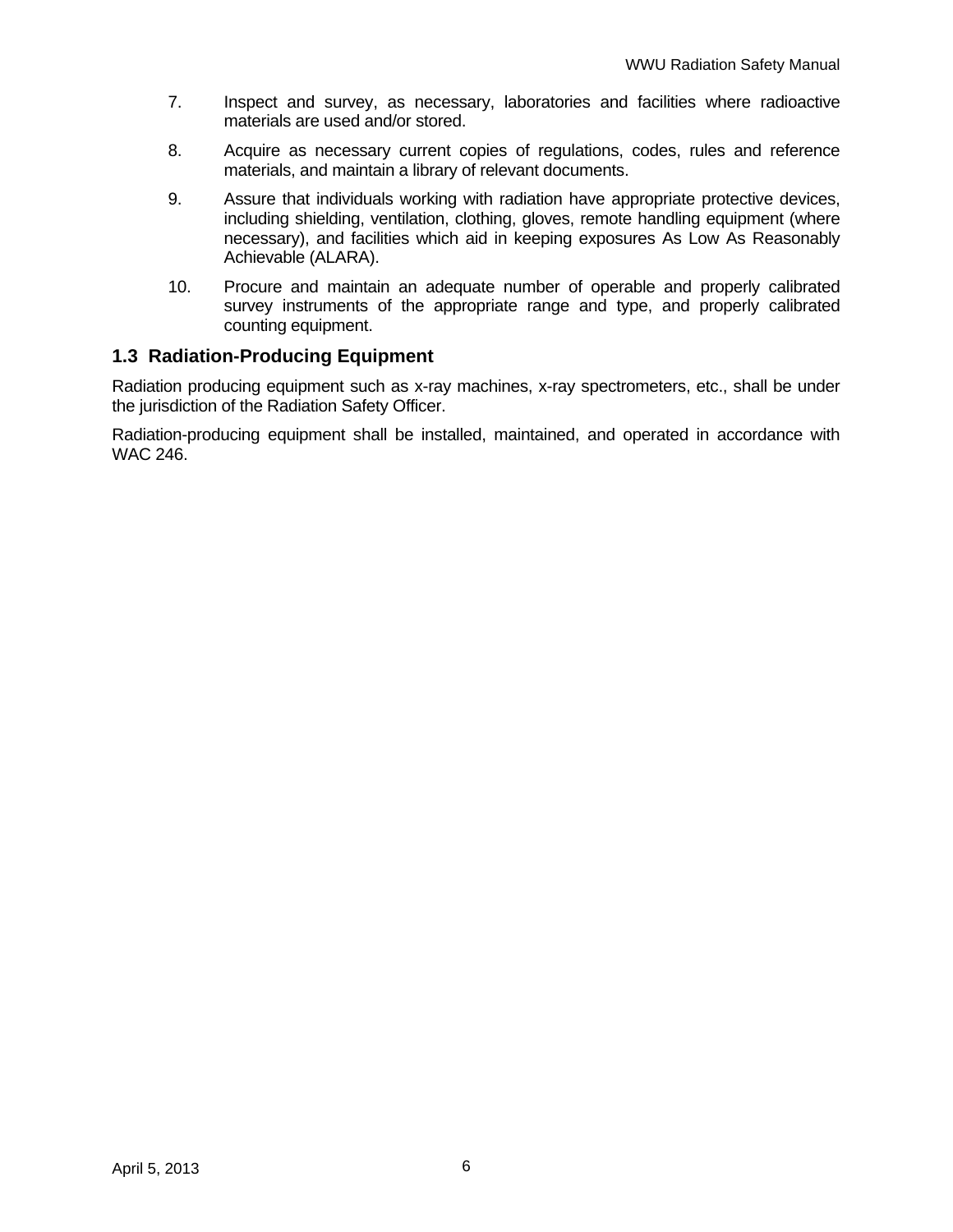- 7. Inspect and survey, as necessary, laboratories and facilities where radioactive materials are used and/or stored.
- 8. Acquire as necessary current copies of regulations, codes, rules and reference materials, and maintain a library of relevant documents.
- 9. Assure that individuals working with radiation have appropriate protective devices, including shielding, ventilation, clothing, gloves, remote handling equipment (where necessary), and facilities which aid in keeping exposures As Low As Reasonably Achievable (ALARA).
- 10. Procure and maintain an adequate number of operable and properly calibrated survey instruments of the appropriate range and type, and properly calibrated counting equipment.

### **1.3 Radiation-Producing Equipment**

Radiation producing equipment such as x-ray machines, x-ray spectrometers, etc., shall be under the jurisdiction of the Radiation Safety Officer.

Radiation-producing equipment shall be installed, maintained, and operated in accordance with WAC 246.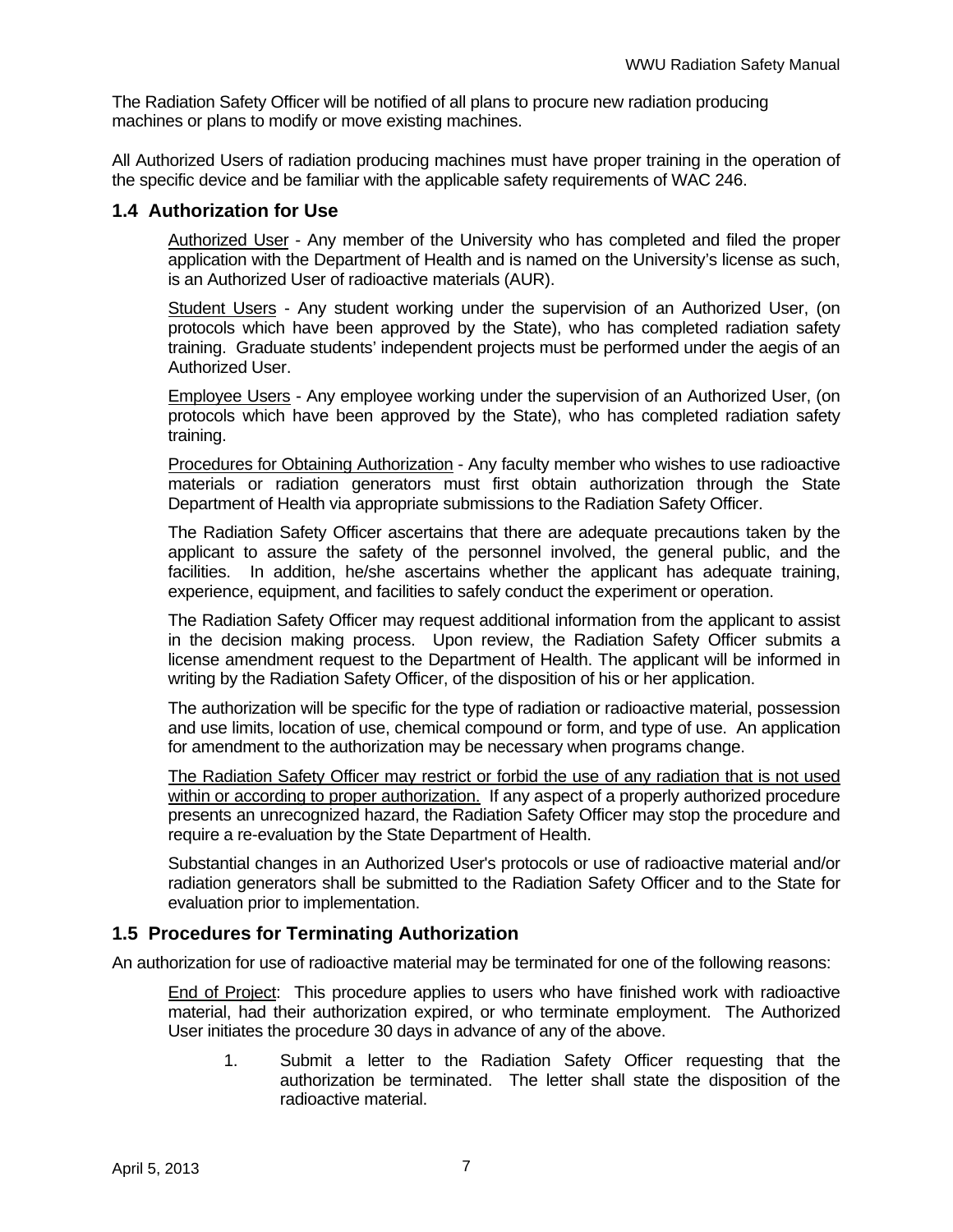The Radiation Safety Officer will be notified of all plans to procure new radiation producing machines or plans to modify or move existing machines.

All Authorized Users of radiation producing machines must have proper training in the operation of the specific device and be familiar with the applicable safety requirements of WAC 246.

### **1.4 Authorization for Use**

Authorized User - Any member of the University who has completed and filed the proper application with the Department of Health and is named on the University's license as such, is an Authorized User of radioactive materials (AUR).

Student Users - Any student working under the supervision of an Authorized User, (on protocols which have been approved by the State), who has completed radiation safety training. Graduate students' independent projects must be performed under the aegis of an Authorized User.

Employee Users - Any employee working under the supervision of an Authorized User, (on protocols which have been approved by the State), who has completed radiation safety training.

Procedures for Obtaining Authorization - Any faculty member who wishes to use radioactive materials or radiation generators must first obtain authorization through the State Department of Health via appropriate submissions to the Radiation Safety Officer.

The Radiation Safety Officer ascertains that there are adequate precautions taken by the applicant to assure the safety of the personnel involved, the general public, and the facilities. In addition, he/she ascertains whether the applicant has adequate training, experience, equipment, and facilities to safely conduct the experiment or operation.

The Radiation Safety Officer may request additional information from the applicant to assist in the decision making process. Upon review, the Radiation Safety Officer submits a license amendment request to the Department of Health. The applicant will be informed in writing by the Radiation Safety Officer, of the disposition of his or her application.

The authorization will be specific for the type of radiation or radioactive material, possession and use limits, location of use, chemical compound or form, and type of use. An application for amendment to the authorization may be necessary when programs change.

The Radiation Safety Officer may restrict or forbid the use of any radiation that is not used within or according to proper authorization. If any aspect of a properly authorized procedure presents an unrecognized hazard, the Radiation Safety Officer may stop the procedure and require a re-evaluation by the State Department of Health.

Substantial changes in an Authorized User's protocols or use of radioactive material and/or radiation generators shall be submitted to the Radiation Safety Officer and to the State for evaluation prior to implementation.

### **1.5 Procedures for Terminating Authorization**

An authorization for use of radioactive material may be terminated for one of the following reasons:

End of Project: This procedure applies to users who have finished work with radioactive material, had their authorization expired, or who terminate employment. The Authorized User initiates the procedure 30 days in advance of any of the above.

1. Submit a letter to the Radiation Safety Officer requesting that the authorization be terminated. The letter shall state the disposition of the radioactive material.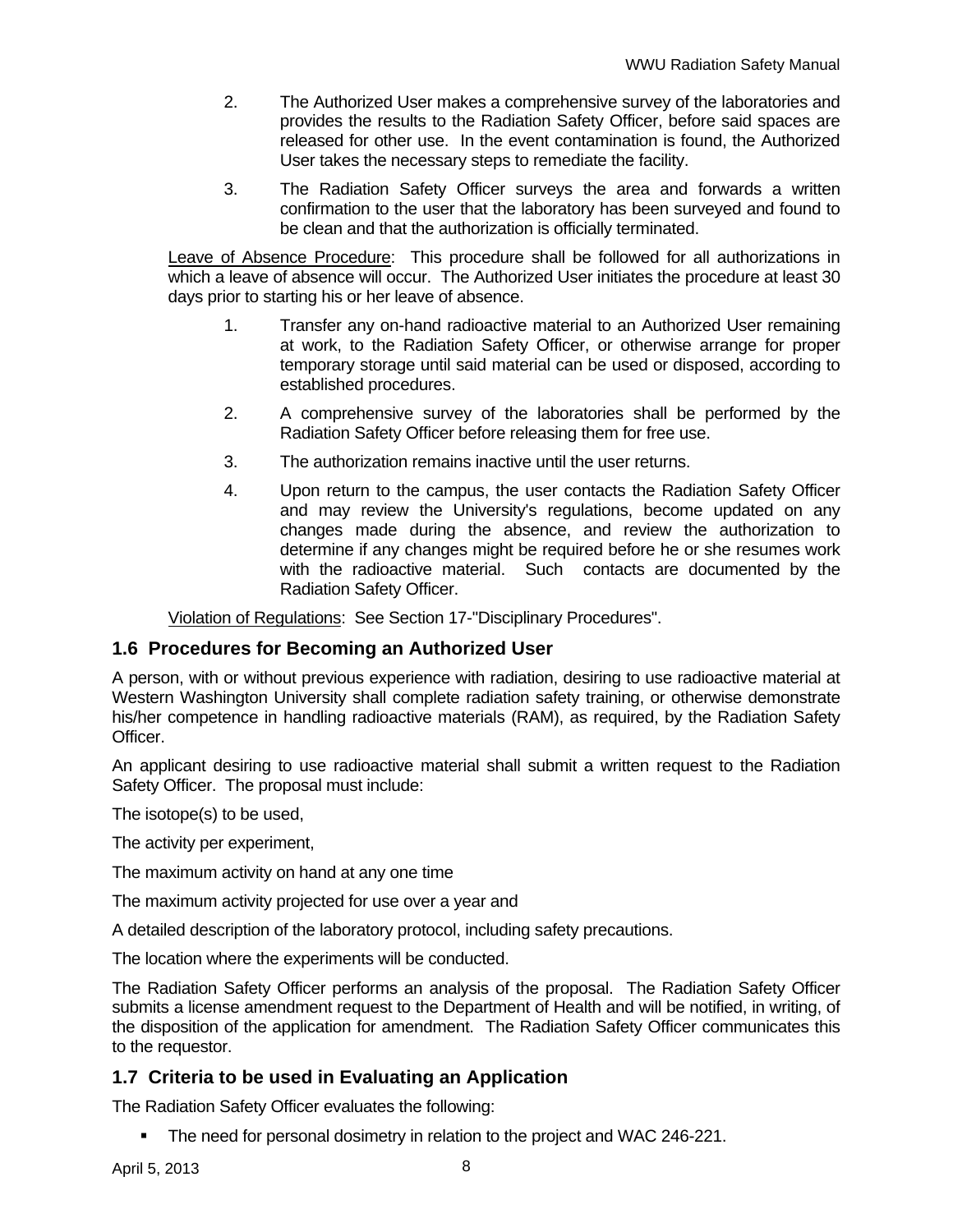- 2. The Authorized User makes a comprehensive survey of the laboratories and provides the results to the Radiation Safety Officer, before said spaces are released for other use. In the event contamination is found, the Authorized User takes the necessary steps to remediate the facility.
- 3. The Radiation Safety Officer surveys the area and forwards a written confirmation to the user that the laboratory has been surveyed and found to be clean and that the authorization is officially terminated.

Leave of Absence Procedure: This procedure shall be followed for all authorizations in which a leave of absence will occur. The Authorized User initiates the procedure at least 30 days prior to starting his or her leave of absence.

- 1. Transfer any on-hand radioactive material to an Authorized User remaining at work, to the Radiation Safety Officer, or otherwise arrange for proper temporary storage until said material can be used or disposed, according to established procedures.
- 2. A comprehensive survey of the laboratories shall be performed by the Radiation Safety Officer before releasing them for free use.
- 3. The authorization remains inactive until the user returns.
- 4. Upon return to the campus, the user contacts the Radiation Safety Officer and may review the University's regulations, become updated on any changes made during the absence, and review the authorization to determine if any changes might be required before he or she resumes work with the radioactive material. Such contacts are documented by the Radiation Safety Officer.

Violation of Regulations: See Section 17-"Disciplinary Procedures".

### **1.6 Procedures for Becoming an Authorized User**

A person, with or without previous experience with radiation, desiring to use radioactive material at Western Washington University shall complete radiation safety training, or otherwise demonstrate his/her competence in handling radioactive materials (RAM), as required, by the Radiation Safety Officer.

An applicant desiring to use radioactive material shall submit a written request to the Radiation Safety Officer. The proposal must include:

The isotope(s) to be used,

The activity per experiment,

The maximum activity on hand at any one time

The maximum activity projected for use over a year and

A detailed description of the laboratory protocol, including safety precautions.

The location where the experiments will be conducted.

The Radiation Safety Officer performs an analysis of the proposal. The Radiation Safety Officer submits a license amendment request to the Department of Health and will be notified, in writing, of the disposition of the application for amendment. The Radiation Safety Officer communicates this to the requestor.

### **1.7 Criteria to be used in Evaluating an Application**

The Radiation Safety Officer evaluates the following:

**The need for personal dosimetry in relation to the project and WAC 246-221.**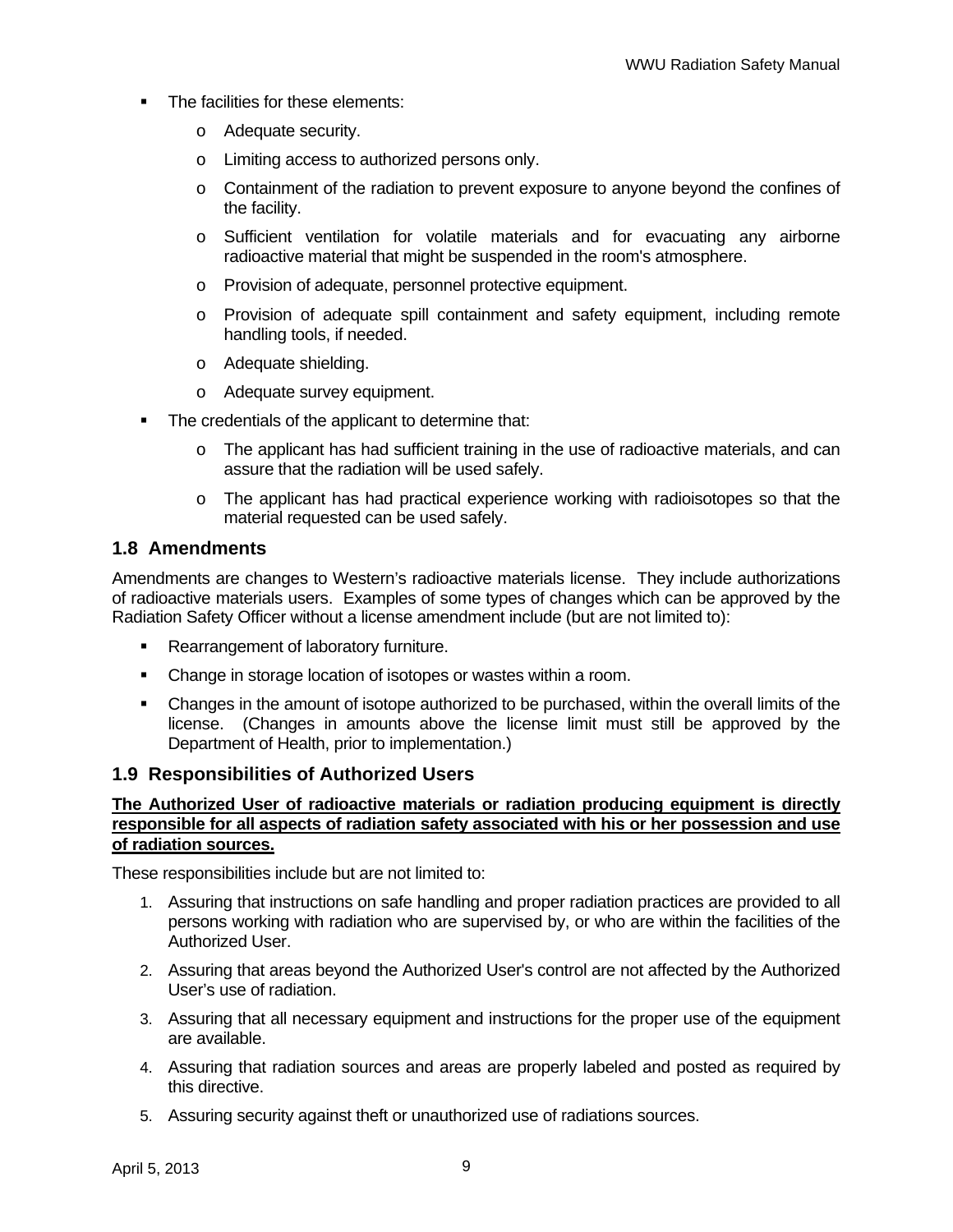- The facilities for these elements:
	- o Adequate security.
	- o Limiting access to authorized persons only.
	- $\circ$  Containment of the radiation to prevent exposure to anyone beyond the confines of the facility.
	- o Sufficient ventilation for volatile materials and for evacuating any airborne radioactive material that might be suspended in the room's atmosphere.
	- o Provision of adequate, personnel protective equipment.
	- o Provision of adequate spill containment and safety equipment, including remote handling tools, if needed.
	- o Adequate shielding.
	- o Adequate survey equipment.
- The credentials of the applicant to determine that:
	- o The applicant has had sufficient training in the use of radioactive materials, and can assure that the radiation will be used safely.
	- o The applicant has had practical experience working with radioisotopes so that the material requested can be used safely.

### **1.8 Amendments**

Amendments are changes to Western's radioactive materials license. They include authorizations of radioactive materials users. Examples of some types of changes which can be approved by the Radiation Safety Officer without a license amendment include (but are not limited to):

- Rearrangement of laboratory furniture.
- Change in storage location of isotopes or wastes within a room.
- Changes in the amount of isotope authorized to be purchased, within the overall limits of the license. (Changes in amounts above the license limit must still be approved by the Department of Health, prior to implementation.)

### **1.9 Responsibilities of Authorized Users**

#### **The Authorized User of radioactive materials or radiation producing equipment is directly responsible for all aspects of radiation safety associated with his or her possession and use of radiation sources.**

These responsibilities include but are not limited to:

- 1. Assuring that instructions on safe handling and proper radiation practices are provided to all persons working with radiation who are supervised by, or who are within the facilities of the Authorized User.
- 2. Assuring that areas beyond the Authorized User's control are not affected by the Authorized User's use of radiation.
- 3. Assuring that all necessary equipment and instructions for the proper use of the equipment are available.
- 4. Assuring that radiation sources and areas are properly labeled and posted as required by this directive.
- 5. Assuring security against theft or unauthorized use of radiations sources.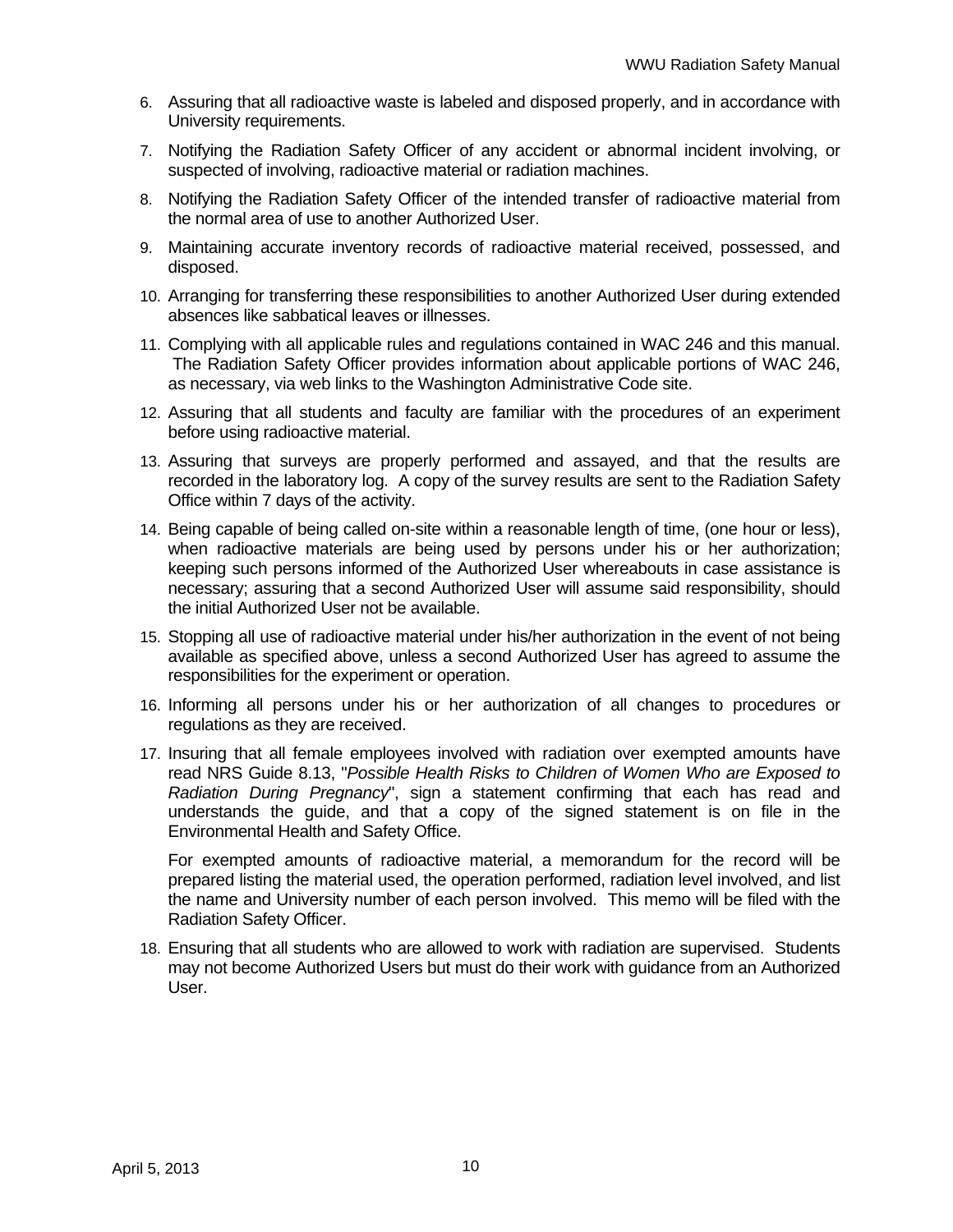- 6. Assuring that all radioactive waste is labeled and disposed properly, and in accordance with University requirements.
- 7. Notifying the Radiation Safety Officer of any accident or abnormal incident involving, or suspected of involving, radioactive material or radiation machines.
- 8. Notifying the Radiation Safety Officer of the intended transfer of radioactive material from the normal area of use to another Authorized User.
- 9. Maintaining accurate inventory records of radioactive material received, possessed, and disposed.
- 10. Arranging for transferring these responsibilities to another Authorized User during extended absences like sabbatical leaves or illnesses.
- 11. Complying with all applicable rules and regulations contained in WAC 246 and this manual. The Radiation Safety Officer provides information about applicable portions of WAC 246, as necessary, via web links to the Washington Administrative Code site.
- 12. Assuring that all students and faculty are familiar with the procedures of an experiment before using radioactive material.
- 13. Assuring that surveys are properly performed and assayed, and that the results are recorded in the laboratory log. A copy of the survey results are sent to the Radiation Safety Office within 7 days of the activity.
- 14. Being capable of being called on-site within a reasonable length of time, (one hour or less), when radioactive materials are being used by persons under his or her authorization; keeping such persons informed of the Authorized User whereabouts in case assistance is necessary; assuring that a second Authorized User will assume said responsibility, should the initial Authorized User not be available.
- 15. Stopping all use of radioactive material under his/her authorization in the event of not being available as specified above, unless a second Authorized User has agreed to assume the responsibilities for the experiment or operation.
- 16. Informing all persons under his or her authorization of all changes to procedures or regulations as they are received.
- 17. Insuring that all female employees involved with radiation over exempted amounts have read NRS Guide 8.13, "*Possible Health Risks to Children of Women Who are Exposed to Radiation During Pregnancy*", sign a statement confirming that each has read and understands the guide, and that a copy of the signed statement is on file in the Environmental Health and Safety Office.

For exempted amounts of radioactive material, a memorandum for the record will be prepared listing the material used, the operation performed, radiation level involved, and list the name and University number of each person involved. This memo will be filed with the Radiation Safety Officer.

18. Ensuring that all students who are allowed to work with radiation are supervised. Students may not become Authorized Users but must do their work with guidance from an Authorized User.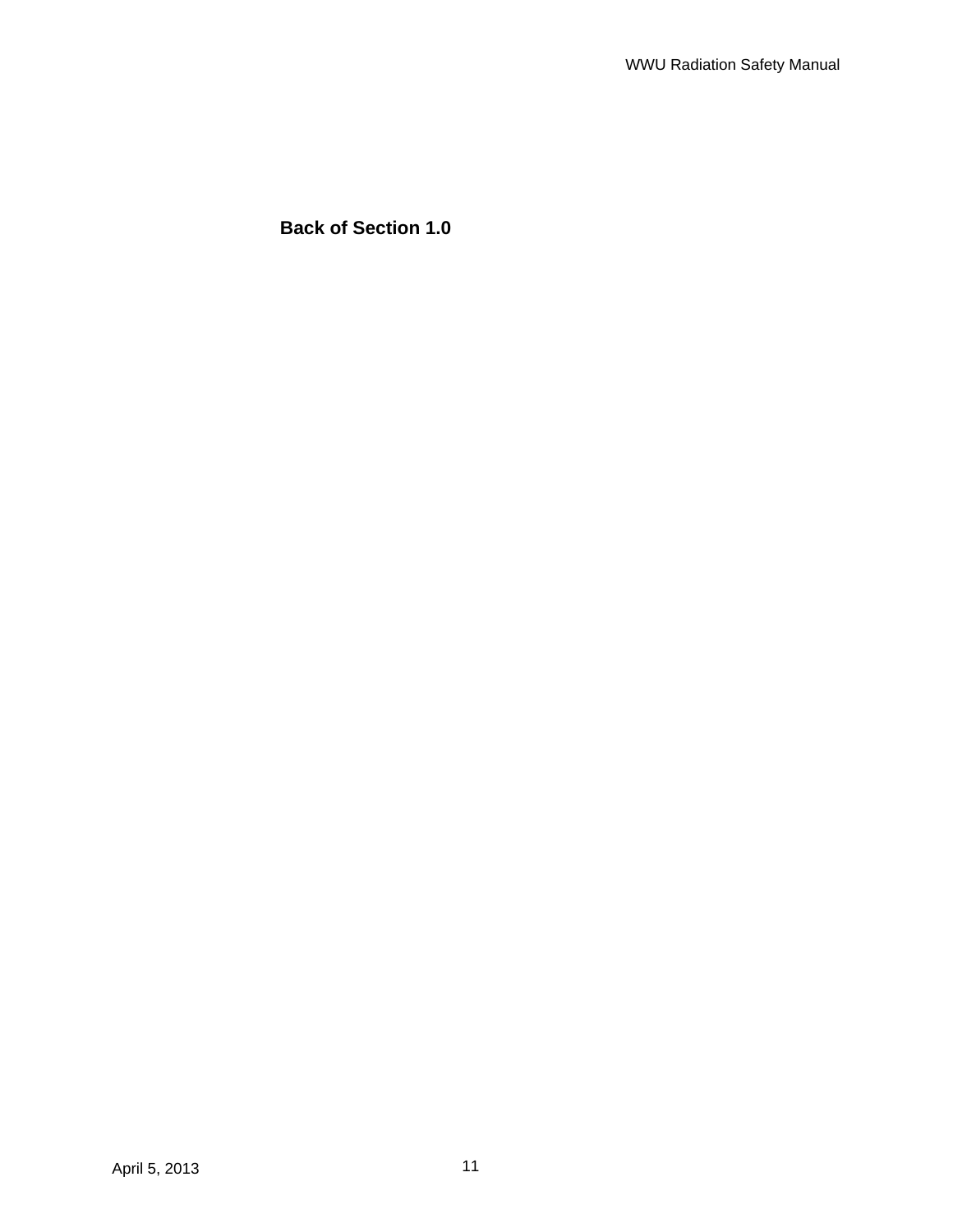**Back of Section 1.0**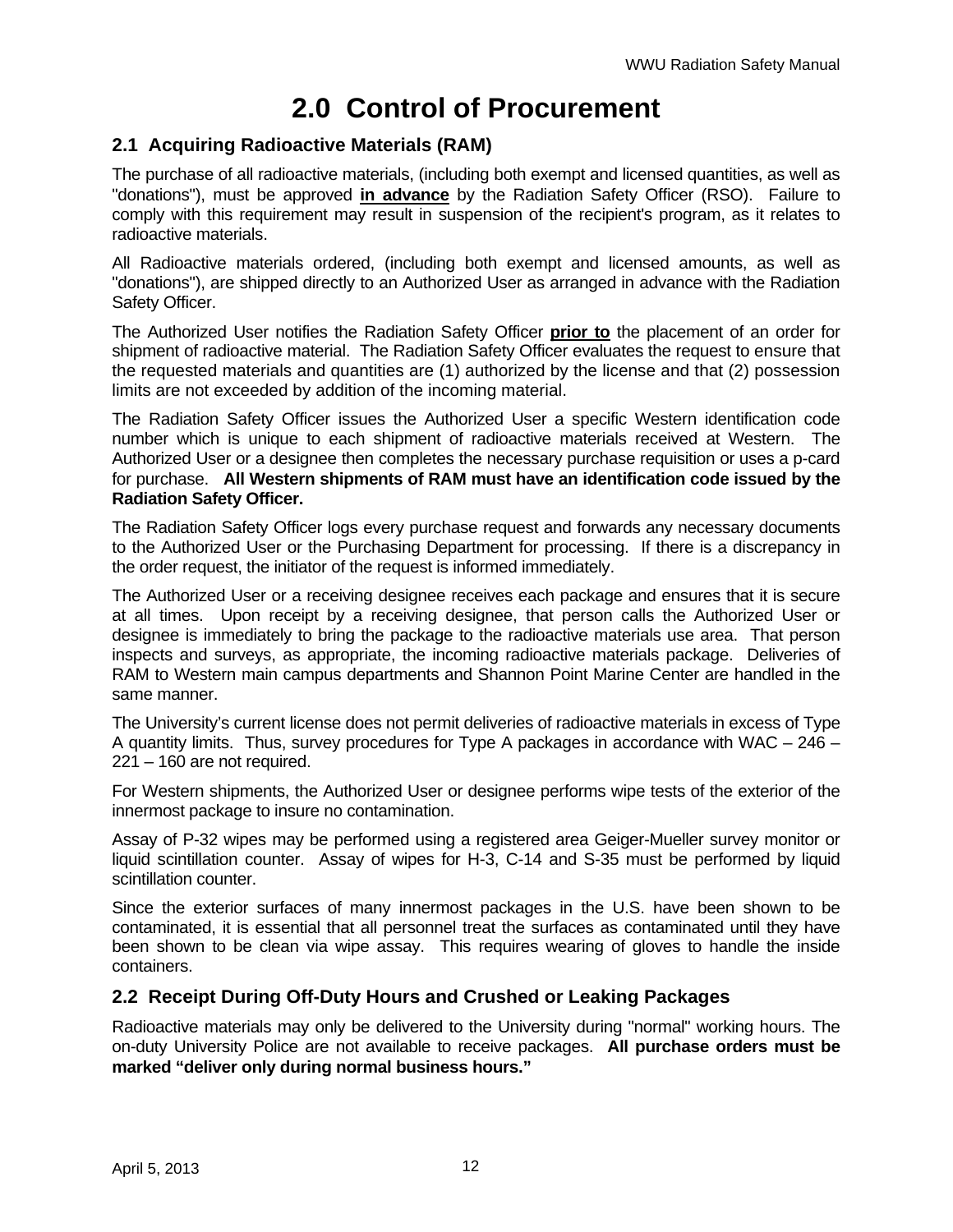## **2.0 Control of Procurement**

### **2.1 Acquiring Radioactive Materials (RAM)**

The purchase of all radioactive materials, (including both exempt and licensed quantities, as well as "donations"), must be approved **in advance** by the Radiation Safety Officer (RSO). Failure to comply with this requirement may result in suspension of the recipient's program, as it relates to radioactive materials.

All Radioactive materials ordered, (including both exempt and licensed amounts, as well as "donations"), are shipped directly to an Authorized User as arranged in advance with the Radiation Safety Officer.

The Authorized User notifies the Radiation Safety Officer **prior to** the placement of an order for shipment of radioactive material. The Radiation Safety Officer evaluates the request to ensure that the requested materials and quantities are (1) authorized by the license and that (2) possession limits are not exceeded by addition of the incoming material.

The Radiation Safety Officer issues the Authorized User a specific Western identification code number which is unique to each shipment of radioactive materials received at Western. The Authorized User or a designee then completes the necessary purchase requisition or uses a p-card for purchase. **All Western shipments of RAM must have an identification code issued by the Radiation Safety Officer.**

The Radiation Safety Officer logs every purchase request and forwards any necessary documents to the Authorized User or the Purchasing Department for processing. If there is a discrepancy in the order request, the initiator of the request is informed immediately.

The Authorized User or a receiving designee receives each package and ensures that it is secure at all times. Upon receipt by a receiving designee, that person calls the Authorized User or designee is immediately to bring the package to the radioactive materials use area. That person inspects and surveys, as appropriate, the incoming radioactive materials package. Deliveries of RAM to Western main campus departments and Shannon Point Marine Center are handled in the same manner.

The University's current license does not permit deliveries of radioactive materials in excess of Type A quantity limits. Thus, survey procedures for Type A packages in accordance with WAC – 246 – 221 – 160 are not required.

For Western shipments, the Authorized User or designee performs wipe tests of the exterior of the innermost package to insure no contamination.

Assay of P-32 wipes may be performed using a registered area Geiger-Mueller survey monitor or liquid scintillation counter. Assay of wipes for H-3, C-14 and S-35 must be performed by liquid scintillation counter.

Since the exterior surfaces of many innermost packages in the U.S. have been shown to be contaminated, it is essential that all personnel treat the surfaces as contaminated until they have been shown to be clean via wipe assay. This requires wearing of gloves to handle the inside containers.

### **2.2 Receipt During Off-Duty Hours and Crushed or Leaking Packages**

Radioactive materials may only be delivered to the University during "normal" working hours. The on-duty University Police are not available to receive packages. **All purchase orders must be marked "deliver only during normal business hours."**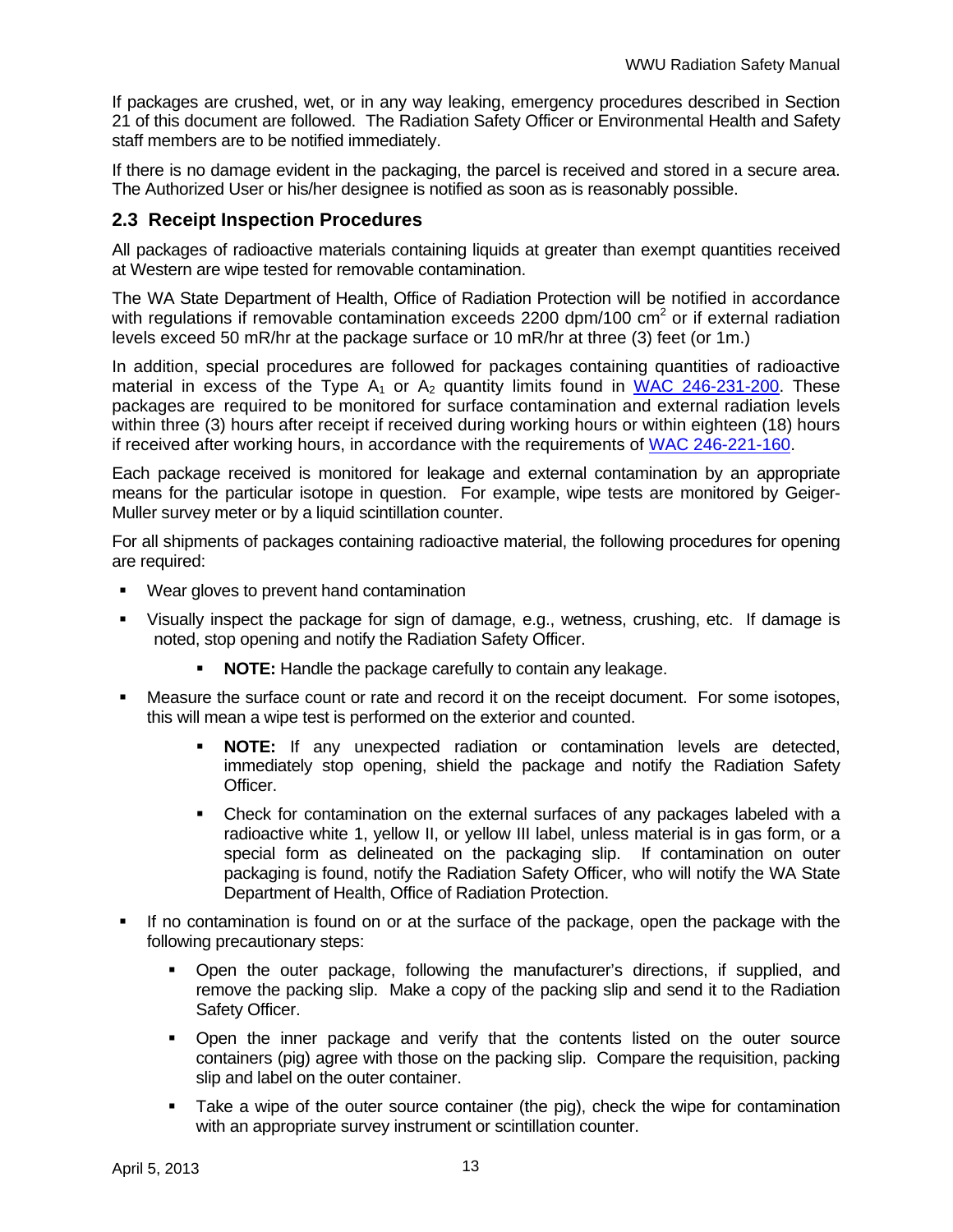If packages are crushed, wet, or in any way leaking, emergency procedures described in Section 21 of this document are followed. The Radiation Safety Officer or Environmental Health and Safety staff members are to be notified immediately.

If there is no damage evident in the packaging, the parcel is received and stored in a secure area. The Authorized User or his/her designee is notified as soon as is reasonably possible.

### **2.3 Receipt Inspection Procedures**

All packages of radioactive materials containing liquids at greater than exempt quantities received at Western are wipe tested for removable contamination.

The WA State Department of Health, Office of Radiation Protection will be notified in accordance with regulations if removable contamination exceeds 2200 dpm/100  $\text{cm}^2$  or if external radiation levels exceed 50 mR/hr at the package surface or 10 mR/hr at three (3) feet (or 1m.)

In addition, special procedures are followed for packages containing quantities of radioactive material in excess of the Type  $A_1$  or  $A_2$  quantity limits found in WAC 246-231-200. These packages are required to be monitored for surface contamination and external radiation levels within three (3) hours after receipt if received during working hours or within eighteen (18) hours if received after working hours, in accordance with the requirements of WAC 246-221-160.

Each package received is monitored for leakage and external contamination by an appropriate means for the particular isotope in question. For example, wipe tests are monitored by Geiger-Muller survey meter or by a liquid scintillation counter.

For all shipments of packages containing radioactive material, the following procedures for opening are required:

- Wear gloves to prevent hand contamination
- Visually inspect the package for sign of damage, e.g., wetness, crushing, etc. If damage is noted, stop opening and notify the Radiation Safety Officer.
	- **NOTE:** Handle the package carefully to contain any leakage.
- Measure the surface count or rate and record it on the receipt document. For some isotopes, this will mean a wipe test is performed on the exterior and counted.
	- **NOTE:** If any unexpected radiation or contamination levels are detected, immediately stop opening, shield the package and notify the Radiation Safety Officer.
	- Check for contamination on the external surfaces of any packages labeled with a radioactive white 1, yellow II, or yellow III label, unless material is in gas form, or a special form as delineated on the packaging slip. If contamination on outer packaging is found, notify the Radiation Safety Officer, who will notify the WA State Department of Health, Office of Radiation Protection.
- If no contamination is found on or at the surface of the package, open the package with the following precautionary steps:
	- Open the outer package, following the manufacturer's directions, if supplied, and remove the packing slip. Make a copy of the packing slip and send it to the Radiation Safety Officer.
	- Open the inner package and verify that the contents listed on the outer source containers (pig) agree with those on the packing slip. Compare the requisition, packing slip and label on the outer container.
	- Take a wipe of the outer source container (the pig), check the wipe for contamination with an appropriate survey instrument or scintillation counter.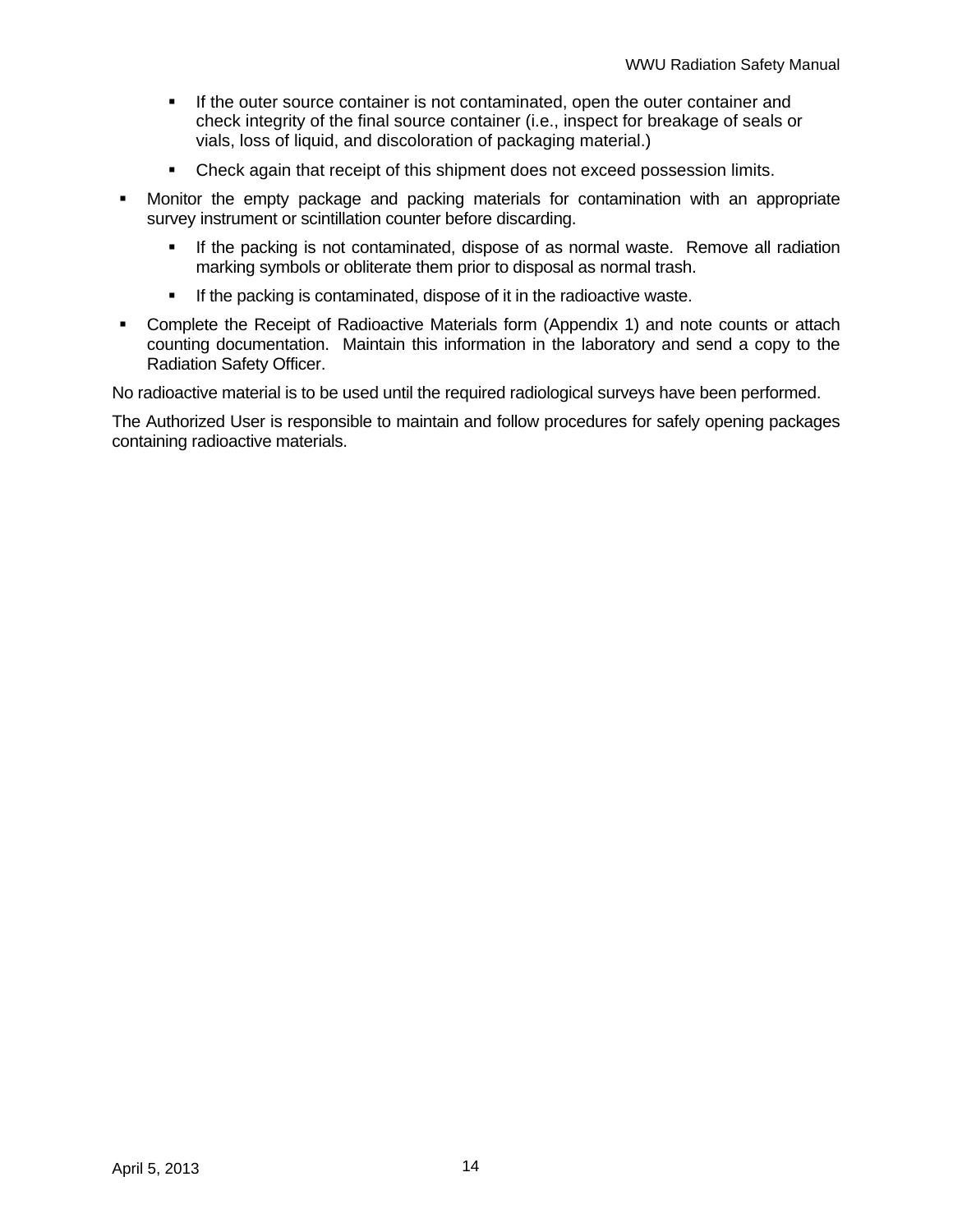- If the outer source container is not contaminated, open the outer container and check integrity of the final source container (i.e., inspect for breakage of seals or vials, loss of liquid, and discoloration of packaging material.)
- **Check again that receipt of this shipment does not exceed possession limits.**
- Monitor the empty package and packing materials for contamination with an appropriate survey instrument or scintillation counter before discarding.
	- **If the packing is not contaminated, dispose of as normal waste. Remove all radiation** marking symbols or obliterate them prior to disposal as normal trash.
	- **If the packing is contaminated, dispose of it in the radioactive waste.**
- Complete the Receipt of Radioactive Materials form (Appendix 1) and note counts or attach counting documentation. Maintain this information in the laboratory and send a copy to the Radiation Safety Officer.

No radioactive material is to be used until the required radiological surveys have been performed.

The Authorized User is responsible to maintain and follow procedures for safely opening packages containing radioactive materials.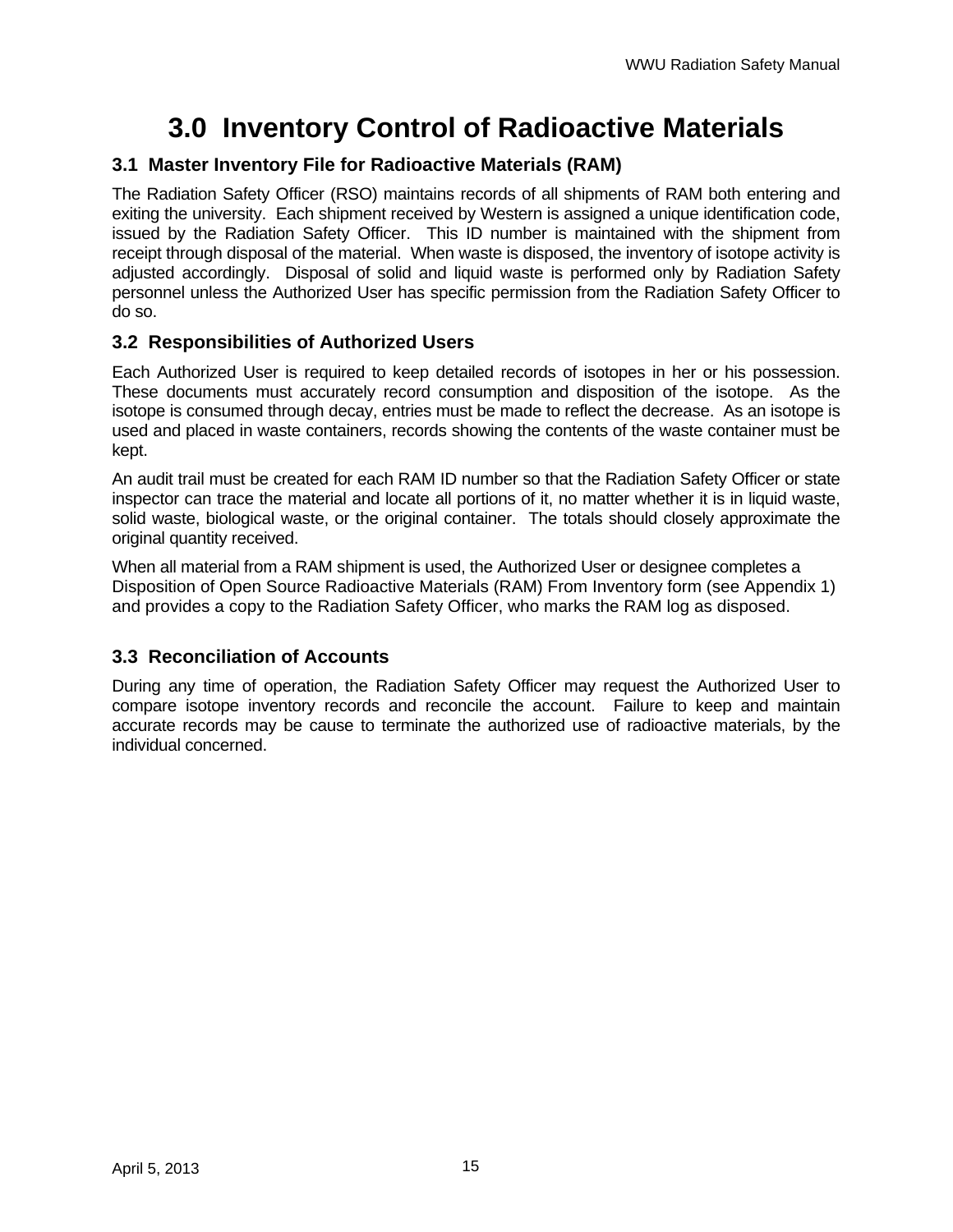# **3.0 Inventory Control of Radioactive Materials**

### **3.1 Master Inventory File for Radioactive Materials (RAM)**

The Radiation Safety Officer (RSO) maintains records of all shipments of RAM both entering and exiting the university. Each shipment received by Western is assigned a unique identification code, issued by the Radiation Safety Officer. This ID number is maintained with the shipment from receipt through disposal of the material. When waste is disposed, the inventory of isotope activity is adjusted accordingly. Disposal of solid and liquid waste is performed only by Radiation Safety personnel unless the Authorized User has specific permission from the Radiation Safety Officer to do so.

### **3.2 Responsibilities of Authorized Users**

Each Authorized User is required to keep detailed records of isotopes in her or his possession. These documents must accurately record consumption and disposition of the isotope. As the isotope is consumed through decay, entries must be made to reflect the decrease. As an isotope is used and placed in waste containers, records showing the contents of the waste container must be kept.

An audit trail must be created for each RAM ID number so that the Radiation Safety Officer or state inspector can trace the material and locate all portions of it, no matter whether it is in liquid waste, solid waste, biological waste, or the original container. The totals should closely approximate the original quantity received.

When all material from a RAM shipment is used, the Authorized User or designee completes a Disposition of Open Source Radioactive Materials (RAM) From Inventory form (see Appendix 1) and provides a copy to the Radiation Safety Officer, who marks the RAM log as disposed.

### **3.3 Reconciliation of Accounts**

During any time of operation, the Radiation Safety Officer may request the Authorized User to compare isotope inventory records and reconcile the account. Failure to keep and maintain accurate records may be cause to terminate the authorized use of radioactive materials, by the individual concerned.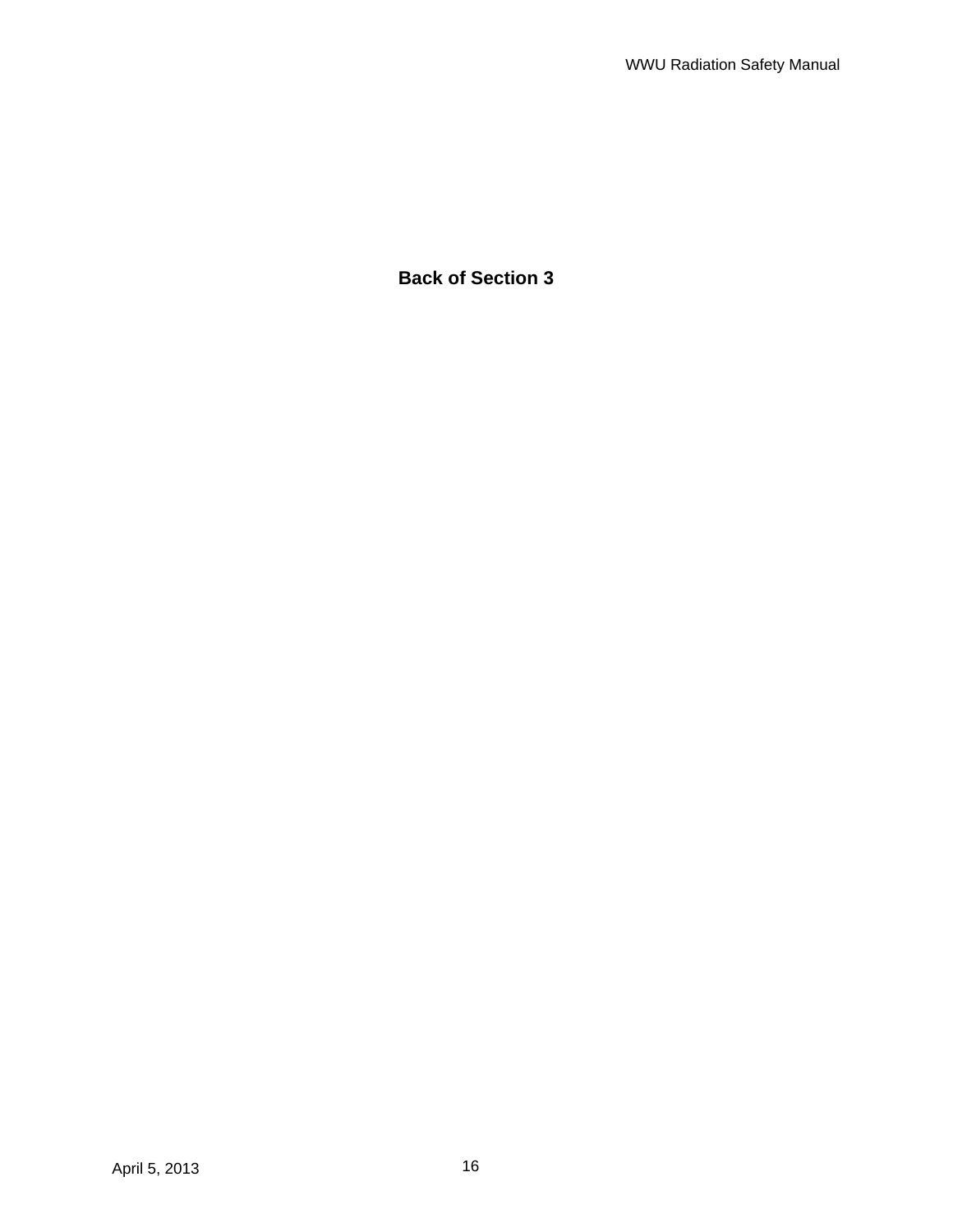## **Back of Section 3**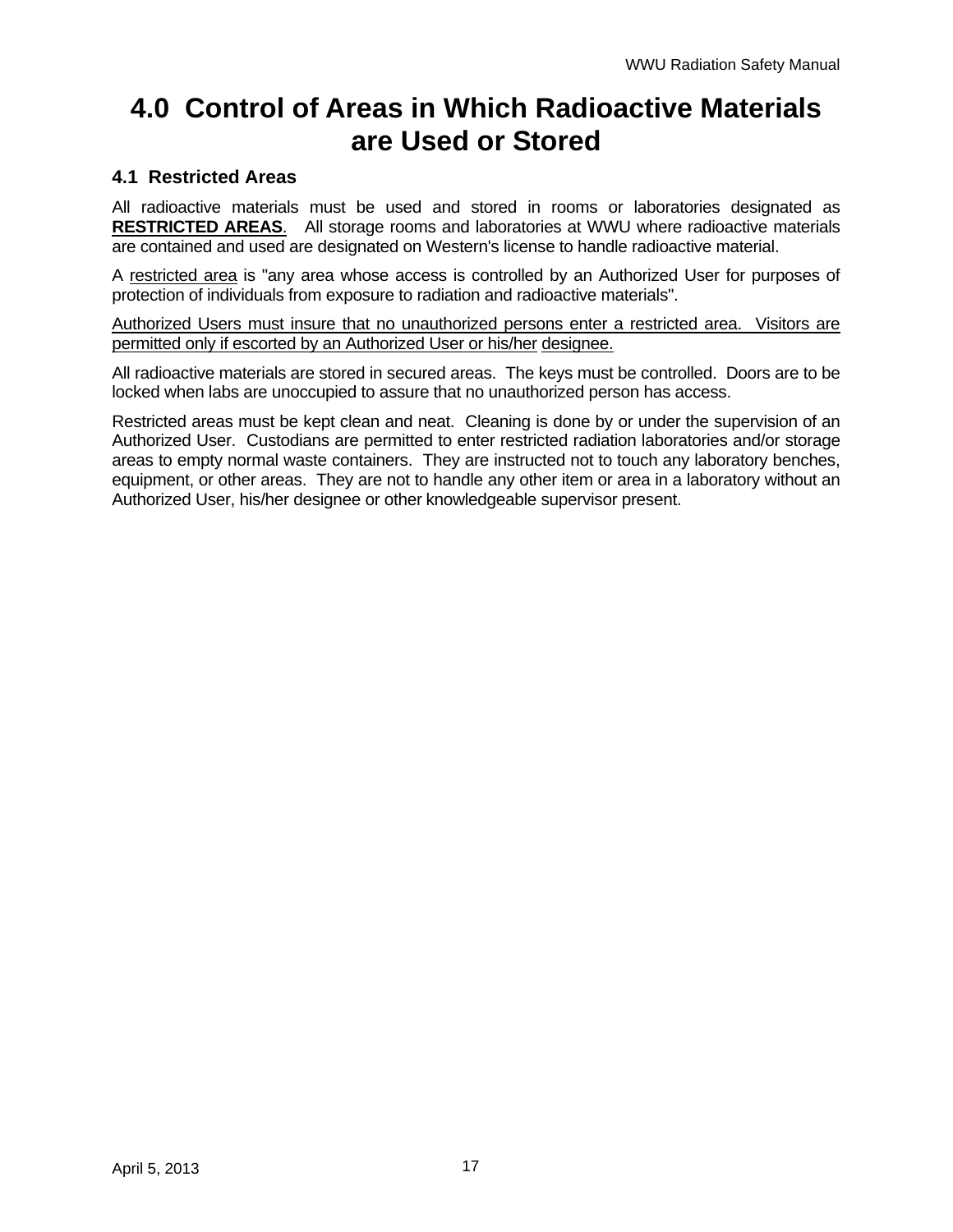## **4.0 Control of Areas in Which Radioactive Materials are Used or Stored**

### **4.1 Restricted Areas**

All radioactive materials must be used and stored in rooms or laboratories designated as **RESTRICTED AREAS**. All storage rooms and laboratories at WWU where radioactive materials are contained and used are designated on Western's license to handle radioactive material.

A restricted area is "any area whose access is controlled by an Authorized User for purposes of protection of individuals from exposure to radiation and radioactive materials".

Authorized Users must insure that no unauthorized persons enter a restricted area. Visitors are permitted only if escorted by an Authorized User or his/her designee.

All radioactive materials are stored in secured areas. The keys must be controlled. Doors are to be locked when labs are unoccupied to assure that no unauthorized person has access.

Restricted areas must be kept clean and neat. Cleaning is done by or under the supervision of an Authorized User. Custodians are permitted to enter restricted radiation laboratories and/or storage areas to empty normal waste containers. They are instructed not to touch any laboratory benches, equipment, or other areas. They are not to handle any other item or area in a laboratory without an Authorized User, his/her designee or other knowledgeable supervisor present.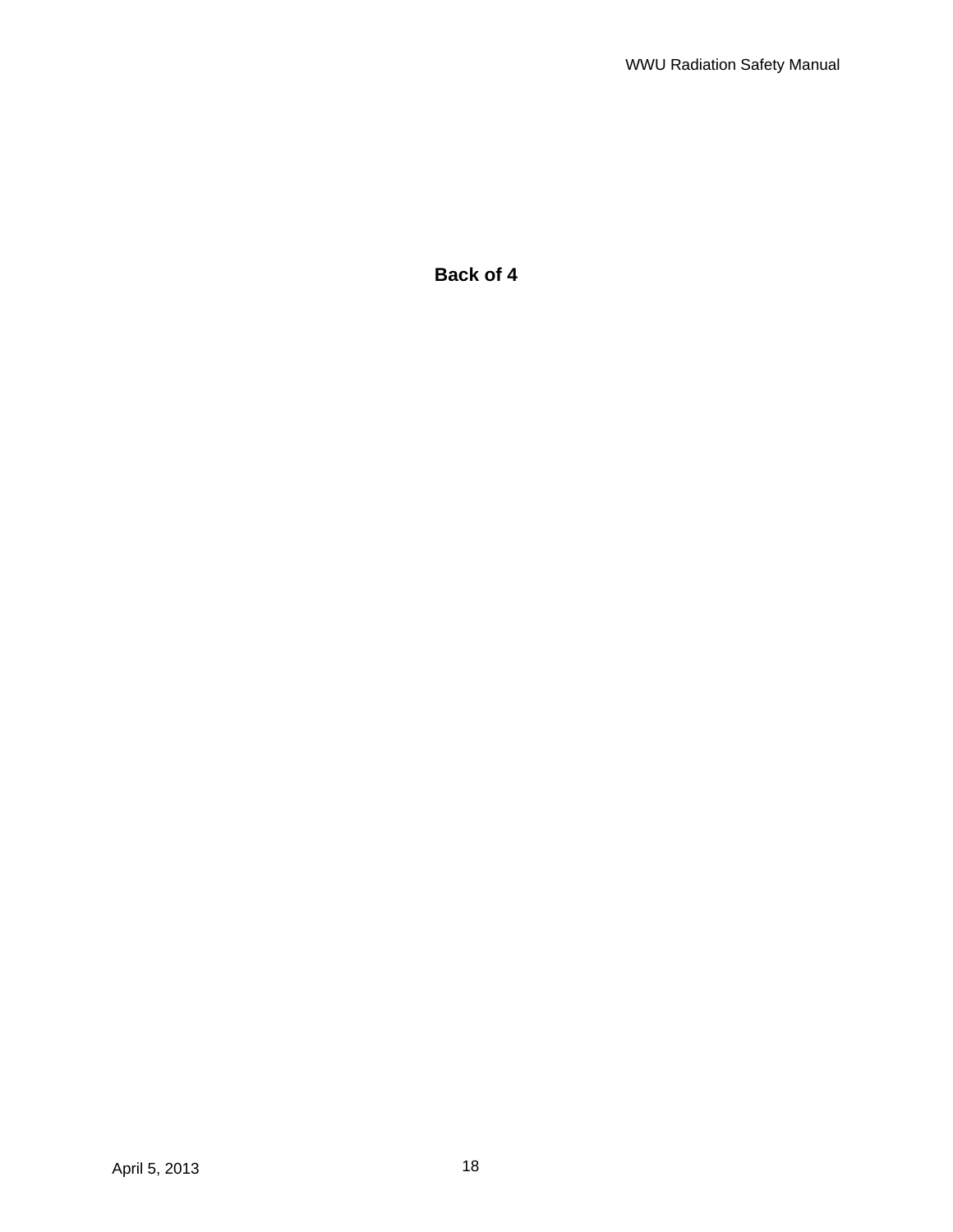**Back of 4**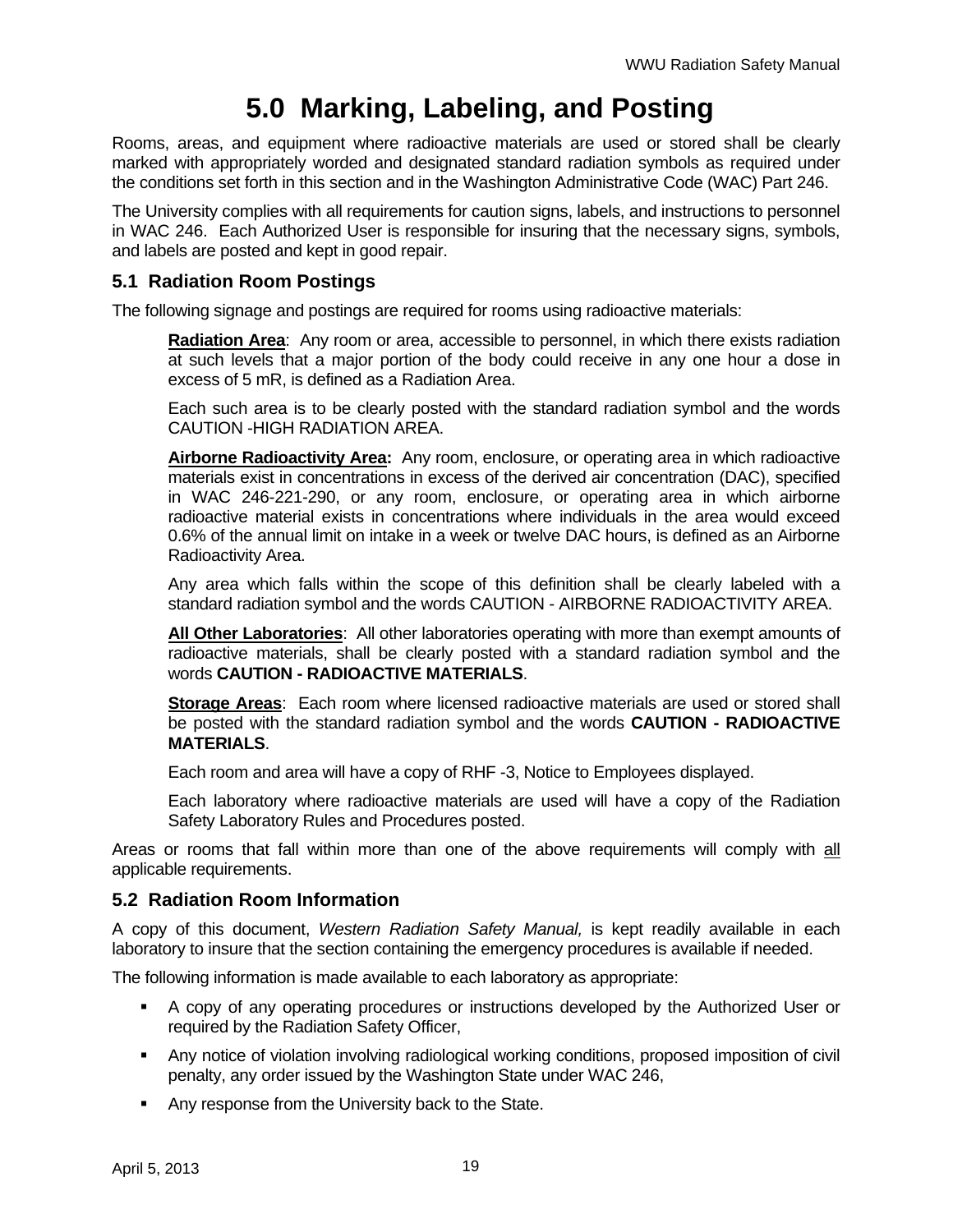# **5.0 Marking, Labeling, and Posting**

Rooms, areas, and equipment where radioactive materials are used or stored shall be clearly marked with appropriately worded and designated standard radiation symbols as required under the conditions set forth in this section and in the Washington Administrative Code (WAC) Part 246.

The University complies with all requirements for caution signs, labels, and instructions to personnel in WAC 246. Each Authorized User is responsible for insuring that the necessary signs, symbols, and labels are posted and kept in good repair.

### **5.1 Radiation Room Postings**

The following signage and postings are required for rooms using radioactive materials:

**Radiation Area**: Any room or area, accessible to personnel, in which there exists radiation at such levels that a major portion of the body could receive in any one hour a dose in excess of 5 mR, is defined as a Radiation Area.

Each such area is to be clearly posted with the standard radiation symbol and the words CAUTION -HIGH RADIATION AREA.

**Airborne Radioactivity Area:** Any room, enclosure, or operating area in which radioactive materials exist in concentrations in excess of the derived air concentration (DAC), specified in WAC 246-221-290, or any room, enclosure, or operating area in which airborne radioactive material exists in concentrations where individuals in the area would exceed 0.6% of the annual limit on intake in a week or twelve DAC hours, is defined as an Airborne Radioactivity Area.

Any area which falls within the scope of this definition shall be clearly labeled with a standard radiation symbol and the words CAUTION - AIRBORNE RADIOACTIVITY AREA.

**All Other Laboratories**: All other laboratories operating with more than exempt amounts of radioactive materials, shall be clearly posted with a standard radiation symbol and the words **CAUTION - RADIOACTIVE MATERIALS**.

**Storage Areas**: Each room where licensed radioactive materials are used or stored shall be posted with the standard radiation symbol and the words **CAUTION - RADIOACTIVE MATERIALS**.

Each room and area will have a copy of RHF -3, Notice to Employees displayed.

Each laboratory where radioactive materials are used will have a copy of the Radiation Safety Laboratory Rules and Procedures posted.

Areas or rooms that fall within more than one of the above requirements will comply with all applicable requirements.

### **5.2 Radiation Room Information**

A copy of this document, *Western Radiation Safety Manual,* is kept readily available in each laboratory to insure that the section containing the emergency procedures is available if needed.

The following information is made available to each laboratory as appropriate:

- A copy of any operating procedures or instructions developed by the Authorized User or required by the Radiation Safety Officer,
- Any notice of violation involving radiological working conditions, proposed imposition of civil penalty, any order issued by the Washington State under WAC 246,
- **Any response from the University back to the State.**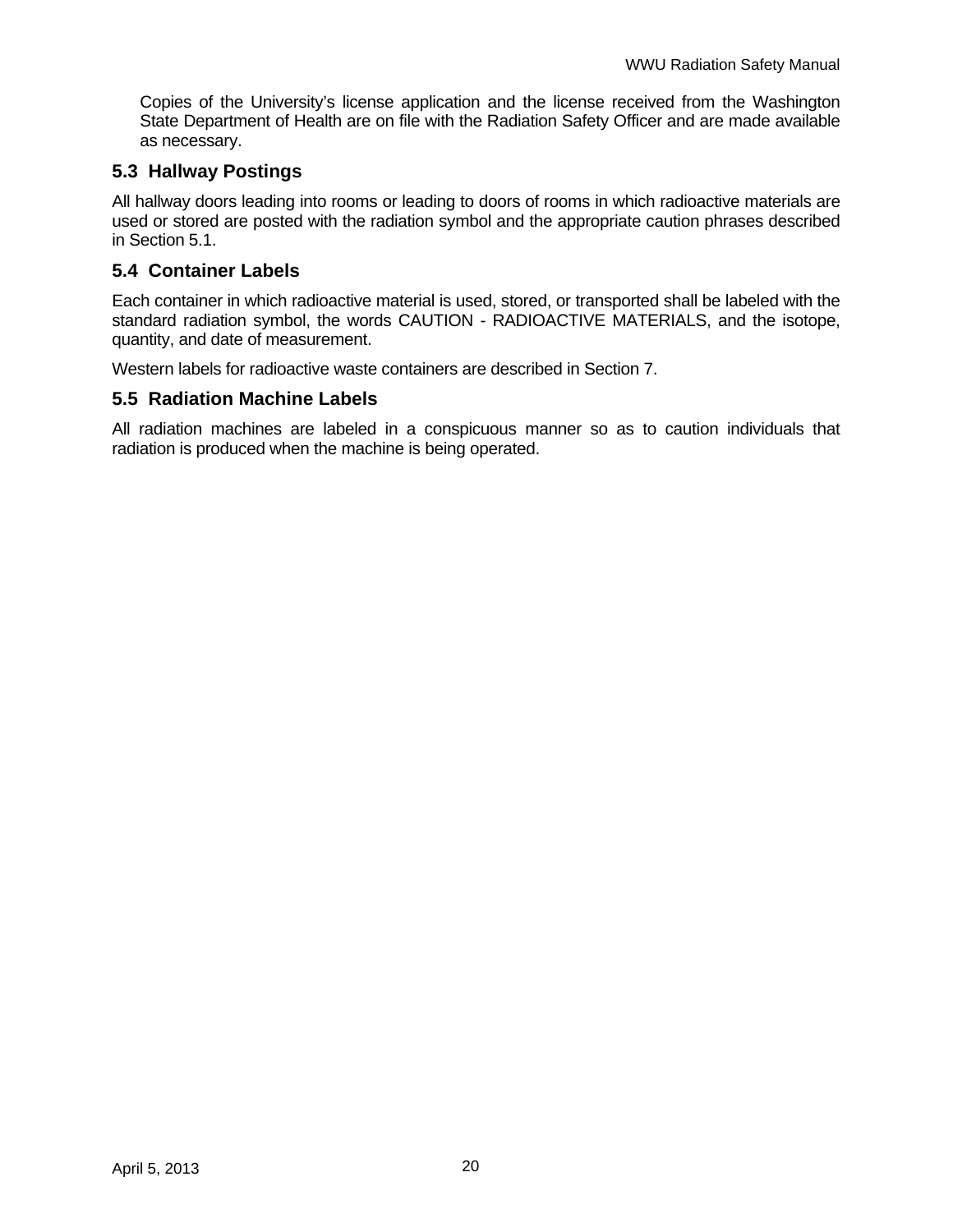Copies of the University's license application and the license received from the Washington State Department of Health are on file with the Radiation Safety Officer and are made available as necessary.

### **5.3 Hallway Postings**

All hallway doors leading into rooms or leading to doors of rooms in which radioactive materials are used or stored are posted with the radiation symbol and the appropriate caution phrases described in Section 5.1.

### **5.4 Container Labels**

Each container in which radioactive material is used, stored, or transported shall be labeled with the standard radiation symbol, the words CAUTION - RADIOACTIVE MATERIALS, and the isotope, quantity, and date of measurement.

Western labels for radioactive waste containers are described in Section 7.

### **5.5 Radiation Machine Labels**

All radiation machines are labeled in a conspicuous manner so as to caution individuals that radiation is produced when the machine is being operated.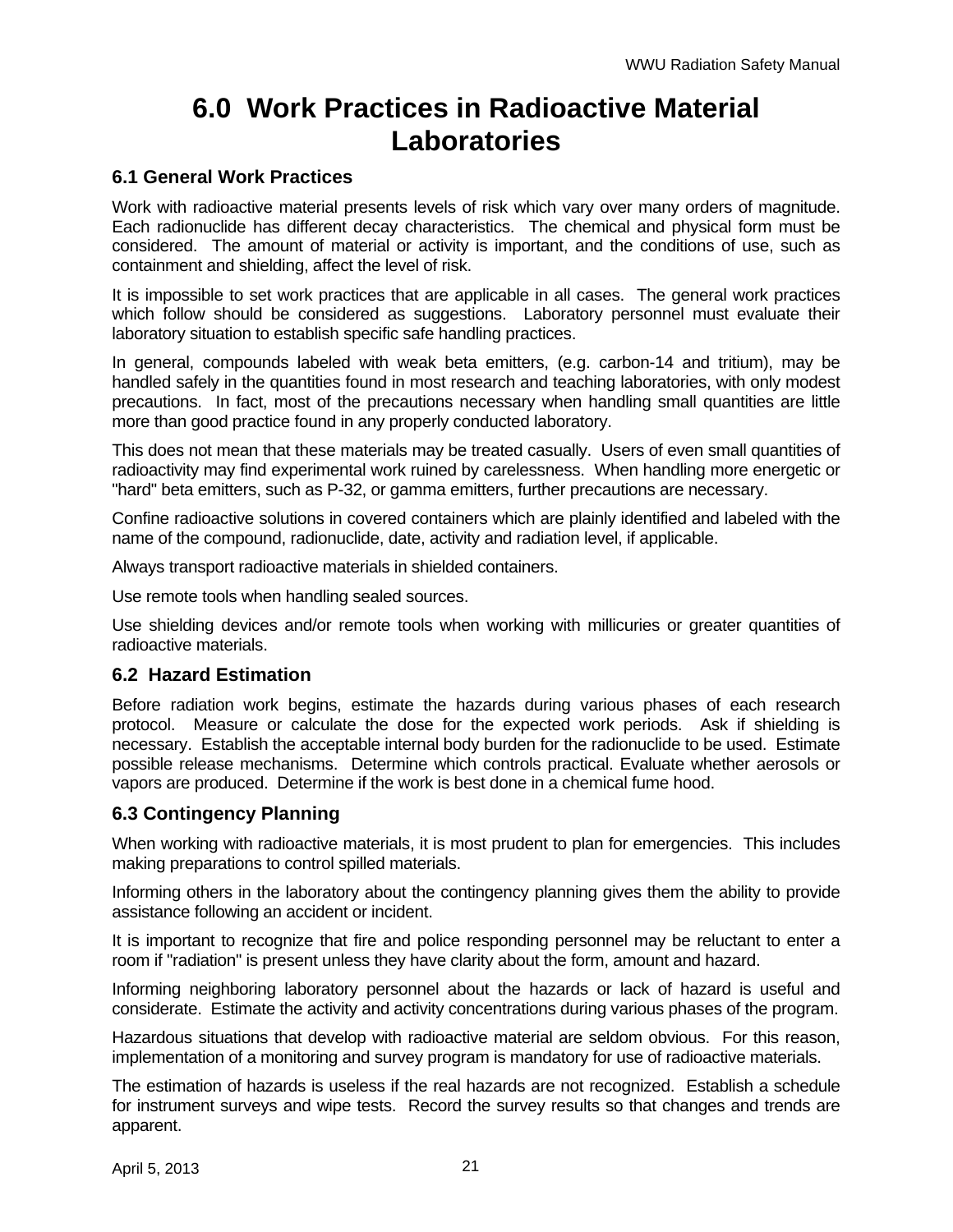## **6.0 Work Practices in Radioactive Material Laboratories**

### **6.1 General Work Practices**

Work with radioactive material presents levels of risk which vary over many orders of magnitude. Each radionuclide has different decay characteristics. The chemical and physical form must be considered. The amount of material or activity is important, and the conditions of use, such as containment and shielding, affect the level of risk.

It is impossible to set work practices that are applicable in all cases. The general work practices which follow should be considered as suggestions. Laboratory personnel must evaluate their laboratory situation to establish specific safe handling practices.

In general, compounds labeled with weak beta emitters, (e.g. carbon-14 and tritium), may be handled safely in the quantities found in most research and teaching laboratories, with only modest precautions. In fact, most of the precautions necessary when handling small quantities are little more than good practice found in any properly conducted laboratory.

This does not mean that these materials may be treated casually. Users of even small quantities of radioactivity may find experimental work ruined by carelessness. When handling more energetic or "hard" beta emitters, such as P-32, or gamma emitters, further precautions are necessary.

Confine radioactive solutions in covered containers which are plainly identified and labeled with the name of the compound, radionuclide, date, activity and radiation level, if applicable.

Always transport radioactive materials in shielded containers.

Use remote tools when handling sealed sources.

Use shielding devices and/or remote tools when working with millicuries or greater quantities of radioactive materials.

### **6.2 Hazard Estimation**

Before radiation work begins, estimate the hazards during various phases of each research protocol. Measure or calculate the dose for the expected work periods. Ask if shielding is necessary. Establish the acceptable internal body burden for the radionuclide to be used. Estimate possible release mechanisms. Determine which controls practical. Evaluate whether aerosols or vapors are produced. Determine if the work is best done in a chemical fume hood.

### **6.3 Contingency Planning**

When working with radioactive materials, it is most prudent to plan for emergencies. This includes making preparations to control spilled materials.

Informing others in the laboratory about the contingency planning gives them the ability to provide assistance following an accident or incident.

It is important to recognize that fire and police responding personnel may be reluctant to enter a room if "radiation" is present unless they have clarity about the form, amount and hazard.

Informing neighboring laboratory personnel about the hazards or lack of hazard is useful and considerate. Estimate the activity and activity concentrations during various phases of the program.

Hazardous situations that develop with radioactive material are seldom obvious. For this reason, implementation of a monitoring and survey program is mandatory for use of radioactive materials.

The estimation of hazards is useless if the real hazards are not recognized. Establish a schedule for instrument surveys and wipe tests. Record the survey results so that changes and trends are apparent.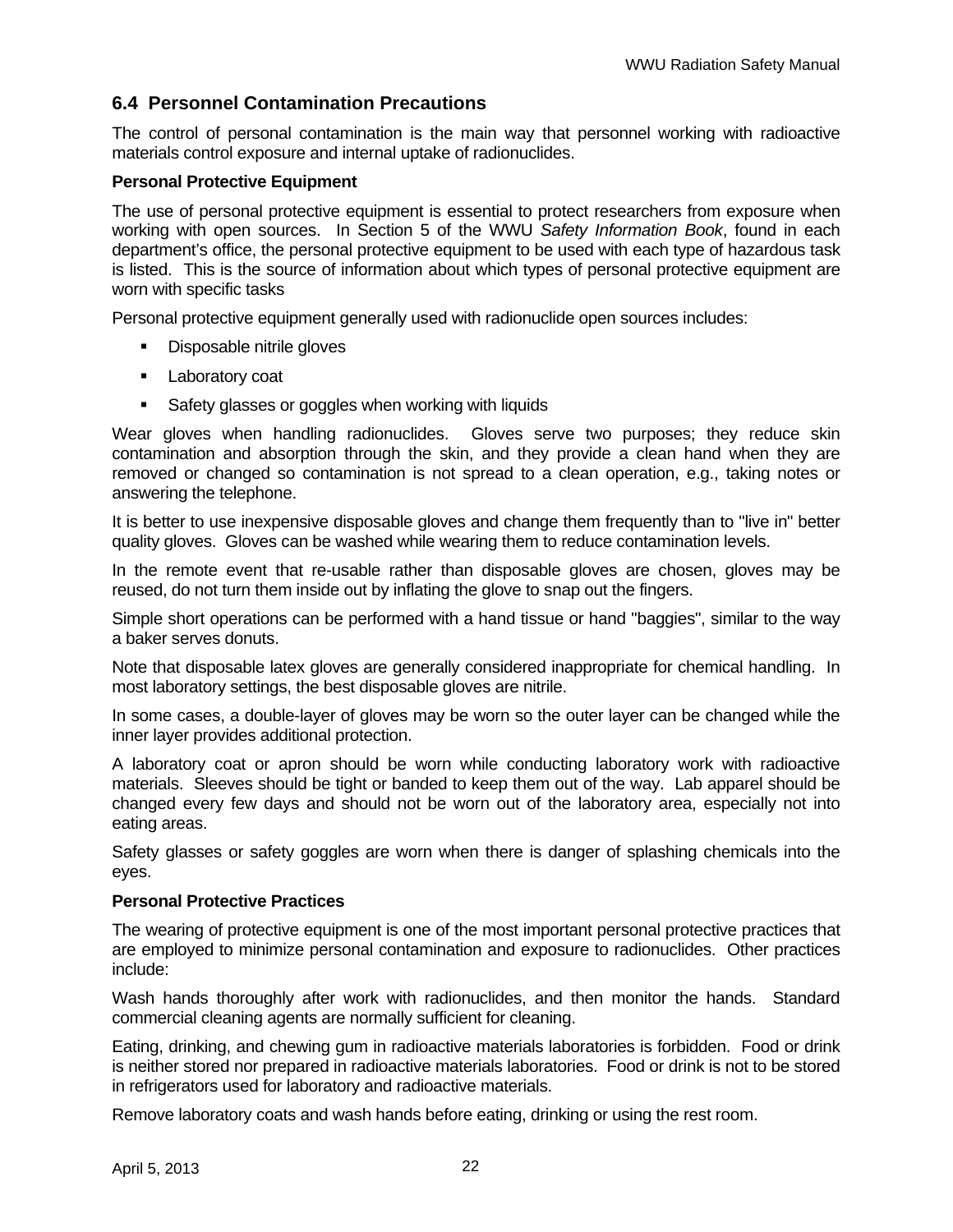### **6.4 Personnel Contamination Precautions**

The control of personal contamination is the main way that personnel working with radioactive materials control exposure and internal uptake of radionuclides.

#### **Personal Protective Equipment**

The use of personal protective equipment is essential to protect researchers from exposure when working with open sources. In Section 5 of the WWU *Safety Information Book*, found in each department's office, the personal protective equipment to be used with each type of hazardous task is listed. This is the source of information about which types of personal protective equipment are worn with specific tasks

Personal protective equipment generally used with radionuclide open sources includes:

- Disposable nitrile gloves
- **Laboratory coat**
- **Safety glasses or goggles when working with liquids**

Wear gloves when handling radionuclides. Gloves serve two purposes; they reduce skin contamination and absorption through the skin, and they provide a clean hand when they are removed or changed so contamination is not spread to a clean operation, e.g., taking notes or answering the telephone.

It is better to use inexpensive disposable gloves and change them frequently than to "live in" better quality gloves. Gloves can be washed while wearing them to reduce contamination levels.

In the remote event that re-usable rather than disposable gloves are chosen, gloves may be reused, do not turn them inside out by inflating the glove to snap out the fingers.

Simple short operations can be performed with a hand tissue or hand "baggies", similar to the way a baker serves donuts.

Note that disposable latex gloves are generally considered inappropriate for chemical handling. In most laboratory settings, the best disposable gloves are nitrile.

In some cases, a double-layer of gloves may be worn so the outer layer can be changed while the inner layer provides additional protection.

A laboratory coat or apron should be worn while conducting laboratory work with radioactive materials. Sleeves should be tight or banded to keep them out of the way. Lab apparel should be changed every few days and should not be worn out of the laboratory area, especially not into eating areas.

Safety glasses or safety goggles are worn when there is danger of splashing chemicals into the eyes.

#### **Personal Protective Practices**

The wearing of protective equipment is one of the most important personal protective practices that are employed to minimize personal contamination and exposure to radionuclides. Other practices include:

Wash hands thoroughly after work with radionuclides, and then monitor the hands. Standard commercial cleaning agents are normally sufficient for cleaning.

Eating, drinking, and chewing gum in radioactive materials laboratories is forbidden. Food or drink is neither stored nor prepared in radioactive materials laboratories. Food or drink is not to be stored in refrigerators used for laboratory and radioactive materials.

Remove laboratory coats and wash hands before eating, drinking or using the rest room.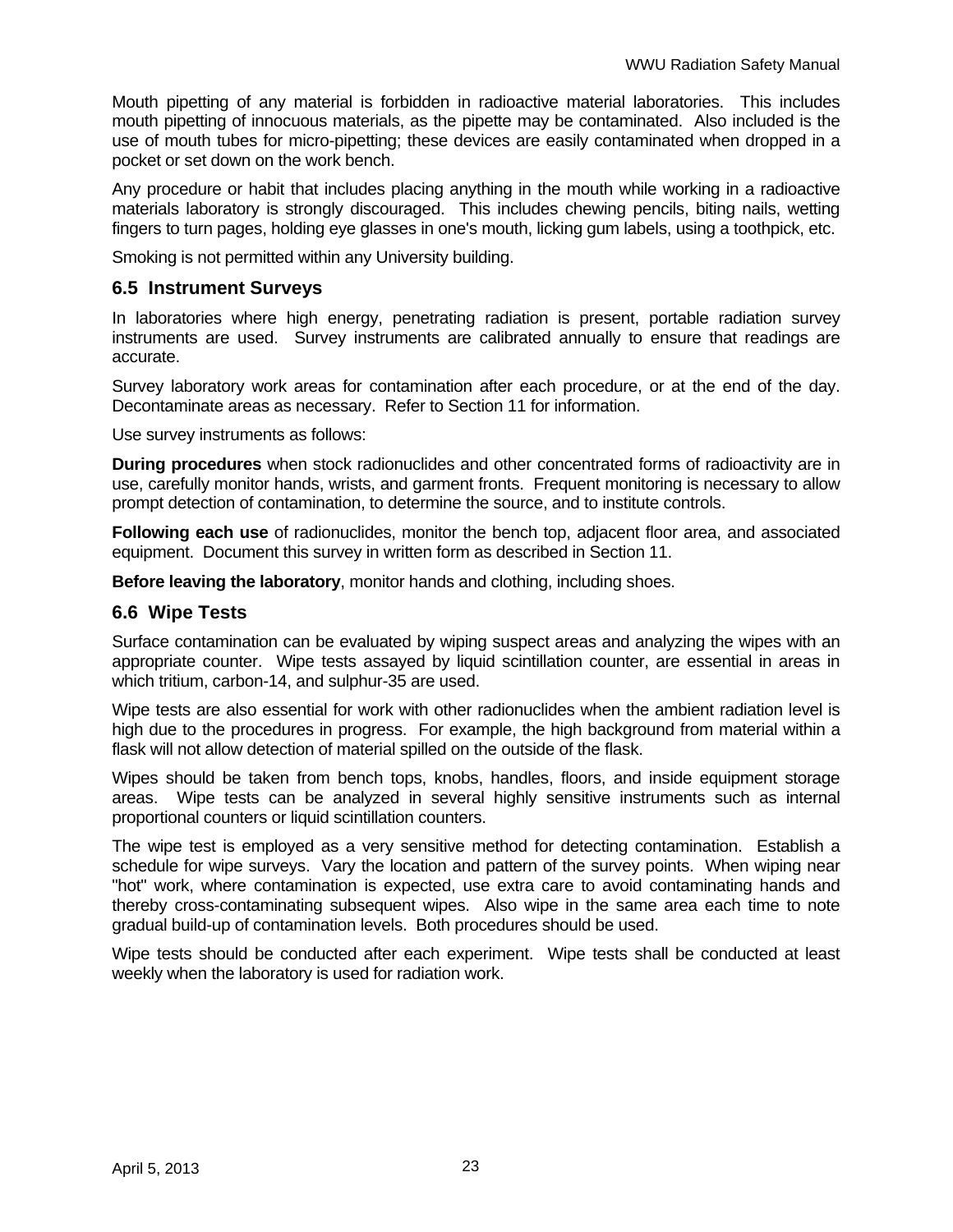Mouth pipetting of any material is forbidden in radioactive material laboratories. This includes mouth pipetting of innocuous materials, as the pipette may be contaminated. Also included is the use of mouth tubes for micro-pipetting; these devices are easily contaminated when dropped in a pocket or set down on the work bench.

Any procedure or habit that includes placing anything in the mouth while working in a radioactive materials laboratory is strongly discouraged. This includes chewing pencils, biting nails, wetting fingers to turn pages, holding eye glasses in one's mouth, licking gum labels, using a toothpick, etc.

Smoking is not permitted within any University building.

### **6.5 Instrument Surveys**

In laboratories where high energy, penetrating radiation is present, portable radiation survey instruments are used. Survey instruments are calibrated annually to ensure that readings are accurate.

Survey laboratory work areas for contamination after each procedure, or at the end of the day. Decontaminate areas as necessary. Refer to Section 11 for information.

Use survey instruments as follows:

**During procedures** when stock radionuclides and other concentrated forms of radioactivity are in use, carefully monitor hands, wrists, and garment fronts. Frequent monitoring is necessary to allow prompt detection of contamination, to determine the source, and to institute controls.

**Following each use** of radionuclides, monitor the bench top, adjacent floor area, and associated equipment. Document this survey in written form as described in Section 11.

**Before leaving the laboratory**, monitor hands and clothing, including shoes.

#### **6.6 Wipe Tests**

Surface contamination can be evaluated by wiping suspect areas and analyzing the wipes with an appropriate counter. Wipe tests assayed by liquid scintillation counter, are essential in areas in which tritium, carbon-14, and sulphur-35 are used.

Wipe tests are also essential for work with other radionuclides when the ambient radiation level is high due to the procedures in progress. For example, the high background from material within a flask will not allow detection of material spilled on the outside of the flask.

Wipes should be taken from bench tops, knobs, handles, floors, and inside equipment storage areas. Wipe tests can be analyzed in several highly sensitive instruments such as internal proportional counters or liquid scintillation counters.

The wipe test is employed as a very sensitive method for detecting contamination. Establish a schedule for wipe surveys. Vary the location and pattern of the survey points. When wiping near "hot" work, where contamination is expected, use extra care to avoid contaminating hands and thereby cross-contaminating subsequent wipes. Also wipe in the same area each time to note gradual build-up of contamination levels. Both procedures should be used.

Wipe tests should be conducted after each experiment. Wipe tests shall be conducted at least weekly when the laboratory is used for radiation work.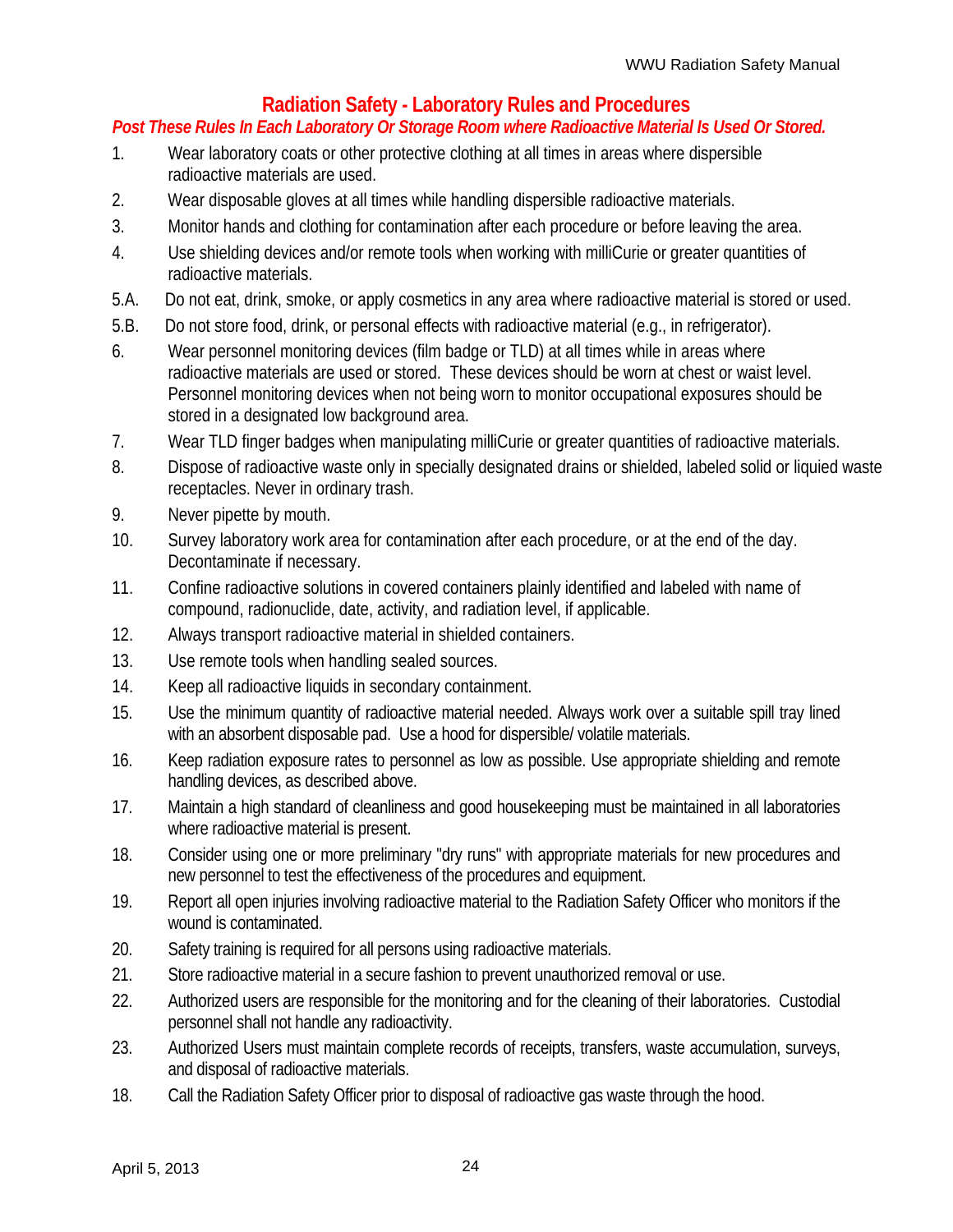## **Radiation Safety - Laboratory Rules and Procedures**

### *Post These Rules In Each Laboratory Or Storage Room where Radioactive Material Is Used Or Stored.*

- 1. Wear laboratory coats or other protective clothing at all times in areas where dispersible radioactive materials are used.
- 2. Wear disposable gloves at all times while handling dispersible radioactive materials.
- 3. Monitor hands and clothing for contamination after each procedure or before leaving the area.
- 4. Use shielding devices and/or remote tools when working with milliCurie or greater quantities of radioactive materials.
- 5.A. Do not eat, drink, smoke, or apply cosmetics in any area where radioactive material is stored or used.
- 5.B. Do not store food, drink, or personal effects with radioactive material (e.g., in refrigerator).
- 6. Wear personnel monitoring devices (film badge or TLD) at all times while in areas where radioactive materials are used or stored. These devices should be worn at chest or waist level. Personnel monitoring devices when not being worn to monitor occupational exposures should be stored in a designated low background area.
- 7. Wear TLD finger badges when manipulating milliCurie or greater quantities of radioactive materials.
- 8. Dispose of radioactive waste only in specially designated drains or shielded, labeled solid or liquied waste receptacles. Never in ordinary trash.
- 9. Never pipette by mouth.
- 10. Survey laboratory work area for contamination after each procedure, or at the end of the day. Decontaminate if necessary.
- 11. Confine radioactive solutions in covered containers plainly identified and labeled with name of compound, radionuclide, date, activity, and radiation level, if applicable.
- 12. Always transport radioactive material in shielded containers.
- 13. Use remote tools when handling sealed sources.
- 14. Keep all radioactive liquids in secondary containment.
- 15. Use the minimum quantity of radioactive material needed. Always work over a suitable spill tray lined with an absorbent disposable pad. Use a hood for dispersible/ volatile materials.
- 16. Keep radiation exposure rates to personnel as low as possible. Use appropriate shielding and remote handling devices, as described above.
- 17. Maintain a high standard of cleanliness and good housekeeping must be maintained in all laboratories where radioactive material is present.
- 18. Consider using one or more preliminary "dry runs" with appropriate materials for new procedures and new personnel to test the effectiveness of the procedures and equipment.
- 19. Report all open injuries involving radioactive material to the Radiation Safety Officer who monitors if the wound is contaminated.
- 20. Safety training is required for all persons using radioactive materials.
- 21. Store radioactive material in a secure fashion to prevent unauthorized removal or use.
- 22. Authorized users are responsible for the monitoring and for the cleaning of their laboratories. Custodial personnel shall not handle any radioactivity.
- 23. Authorized Users must maintain complete records of receipts, transfers, waste accumulation, surveys, and disposal of radioactive materials.
- 18. Call the Radiation Safety Officer prior to disposal of radioactive gas waste through the hood.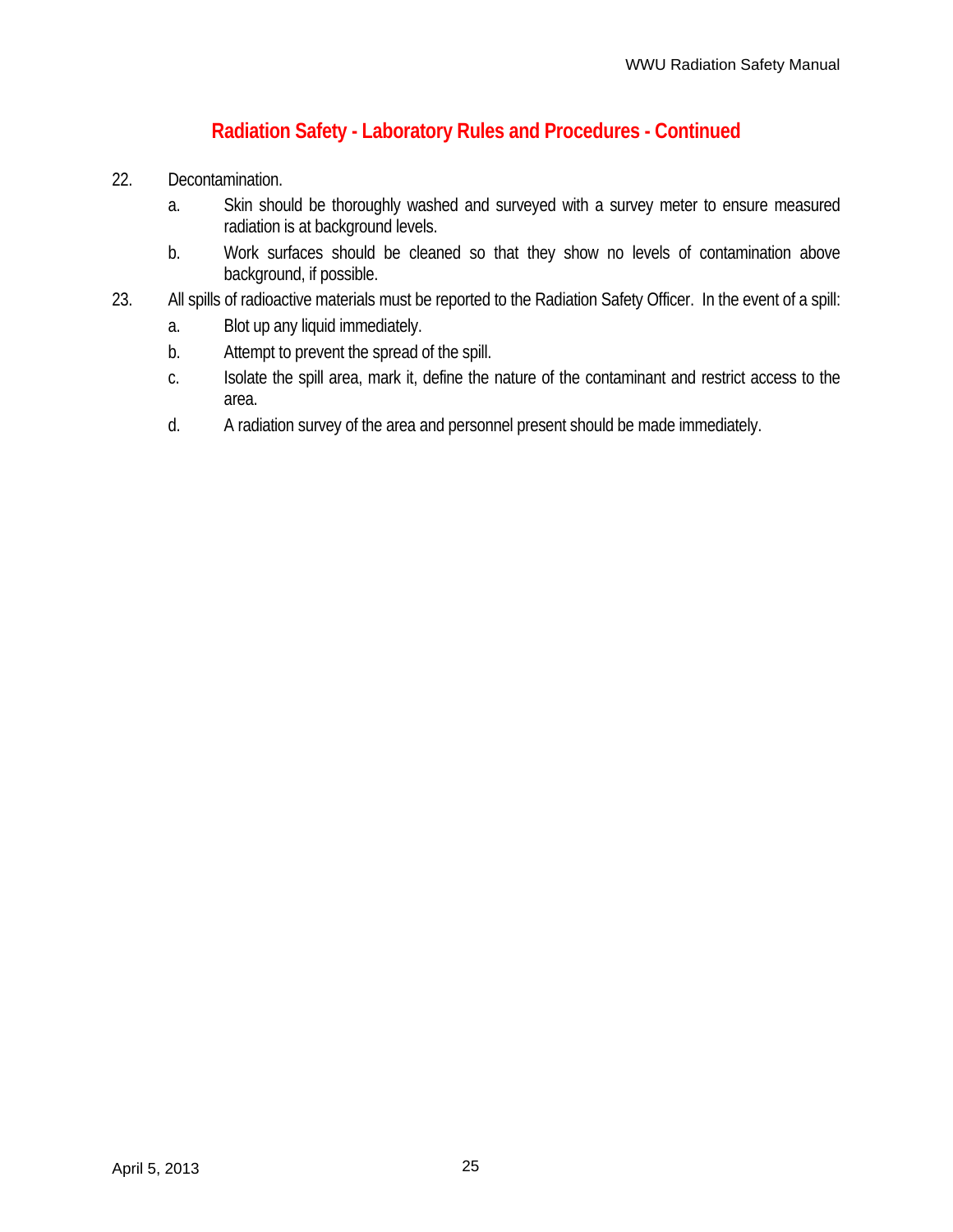## **Radiation Safety - Laboratory Rules and Procedures - Continued**

- 22. Decontamination.
	- a. Skin should be thoroughly washed and surveyed with a survey meter to ensure measured radiation is at background levels.
	- b. Work surfaces should be cleaned so that they show no levels of contamination above background, if possible.
- 23. All spills of radioactive materials must be reported to the Radiation Safety Officer. In the event of a spill:
	- a. Blot up any liquid immediately.
	- b. Attempt to prevent the spread of the spill.
	- c. Isolate the spill area, mark it, define the nature of the contaminant and restrict access to the area.
	- d. A radiation survey of the area and personnel present should be made immediately.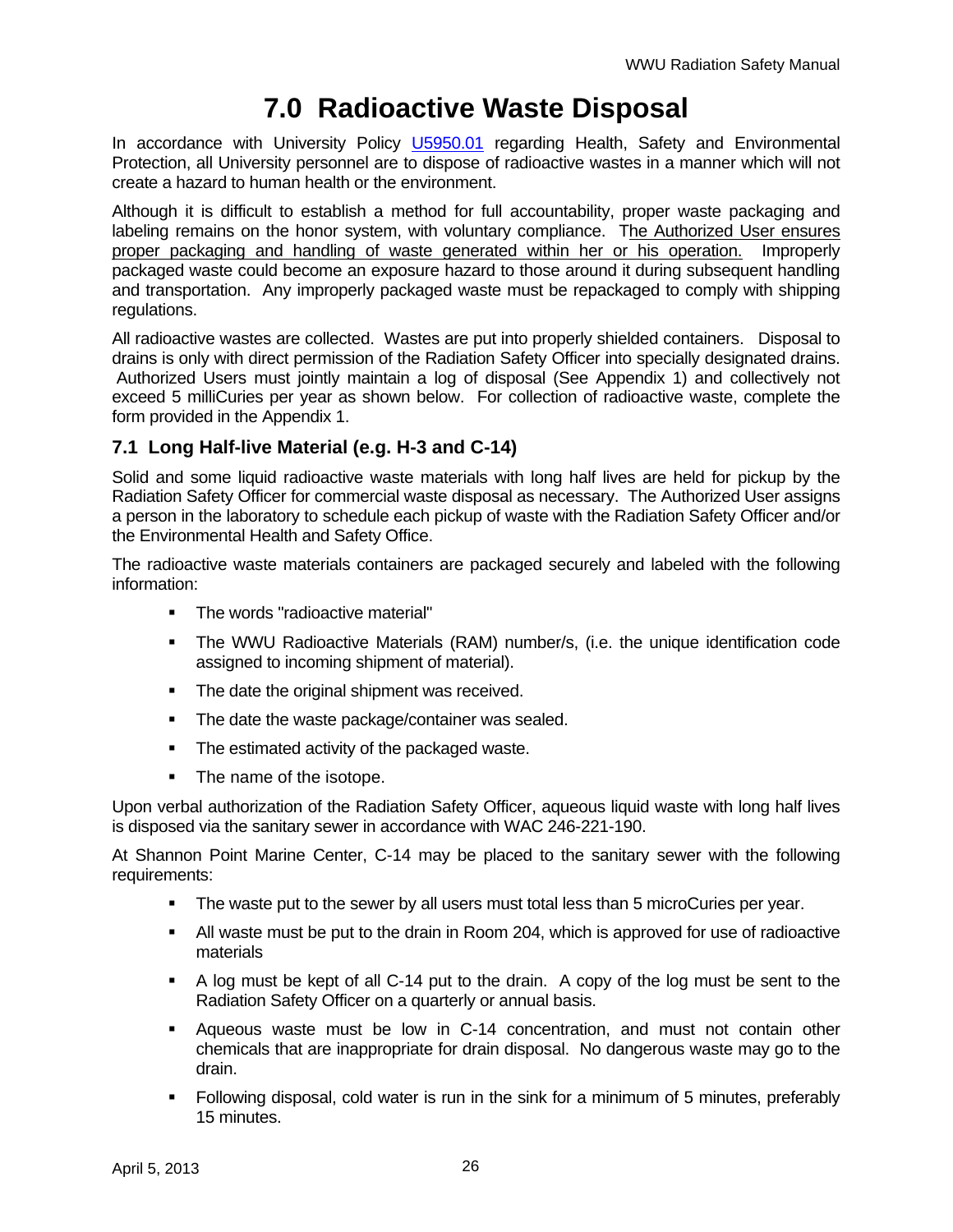## **7.0 Radioactive Waste Disposal**

In accordance with University Policy U5950.01 regarding Health, Safety and Environmental Protection, all University personnel are to dispose of radioactive wastes in a manner which will not create a hazard to human health or the environment.

Although it is difficult to establish a method for full accountability, proper waste packaging and labeling remains on the honor system, with voluntary compliance. The Authorized User ensures proper packaging and handling of waste generated within her or his operation. Improperly packaged waste could become an exposure hazard to those around it during subsequent handling and transportation. Any improperly packaged waste must be repackaged to comply with shipping regulations.

All radioactive wastes are collected. Wastes are put into properly shielded containers. Disposal to drains is only with direct permission of the Radiation Safety Officer into specially designated drains. Authorized Users must jointly maintain a log of disposal (See Appendix 1) and collectively not exceed 5 milliCuries per year as shown below. For collection of radioactive waste, complete the form provided in the Appendix 1.

### **7.1 Long Half-live Material (e.g. H-3 and C-14)**

Solid and some liquid radioactive waste materials with long half lives are held for pickup by the Radiation Safety Officer for commercial waste disposal as necessary. The Authorized User assigns a person in the laboratory to schedule each pickup of waste with the Radiation Safety Officer and/or the Environmental Health and Safety Office.

The radioactive waste materials containers are packaged securely and labeled with the following information:

- **The words "radioactive material"**
- The WWU Radioactive Materials (RAM) number/s, (i.e. the unique identification code assigned to incoming shipment of material).
- The date the original shipment was received.
- The date the waste package/container was sealed.
- The estimated activity of the packaged waste.
- The name of the isotope.

Upon verbal authorization of the Radiation Safety Officer, aqueous liquid waste with long half lives is disposed via the sanitary sewer in accordance with WAC 246-221-190.

At Shannon Point Marine Center, C-14 may be placed to the sanitary sewer with the following requirements:

- **The waste put to the sewer by all users must total less than 5 microCuries per year.**
- All waste must be put to the drain in Room 204, which is approved for use of radioactive materials
- A log must be kept of all C-14 put to the drain. A copy of the log must be sent to the Radiation Safety Officer on a quarterly or annual basis.
- Aqueous waste must be low in C-14 concentration, and must not contain other chemicals that are inappropriate for drain disposal. No dangerous waste may go to the drain.
- Following disposal, cold water is run in the sink for a minimum of 5 minutes, preferably 15 minutes.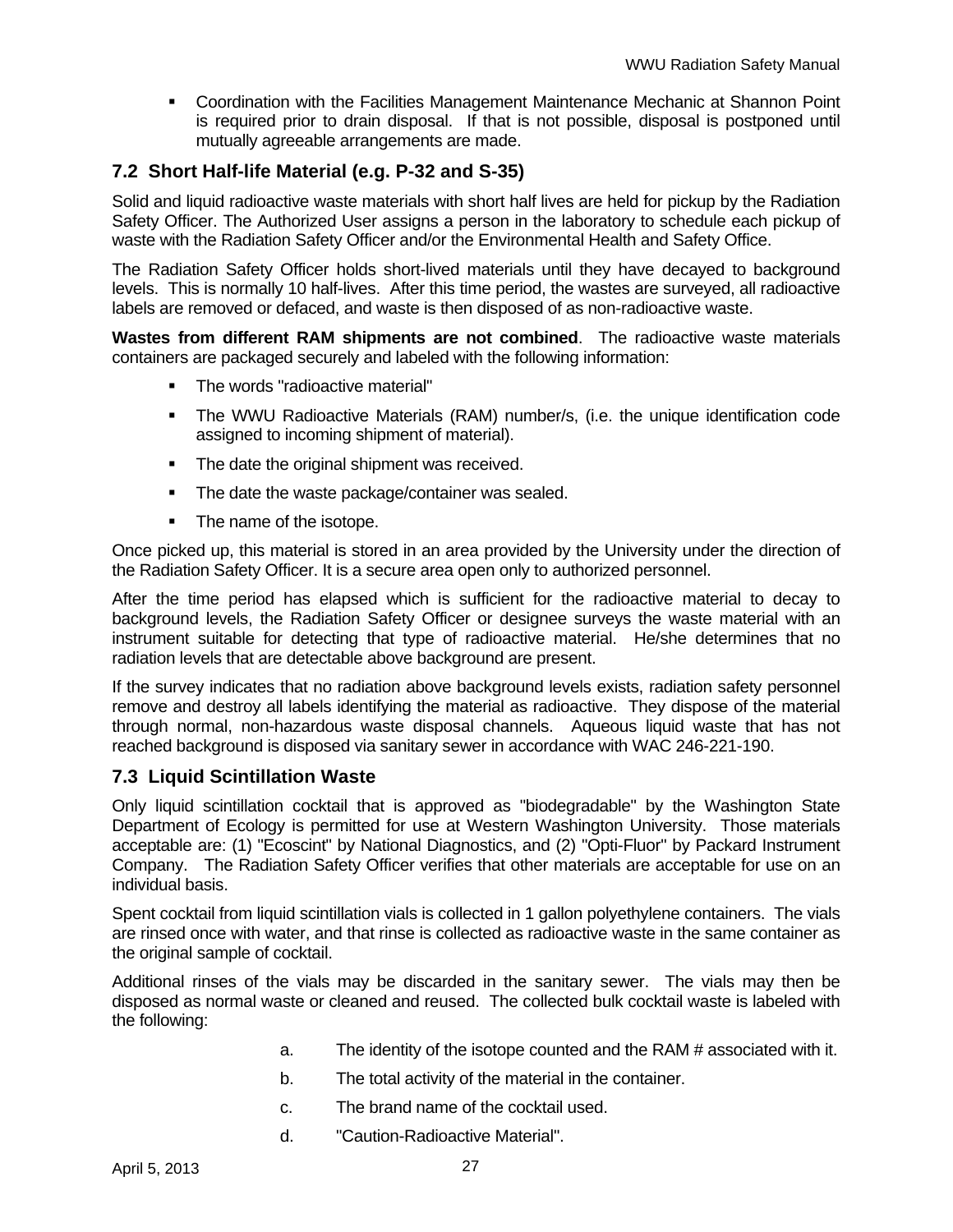Coordination with the Facilities Management Maintenance Mechanic at Shannon Point is required prior to drain disposal. If that is not possible, disposal is postponed until mutually agreeable arrangements are made.

### **7.2 Short Half-life Material (e.g. P-32 and S-35)**

Solid and liquid radioactive waste materials with short half lives are held for pickup by the Radiation Safety Officer. The Authorized User assigns a person in the laboratory to schedule each pickup of waste with the Radiation Safety Officer and/or the Environmental Health and Safety Office.

The Radiation Safety Officer holds short-lived materials until they have decayed to background levels. This is normally 10 half-lives. After this time period, the wastes are surveyed, all radioactive labels are removed or defaced, and waste is then disposed of as non-radioactive waste.

**Wastes from different RAM shipments are not combined**. The radioactive waste materials containers are packaged securely and labeled with the following information:

- **The words "radioactive material"**
- The WWU Radioactive Materials (RAM) number/s, (i.e. the unique identification code assigned to incoming shipment of material).
- The date the original shipment was received.
- **The date the waste package/container was sealed.**
- The name of the isotope.

Once picked up, this material is stored in an area provided by the University under the direction of the Radiation Safety Officer. It is a secure area open only to authorized personnel.

After the time period has elapsed which is sufficient for the radioactive material to decay to background levels, the Radiation Safety Officer or designee surveys the waste material with an instrument suitable for detecting that type of radioactive material. He/she determines that no radiation levels that are detectable above background are present.

If the survey indicates that no radiation above background levels exists, radiation safety personnel remove and destroy all labels identifying the material as radioactive. They dispose of the material through normal, non-hazardous waste disposal channels. Aqueous liquid waste that has not reached background is disposed via sanitary sewer in accordance with WAC 246-221-190.

### **7.3 Liquid Scintillation Waste**

Only liquid scintillation cocktail that is approved as "biodegradable" by the Washington State Department of Ecology is permitted for use at Western Washington University. Those materials acceptable are: (1) "Ecoscint" by National Diagnostics, and (2) "Opti-Fluor" by Packard Instrument Company. The Radiation Safety Officer verifies that other materials are acceptable for use on an individual basis.

Spent cocktail from liquid scintillation vials is collected in 1 gallon polyethylene containers. The vials are rinsed once with water, and that rinse is collected as radioactive waste in the same container as the original sample of cocktail.

Additional rinses of the vials may be discarded in the sanitary sewer. The vials may then be disposed as normal waste or cleaned and reused. The collected bulk cocktail waste is labeled with the following:

- a. The identity of the isotope counted and the RAM # associated with it.
- b. The total activity of the material in the container.
- c. The brand name of the cocktail used.
- d. "Caution-Radioactive Material".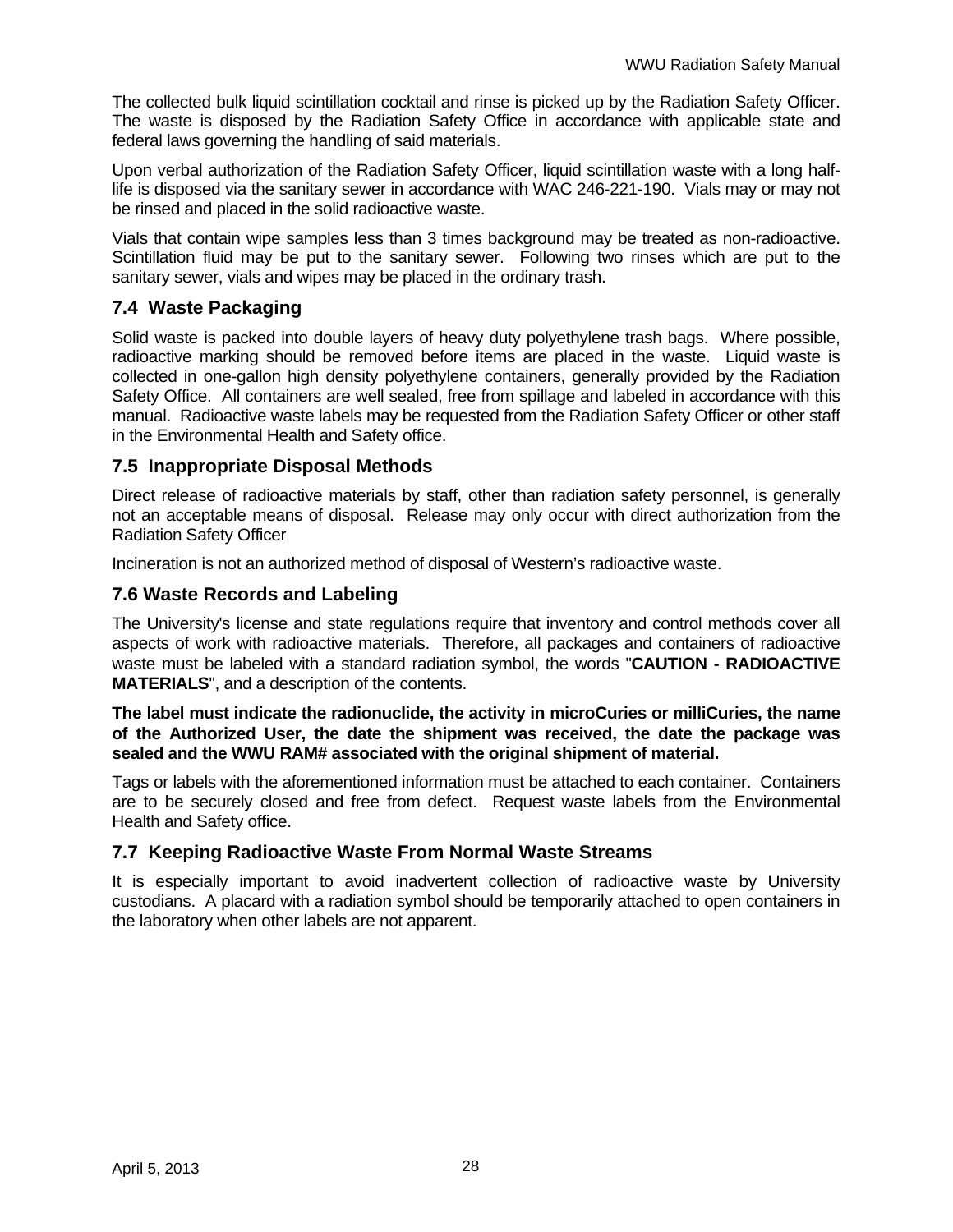The collected bulk liquid scintillation cocktail and rinse is picked up by the Radiation Safety Officer. The waste is disposed by the Radiation Safety Office in accordance with applicable state and federal laws governing the handling of said materials.

Upon verbal authorization of the Radiation Safety Officer, liquid scintillation waste with a long halflife is disposed via the sanitary sewer in accordance with WAC 246-221-190. Vials may or may not be rinsed and placed in the solid radioactive waste.

Vials that contain wipe samples less than 3 times background may be treated as non-radioactive. Scintillation fluid may be put to the sanitary sewer. Following two rinses which are put to the sanitary sewer, vials and wipes may be placed in the ordinary trash.

### **7.4 Waste Packaging**

Solid waste is packed into double layers of heavy duty polyethylene trash bags. Where possible, radioactive marking should be removed before items are placed in the waste. Liquid waste is collected in one-gallon high density polyethylene containers, generally provided by the Radiation Safety Office. All containers are well sealed, free from spillage and labeled in accordance with this manual. Radioactive waste labels may be requested from the Radiation Safety Officer or other staff in the Environmental Health and Safety office.

### **7.5 Inappropriate Disposal Methods**

Direct release of radioactive materials by staff, other than radiation safety personnel, is generally not an acceptable means of disposal. Release may only occur with direct authorization from the Radiation Safety Officer

Incineration is not an authorized method of disposal of Western's radioactive waste.

### **7.6 Waste Records and Labeling**

The University's license and state regulations require that inventory and control methods cover all aspects of work with radioactive materials. Therefore, all packages and containers of radioactive waste must be labeled with a standard radiation symbol, the words "**CAUTION - RADIOACTIVE MATERIALS**", and a description of the contents.

**The label must indicate the radionuclide, the activity in microCuries or milliCuries, the name of the Authorized User, the date the shipment was received, the date the package was sealed and the WWU RAM# associated with the original shipment of material.**

Tags or labels with the aforementioned information must be attached to each container. Containers are to be securely closed and free from defect. Request waste labels from the Environmental Health and Safety office.

### **7.7 Keeping Radioactive Waste From Normal Waste Streams**

It is especially important to avoid inadvertent collection of radioactive waste by University custodians. A placard with a radiation symbol should be temporarily attached to open containers in the laboratory when other labels are not apparent.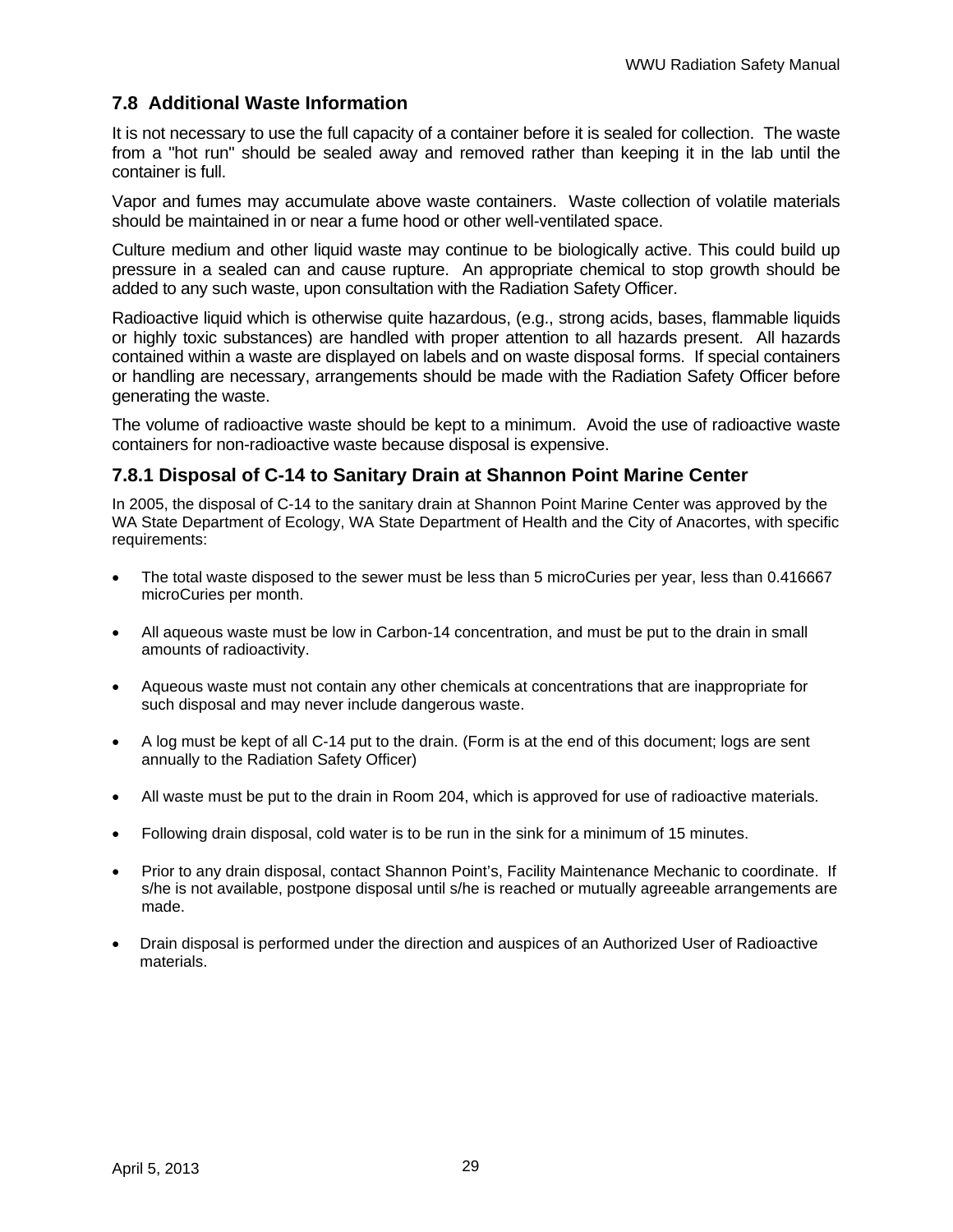### **7.8 Additional Waste Information**

It is not necessary to use the full capacity of a container before it is sealed for collection. The waste from a "hot run" should be sealed away and removed rather than keeping it in the lab until the container is full.

Vapor and fumes may accumulate above waste containers. Waste collection of volatile materials should be maintained in or near a fume hood or other well-ventilated space.

Culture medium and other liquid waste may continue to be biologically active. This could build up pressure in a sealed can and cause rupture. An appropriate chemical to stop growth should be added to any such waste, upon consultation with the Radiation Safety Officer.

Radioactive liquid which is otherwise quite hazardous, (e.g., strong acids, bases, flammable liquids or highly toxic substances) are handled with proper attention to all hazards present. All hazards contained within a waste are displayed on labels and on waste disposal forms. If special containers or handling are necessary, arrangements should be made with the Radiation Safety Officer before generating the waste.

The volume of radioactive waste should be kept to a minimum. Avoid the use of radioactive waste containers for non-radioactive waste because disposal is expensive.

### **7.8.1 Disposal of C-14 to Sanitary Drain at Shannon Point Marine Center**

In 2005, the disposal of C-14 to the sanitary drain at Shannon Point Marine Center was approved by the WA State Department of Ecology, WA State Department of Health and the City of Anacortes, with specific requirements:

- The total waste disposed to the sewer must be less than 5 microCuries per year, less than 0.416667 microCuries per month.
- All aqueous waste must be low in Carbon-14 concentration, and must be put to the drain in small amounts of radioactivity.
- Aqueous waste must not contain any other chemicals at concentrations that are inappropriate for such disposal and may never include dangerous waste.
- A log must be kept of all C-14 put to the drain. (Form is at the end of this document; logs are sent annually to the Radiation Safety Officer)
- All waste must be put to the drain in Room 204, which is approved for use of radioactive materials.
- Following drain disposal, cold water is to be run in the sink for a minimum of 15 minutes.
- Prior to any drain disposal, contact Shannon Point's, Facility Maintenance Mechanic to coordinate. If s/he is not available, postpone disposal until s/he is reached or mutually agreeable arrangements are made.
- Drain disposal is performed under the direction and auspices of an Authorized User of Radioactive materials.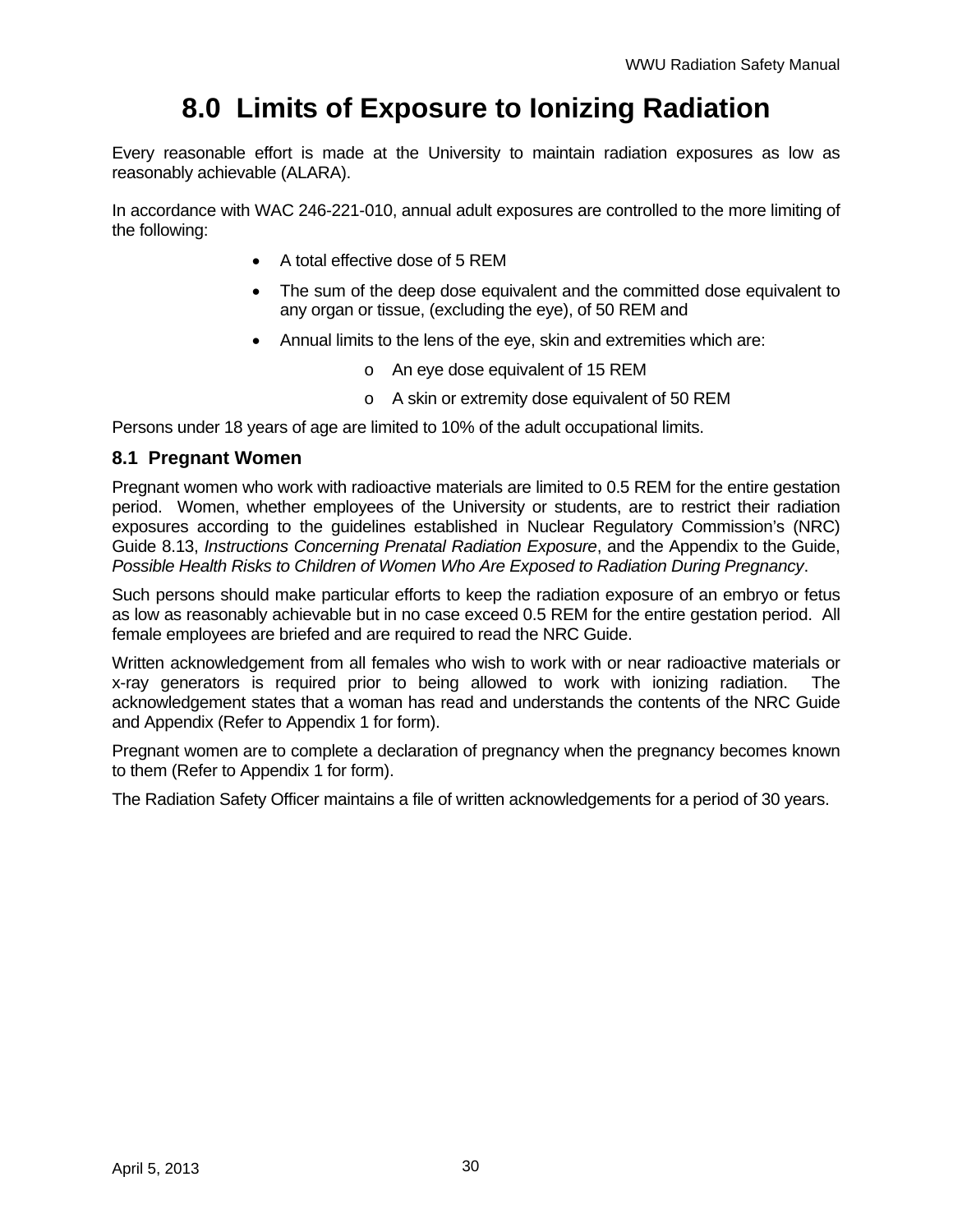# **8.0 Limits of Exposure to Ionizing Radiation**

Every reasonable effort is made at the University to maintain radiation exposures as low as reasonably achievable (ALARA).

In accordance with WAC 246-221-010, annual adult exposures are controlled to the more limiting of the following:

- A total effective dose of 5 REM
- The sum of the deep dose equivalent and the committed dose equivalent to any organ or tissue, (excluding the eye), of 50 REM and
- Annual limits to the lens of the eye, skin and extremities which are:
	- o An eye dose equivalent of 15 REM
	- o A skin or extremity dose equivalent of 50 REM

Persons under 18 years of age are limited to 10% of the adult occupational limits.

#### **8.1 Pregnant Women**

Pregnant women who work with radioactive materials are limited to 0.5 REM for the entire gestation period. Women, whether employees of the University or students, are to restrict their radiation exposures according to the guidelines established in Nuclear Regulatory Commission's (NRC) Guide 8.13, *Instructions Concerning Prenatal Radiation Exposure*, and the Appendix to the Guide, *Possible Health Risks to Children of Women Who Are Exposed to Radiation During Pregnancy*.

Such persons should make particular efforts to keep the radiation exposure of an embryo or fetus as low as reasonably achievable but in no case exceed 0.5 REM for the entire gestation period. All female employees are briefed and are required to read the NRC Guide.

Written acknowledgement from all females who wish to work with or near radioactive materials or x-ray generators is required prior to being allowed to work with ionizing radiation. The acknowledgement states that a woman has read and understands the contents of the NRC Guide and Appendix (Refer to Appendix 1 for form).

Pregnant women are to complete a declaration of pregnancy when the pregnancy becomes known to them (Refer to Appendix 1 for form).

The Radiation Safety Officer maintains a file of written acknowledgements for a period of 30 years.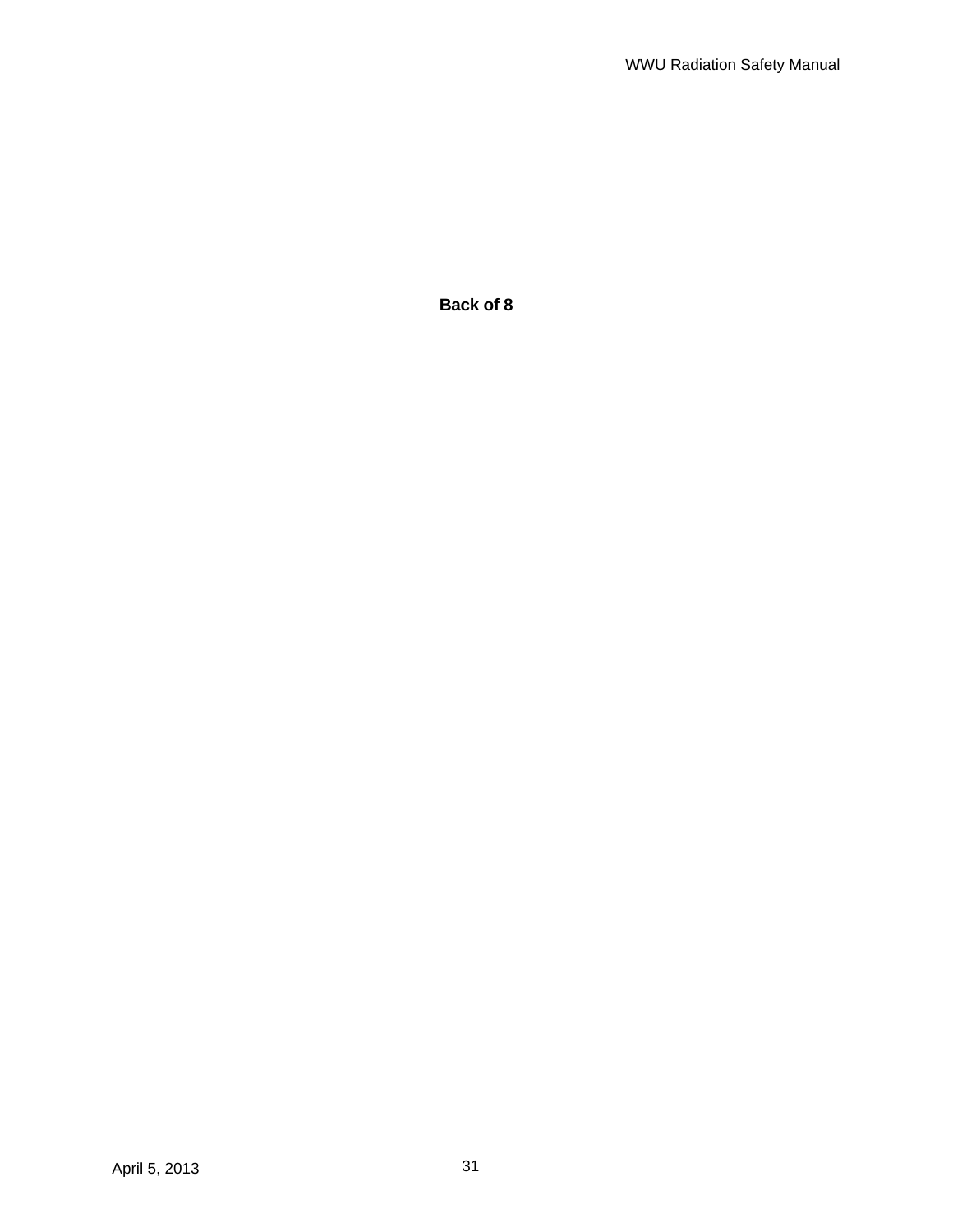**Back of 8**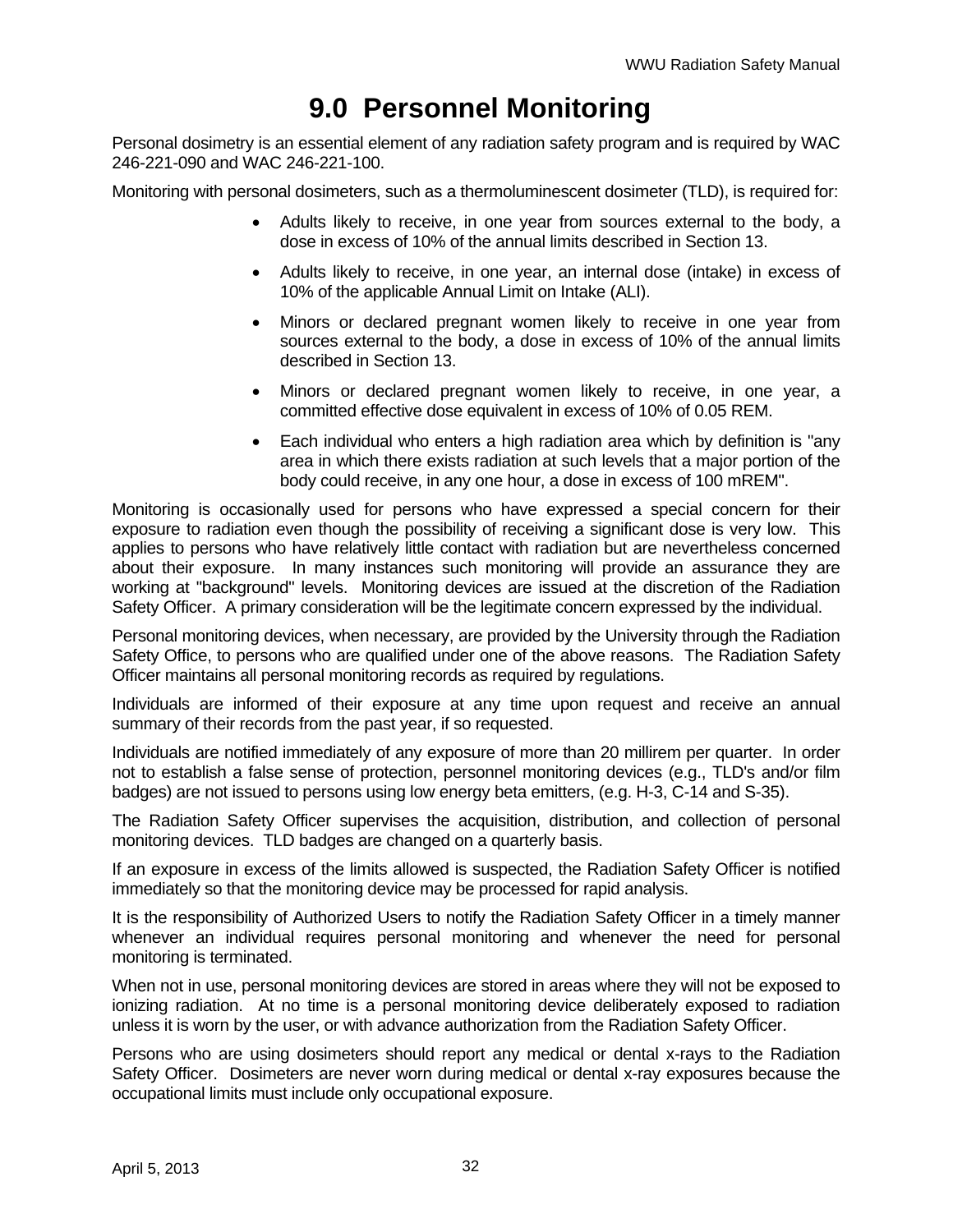## **9.0 Personnel Monitoring**

Personal dosimetry is an essential element of any radiation safety program and is required by WAC 246-221-090 and WAC 246-221-100.

Monitoring with personal dosimeters, such as a thermoluminescent dosimeter (TLD), is required for:

- Adults likely to receive, in one year from sources external to the body, a dose in excess of 10% of the annual limits described in Section 13.
- Adults likely to receive, in one year, an internal dose (intake) in excess of 10% of the applicable Annual Limit on Intake (ALI).
- Minors or declared pregnant women likely to receive in one year from sources external to the body, a dose in excess of 10% of the annual limits described in Section 13.
- Minors or declared pregnant women likely to receive, in one year, a committed effective dose equivalent in excess of 10% of 0.05 REM.
- Each individual who enters a high radiation area which by definition is "any area in which there exists radiation at such levels that a major portion of the body could receive, in any one hour, a dose in excess of 100 mREM".

Monitoring is occasionally used for persons who have expressed a special concern for their exposure to radiation even though the possibility of receiving a significant dose is very low. This applies to persons who have relatively little contact with radiation but are nevertheless concerned about their exposure. In many instances such monitoring will provide an assurance they are working at "background" levels. Monitoring devices are issued at the discretion of the Radiation Safety Officer. A primary consideration will be the legitimate concern expressed by the individual.

Personal monitoring devices, when necessary, are provided by the University through the Radiation Safety Office, to persons who are qualified under one of the above reasons. The Radiation Safety Officer maintains all personal monitoring records as required by regulations.

Individuals are informed of their exposure at any time upon request and receive an annual summary of their records from the past year, if so requested.

Individuals are notified immediately of any exposure of more than 20 millirem per quarter. In order not to establish a false sense of protection, personnel monitoring devices (e.g., TLD's and/or film badges) are not issued to persons using low energy beta emitters, (e.g. H-3, C-14 and S-35).

The Radiation Safety Officer supervises the acquisition, distribution, and collection of personal monitoring devices. TLD badges are changed on a quarterly basis.

If an exposure in excess of the limits allowed is suspected, the Radiation Safety Officer is notified immediately so that the monitoring device may be processed for rapid analysis.

It is the responsibility of Authorized Users to notify the Radiation Safety Officer in a timely manner whenever an individual requires personal monitoring and whenever the need for personal monitoring is terminated.

When not in use, personal monitoring devices are stored in areas where they will not be exposed to ionizing radiation. At no time is a personal monitoring device deliberately exposed to radiation unless it is worn by the user, or with advance authorization from the Radiation Safety Officer.

Persons who are using dosimeters should report any medical or dental x-rays to the Radiation Safety Officer. Dosimeters are never worn during medical or dental x-ray exposures because the occupational limits must include only occupational exposure.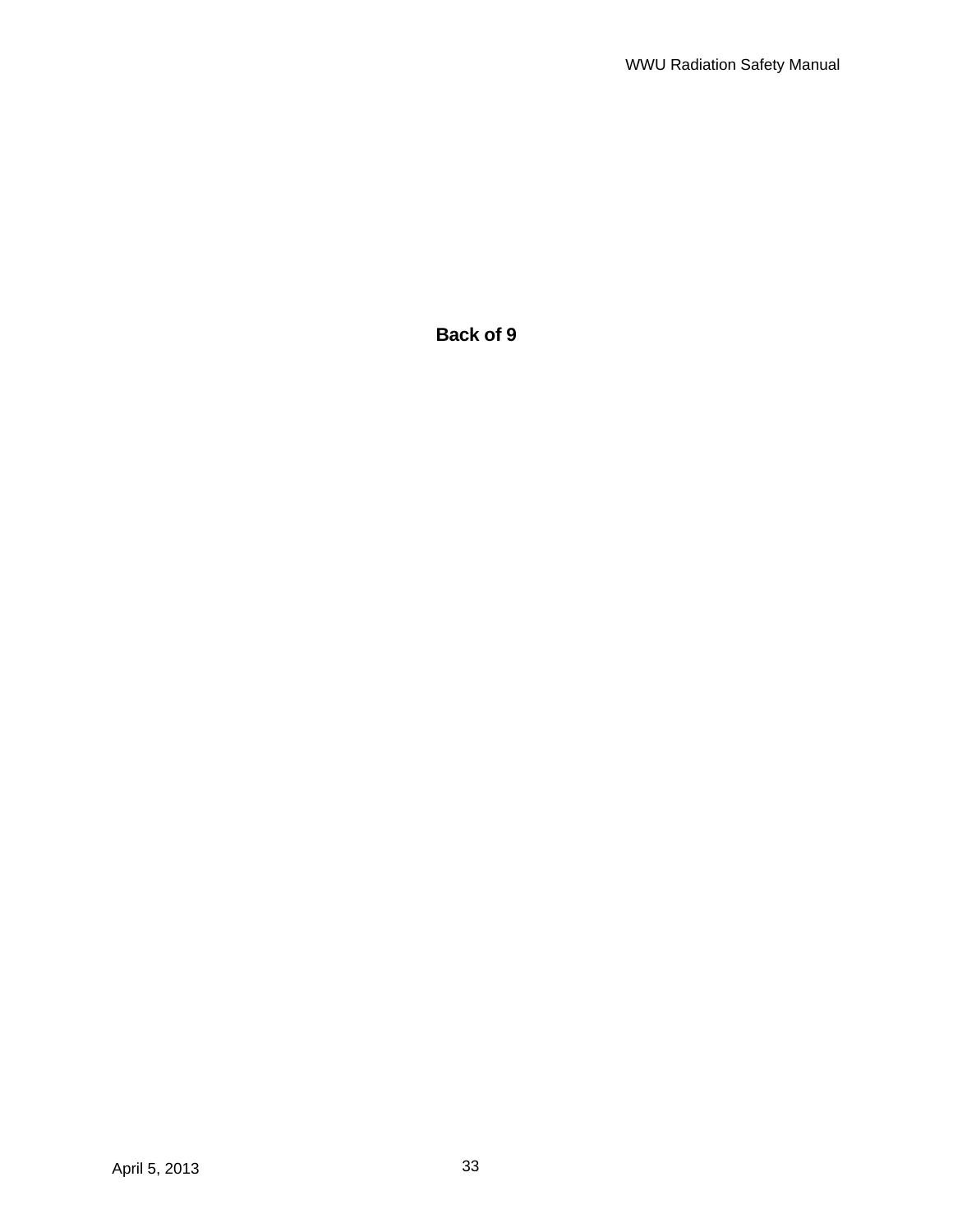**Back of 9**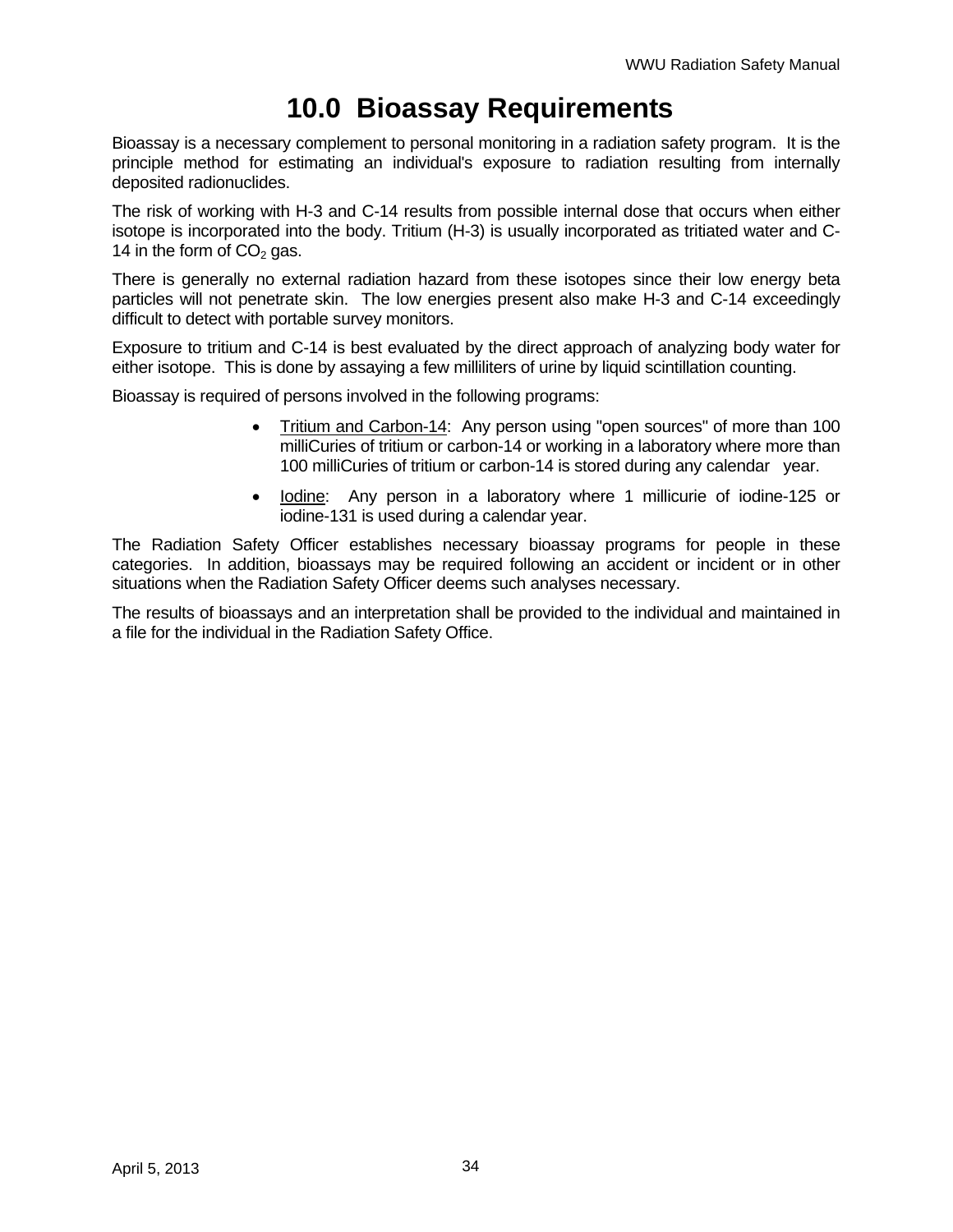## **10.0 Bioassay Requirements**

Bioassay is a necessary complement to personal monitoring in a radiation safety program. It is the principle method for estimating an individual's exposure to radiation resulting from internally deposited radionuclides.

The risk of working with H-3 and C-14 results from possible internal dose that occurs when either isotope is incorporated into the body. Tritium (H-3) is usually incorporated as tritiated water and C-14 in the form of  $CO<sub>2</sub>$  gas.

There is generally no external radiation hazard from these isotopes since their low energy beta particles will not penetrate skin. The low energies present also make H-3 and C-14 exceedingly difficult to detect with portable survey monitors.

Exposure to tritium and C-14 is best evaluated by the direct approach of analyzing body water for either isotope. This is done by assaying a few milliliters of urine by liquid scintillation counting.

Bioassay is required of persons involved in the following programs:

- Tritium and Carbon-14: Any person using "open sources" of more than 100 milliCuries of tritium or carbon-14 or working in a laboratory where more than 100 milliCuries of tritium or carbon-14 is stored during any calendar year.
- lodine: Any person in a laboratory where 1 millicurie of iodine-125 or iodine-131 is used during a calendar year.

The Radiation Safety Officer establishes necessary bioassay programs for people in these categories. In addition, bioassays may be required following an accident or incident or in other situations when the Radiation Safety Officer deems such analyses necessary.

The results of bioassays and an interpretation shall be provided to the individual and maintained in a file for the individual in the Radiation Safety Office.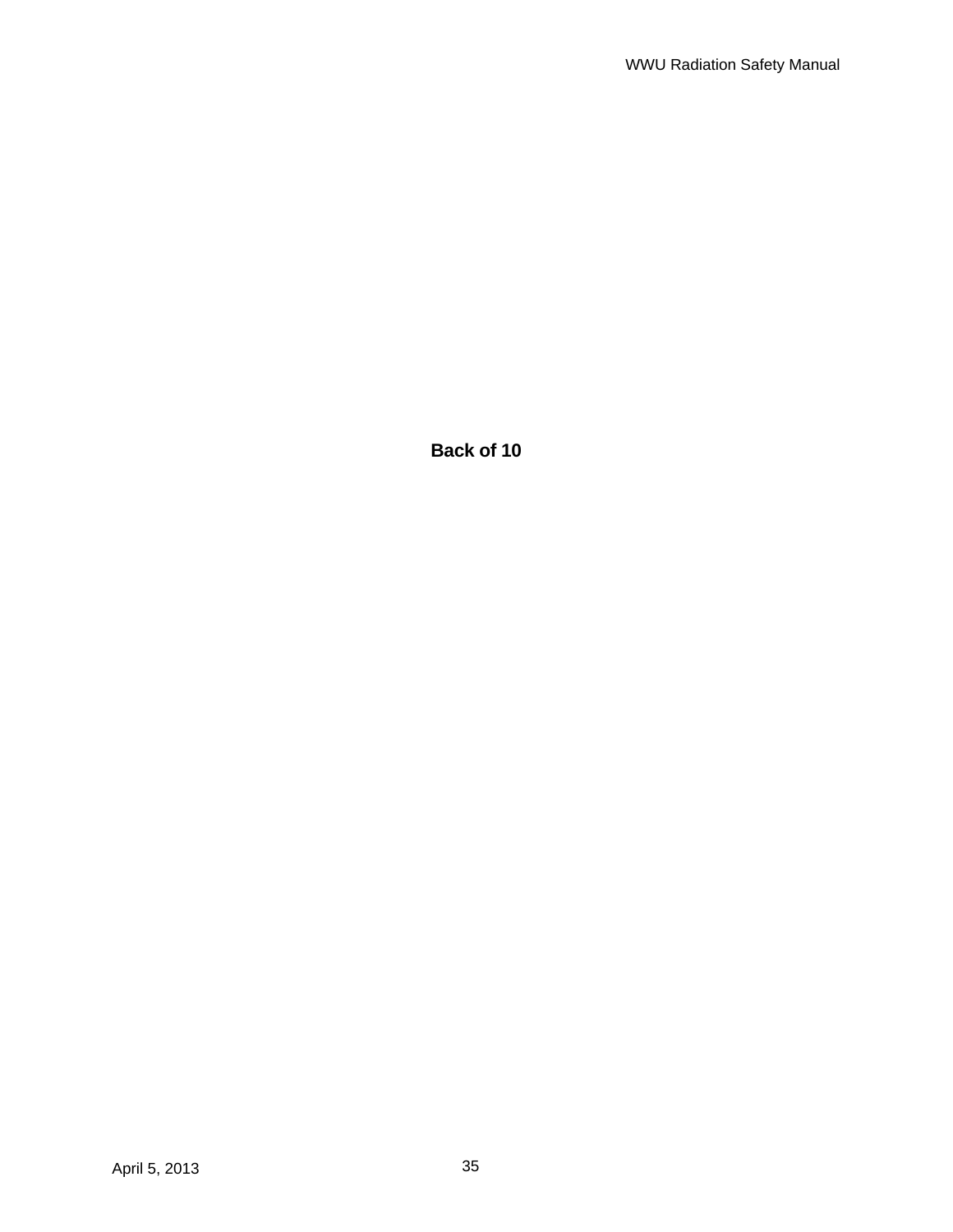**Back of 10**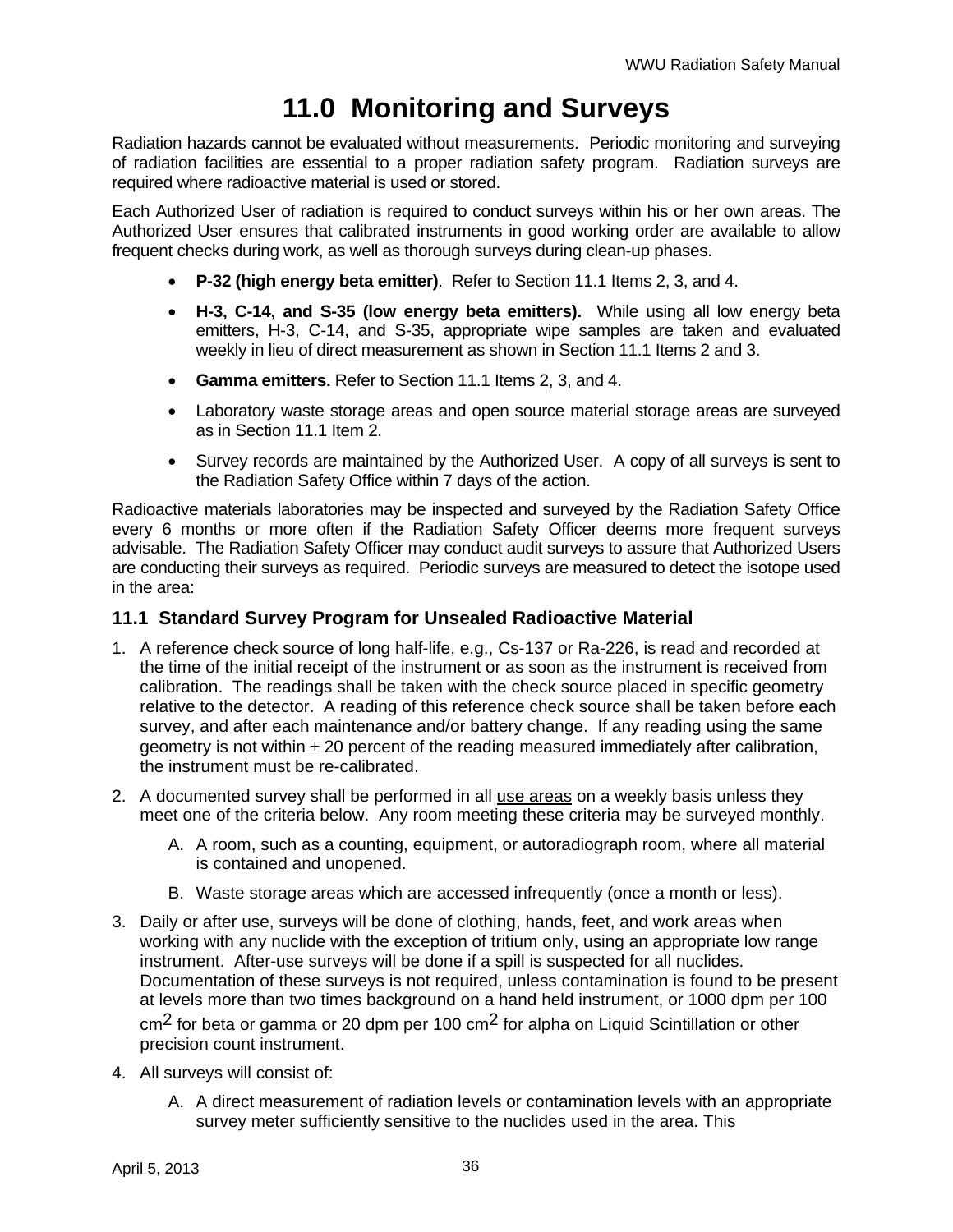# **11.0 Monitoring and Surveys**

Radiation hazards cannot be evaluated without measurements. Periodic monitoring and surveying of radiation facilities are essential to a proper radiation safety program. Radiation surveys are required where radioactive material is used or stored.

Each Authorized User of radiation is required to conduct surveys within his or her own areas. The Authorized User ensures that calibrated instruments in good working order are available to allow frequent checks during work, as well as thorough surveys during clean-up phases.

- **P-32 (high energy beta emitter)**. Refer to Section 11.1 Items 2, 3, and 4.
- **H-3, C-14, and S-35 (low energy beta emitters).** While using all low energy beta emitters, H-3, C-14, and S-35, appropriate wipe samples are taken and evaluated weekly in lieu of direct measurement as shown in Section 11.1 Items 2 and 3.
- **Gamma emitters.** Refer to Section 11.1 Items 2, 3, and 4.
- Laboratory waste storage areas and open source material storage areas are surveyed as in Section 11.1 Item 2.
- Survey records are maintained by the Authorized User. A copy of all surveys is sent to the Radiation Safety Office within 7 days of the action.

Radioactive materials laboratories may be inspected and surveyed by the Radiation Safety Office every 6 months or more often if the Radiation Safety Officer deems more frequent surveys advisable. The Radiation Safety Officer may conduct audit surveys to assure that Authorized Users are conducting their surveys as required. Periodic surveys are measured to detect the isotope used in the area:

#### **11.1 Standard Survey Program for Unsealed Radioactive Material**

- 1. A reference check source of long half-life, e.g., Cs-137 or Ra-226, is read and recorded at the time of the initial receipt of the instrument or as soon as the instrument is received from calibration. The readings shall be taken with the check source placed in specific geometry relative to the detector. A reading of this reference check source shall be taken before each survey, and after each maintenance and/or battery change. If any reading using the same geometry is not within  $\pm 20$  percent of the reading measured immediately after calibration, the instrument must be re-calibrated.
- 2. A documented survey shall be performed in all use areas on a weekly basis unless they meet one of the criteria below. Any room meeting these criteria may be surveyed monthly.
	- A. A room, such as a counting, equipment, or autoradiograph room, where all material is contained and unopened.
	- B. Waste storage areas which are accessed infrequently (once a month or less).
- 3. Daily or after use, surveys will be done of clothing, hands, feet, and work areas when working with any nuclide with the exception of tritium only, using an appropriate low range instrument. After-use surveys will be done if a spill is suspected for all nuclides. Documentation of these surveys is not required, unless contamination is found to be present at levels more than two times background on a hand held instrument, or 1000 dpm per 100 cm2 for beta or gamma or 20 dpm per 100 cm2 for alpha on Liquid Scintillation or other precision count instrument.
- 4. All surveys will consist of:
	- A. A direct measurement of radiation levels or contamination levels with an appropriate survey meter sufficiently sensitive to the nuclides used in the area. This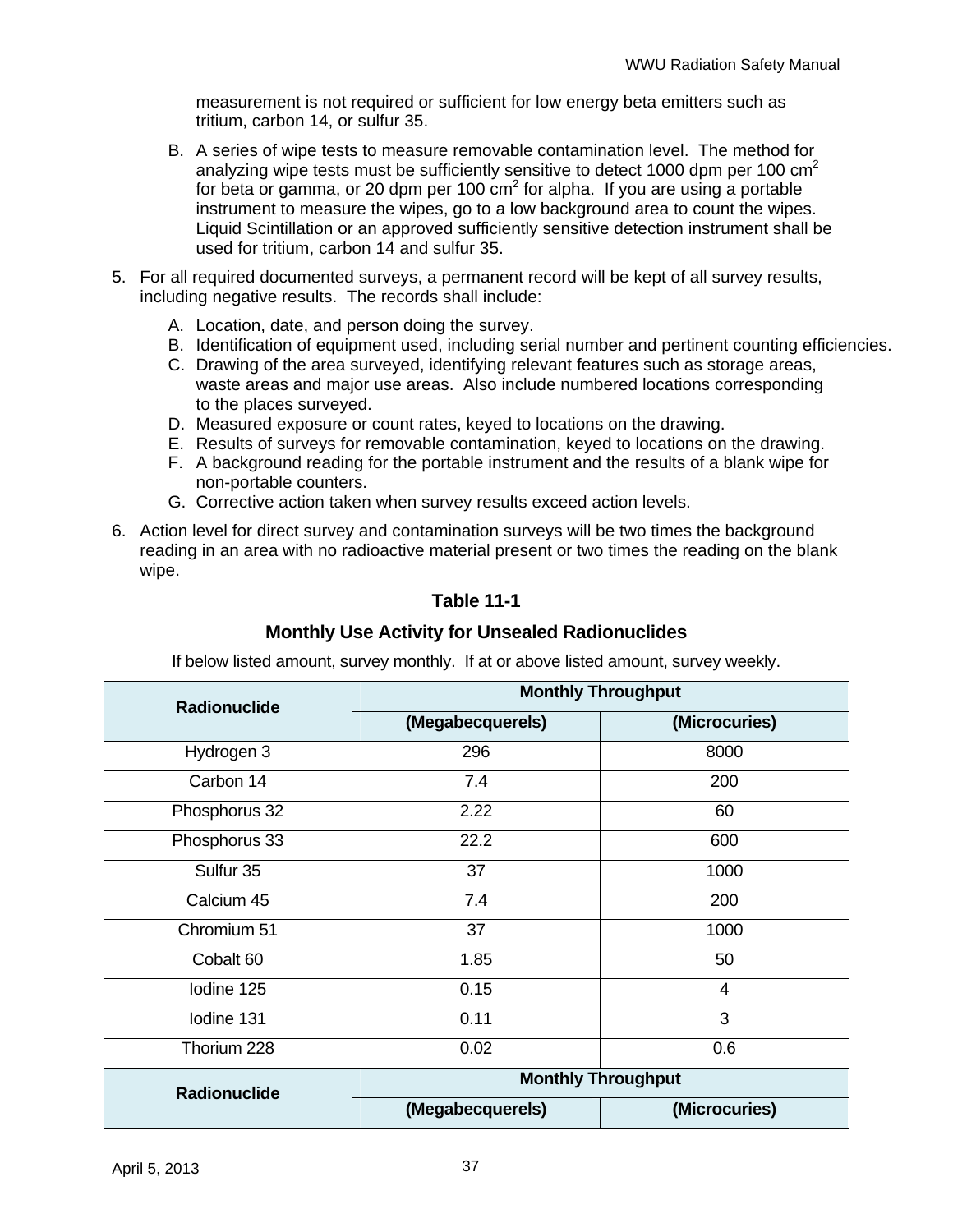measurement is not required or sufficient for low energy beta emitters such as tritium, carbon 14, or sulfur 35.

- B. A series of wipe tests to measure removable contamination level. The method for analyzing wipe tests must be sufficiently sensitive to detect 1000 dpm per 100  $\text{cm}^2$ for beta or gamma, or 20 dpm per 100 cm<sup>2</sup> for alpha. If you are using a portable instrument to measure the wipes, go to a low background area to count the wipes. Liquid Scintillation or an approved sufficiently sensitive detection instrument shall be used for tritium, carbon 14 and sulfur 35.
- 5. For all required documented surveys, a permanent record will be kept of all survey results, including negative results. The records shall include:
	- A. Location, date, and person doing the survey.
	- B. Identification of equipment used, including serial number and pertinent counting efficiencies.
	- C. Drawing of the area surveyed, identifying relevant features such as storage areas, waste areas and major use areas. Also include numbered locations corresponding to the places surveyed.
	- D. Measured exposure or count rates, keyed to locations on the drawing.
	- E. Results of surveys for removable contamination, keyed to locations on the drawing.
	- F. A background reading for the portable instrument and the results of a blank wipe for non-portable counters.
	- G. Corrective action taken when survey results exceed action levels.
- 6. Action level for direct survey and contamination surveys will be two times the background reading in an area with no radioactive material present or two times the reading on the blank wipe.

## **Table 11-1**

#### **Monthly Use Activity for Unsealed Radionuclides**

If below listed amount, survey monthly. If at or above listed amount, survey weekly.

| <b>Radionuclide</b> | <b>Monthly Throughput</b> |               |  |
|---------------------|---------------------------|---------------|--|
|                     | (Megabecquerels)          | (Microcuries) |  |
| Hydrogen 3          | 296                       | 8000          |  |
| Carbon 14           | 7.4                       | 200           |  |
| Phosphorus 32       | 2.22                      | 60            |  |
| Phosphorus 33       | 22.2                      | 600           |  |
| Sulfur 35           | 37                        | 1000          |  |
| Calcium 45          | 7.4                       | 200           |  |
| Chromium 51         | 37                        | 1000          |  |
| Cobalt 60           | 1.85                      | 50            |  |
| Iodine 125          | 0.15                      | 4             |  |
| Iodine 131          | 0.11                      | 3             |  |
| Thorium 228         | 0.02                      | 0.6           |  |
| <b>Radionuclide</b> | <b>Monthly Throughput</b> |               |  |
|                     | (Megabecquerels)          | (Microcuries) |  |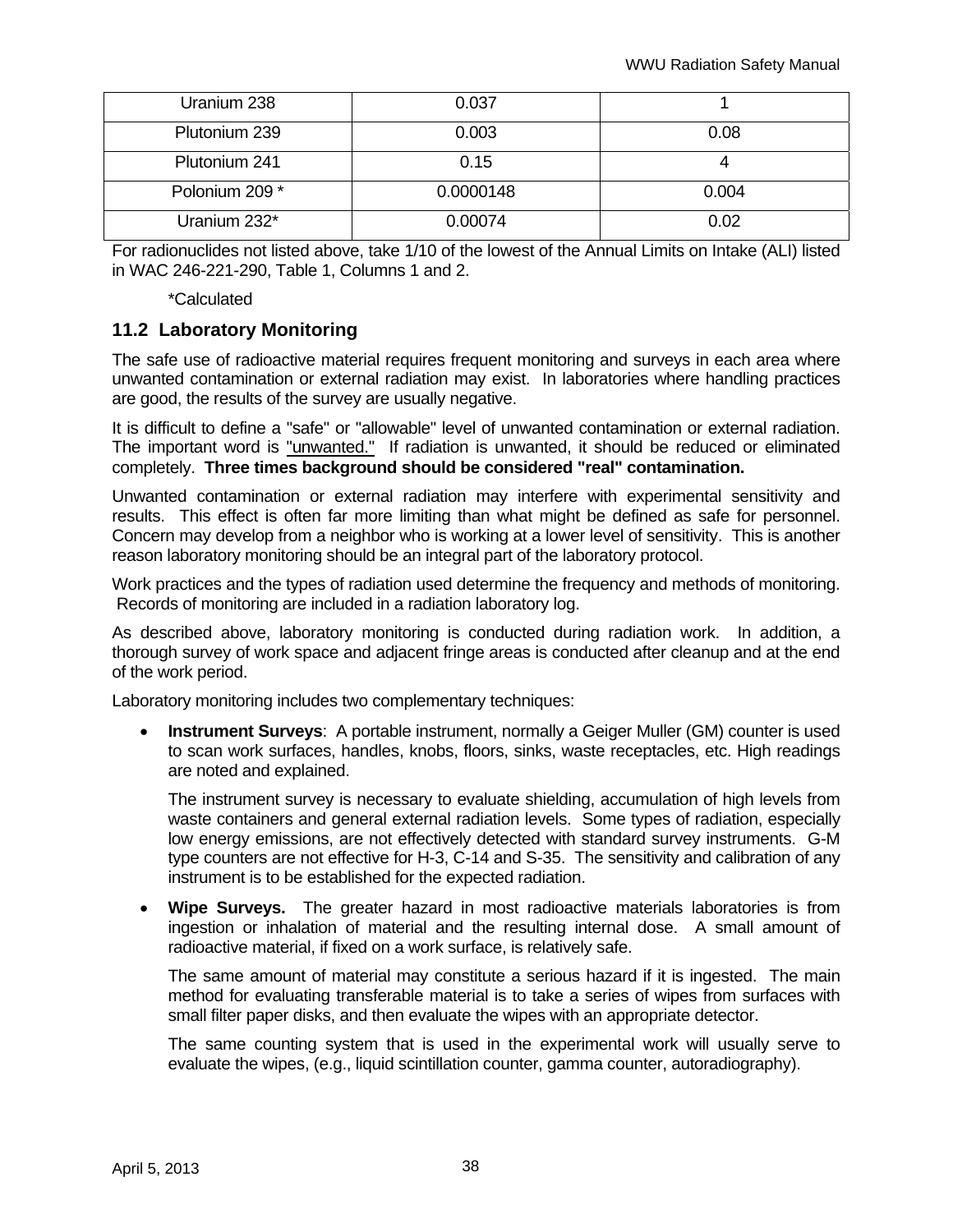| Uranium 238    | 0.037     |       |
|----------------|-----------|-------|
| Plutonium 239  | 0.003     | 0.08  |
| Plutonium 241  | 0.15      |       |
| Polonium 209 * | 0.0000148 | 0.004 |
| Uranium 232*   | 0.00074   | 0.02  |

For radionuclides not listed above, take 1/10 of the lowest of the Annual Limits on Intake (ALI) listed in WAC 246-221-290, Table 1, Columns 1 and 2.

\*Calculated

#### **11.2 Laboratory Monitoring**

The safe use of radioactive material requires frequent monitoring and surveys in each area where unwanted contamination or external radiation may exist. In laboratories where handling practices are good, the results of the survey are usually negative.

It is difficult to define a "safe" or "allowable" level of unwanted contamination or external radiation. The important word is "unwanted." If radiation is unwanted, it should be reduced or eliminated completely. **Three times background should be considered "real" contamination.**

Unwanted contamination or external radiation may interfere with experimental sensitivity and results. This effect is often far more limiting than what might be defined as safe for personnel. Concern may develop from a neighbor who is working at a lower level of sensitivity. This is another reason laboratory monitoring should be an integral part of the laboratory protocol.

Work practices and the types of radiation used determine the frequency and methods of monitoring. Records of monitoring are included in a radiation laboratory log.

As described above, laboratory monitoring is conducted during radiation work. In addition, a thorough survey of work space and adjacent fringe areas is conducted after cleanup and at the end of the work period.

Laboratory monitoring includes two complementary techniques:

 **Instrument Surveys**: A portable instrument, normally a Geiger Muller (GM) counter is used to scan work surfaces, handles, knobs, floors, sinks, waste receptacles, etc. High readings are noted and explained.

The instrument survey is necessary to evaluate shielding, accumulation of high levels from waste containers and general external radiation levels. Some types of radiation, especially low energy emissions, are not effectively detected with standard survey instruments. G-M type counters are not effective for H-3, C-14 and S-35. The sensitivity and calibration of any instrument is to be established for the expected radiation.

 **Wipe Surveys.** The greater hazard in most radioactive materials laboratories is from ingestion or inhalation of material and the resulting internal dose. A small amount of radioactive material, if fixed on a work surface, is relatively safe.

The same amount of material may constitute a serious hazard if it is ingested. The main method for evaluating transferable material is to take a series of wipes from surfaces with small filter paper disks, and then evaluate the wipes with an appropriate detector.

The same counting system that is used in the experimental work will usually serve to evaluate the wipes, (e.g., liquid scintillation counter, gamma counter, autoradiography).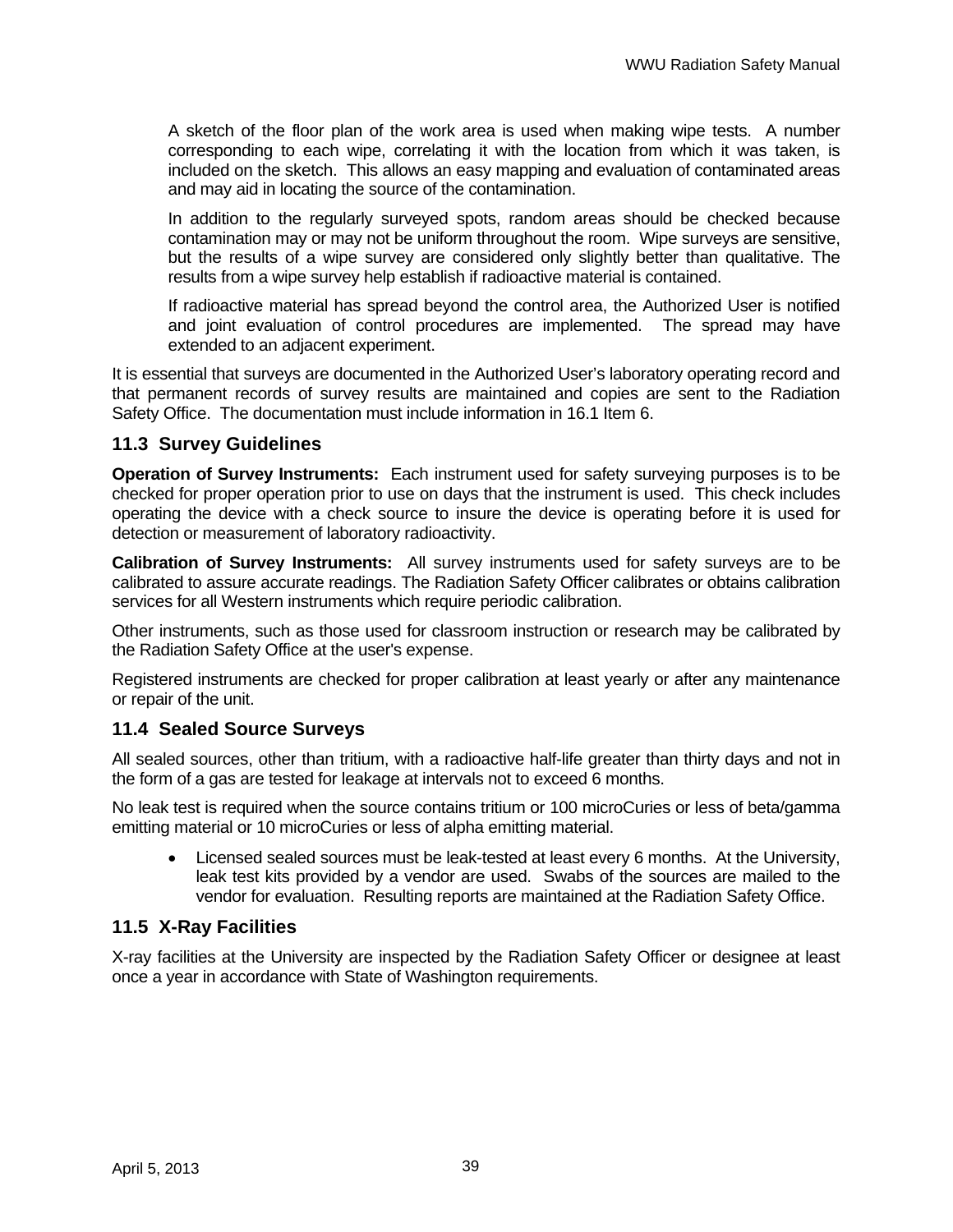A sketch of the floor plan of the work area is used when making wipe tests. A number corresponding to each wipe, correlating it with the location from which it was taken, is included on the sketch. This allows an easy mapping and evaluation of contaminated areas and may aid in locating the source of the contamination.

In addition to the regularly surveyed spots, random areas should be checked because contamination may or may not be uniform throughout the room. Wipe surveys are sensitive, but the results of a wipe survey are considered only slightly better than qualitative. The results from a wipe survey help establish if radioactive material is contained.

If radioactive material has spread beyond the control area, the Authorized User is notified and joint evaluation of control procedures are implemented. The spread may have extended to an adjacent experiment.

It is essential that surveys are documented in the Authorized User's laboratory operating record and that permanent records of survey results are maintained and copies are sent to the Radiation Safety Office. The documentation must include information in 16.1 Item 6.

### **11.3 Survey Guidelines**

**Operation of Survey Instruments:** Each instrument used for safety surveying purposes is to be checked for proper operation prior to use on days that the instrument is used. This check includes operating the device with a check source to insure the device is operating before it is used for detection or measurement of laboratory radioactivity.

**Calibration of Survey Instruments:** All survey instruments used for safety surveys are to be calibrated to assure accurate readings. The Radiation Safety Officer calibrates or obtains calibration services for all Western instruments which require periodic calibration.

Other instruments, such as those used for classroom instruction or research may be calibrated by the Radiation Safety Office at the user's expense.

Registered instruments are checked for proper calibration at least yearly or after any maintenance or repair of the unit.

## **11.4 Sealed Source Surveys**

All sealed sources, other than tritium, with a radioactive half-life greater than thirty days and not in the form of a gas are tested for leakage at intervals not to exceed 6 months.

No leak test is required when the source contains tritium or 100 microCuries or less of beta/gamma emitting material or 10 microCuries or less of alpha emitting material.

 Licensed sealed sources must be leak-tested at least every 6 months. At the University, leak test kits provided by a vendor are used. Swabs of the sources are mailed to the vendor for evaluation. Resulting reports are maintained at the Radiation Safety Office.

## **11.5 X-Ray Facilities**

X-ray facilities at the University are inspected by the Radiation Safety Officer or designee at least once a year in accordance with State of Washington requirements.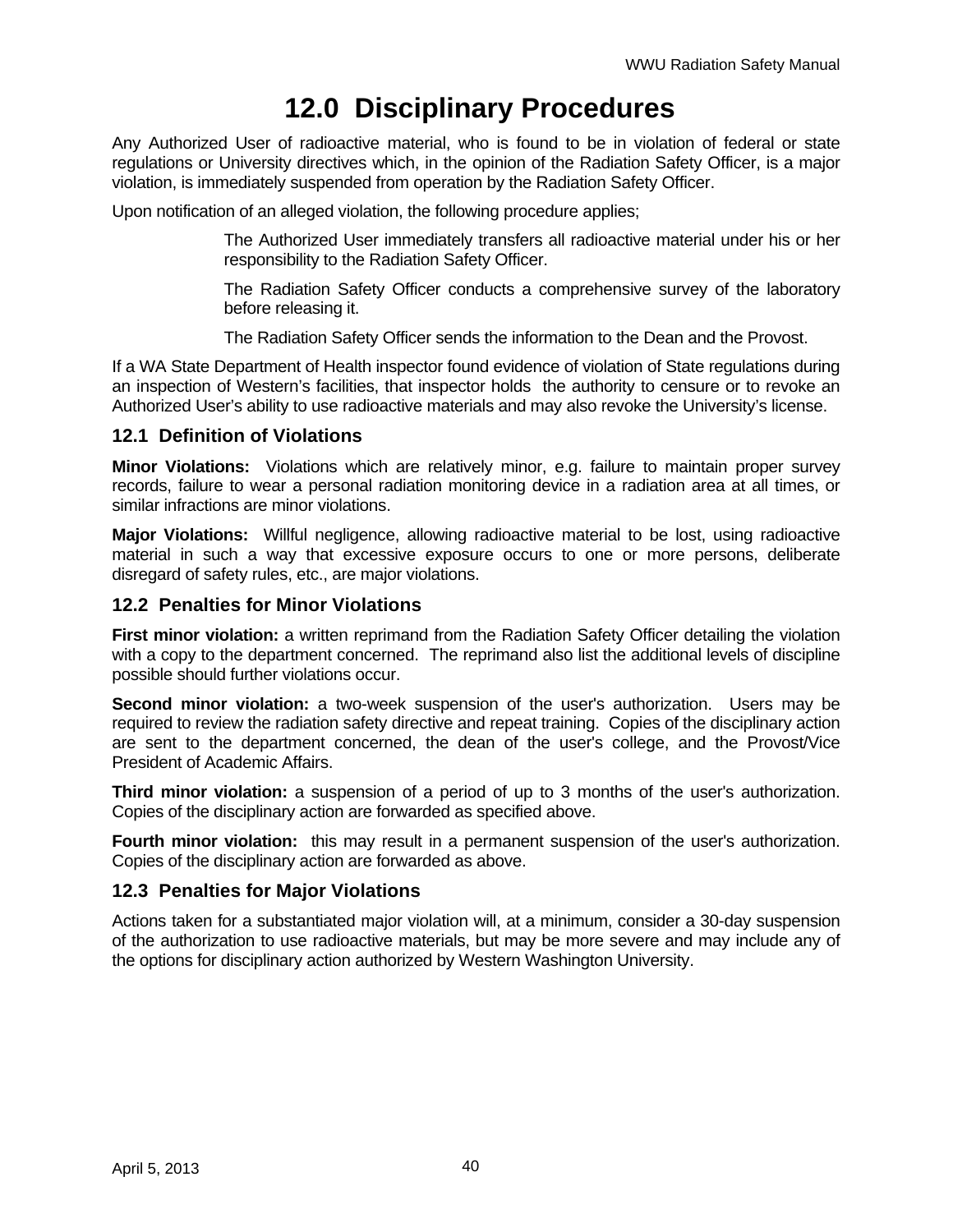# **12.0 Disciplinary Procedures**

Any Authorized User of radioactive material, who is found to be in violation of federal or state regulations or University directives which, in the opinion of the Radiation Safety Officer, is a major violation, is immediately suspended from operation by the Radiation Safety Officer.

Upon notification of an alleged violation, the following procedure applies;

The Authorized User immediately transfers all radioactive material under his or her responsibility to the Radiation Safety Officer.

The Radiation Safety Officer conducts a comprehensive survey of the laboratory before releasing it.

The Radiation Safety Officer sends the information to the Dean and the Provost.

If a WA State Department of Health inspector found evidence of violation of State regulations during an inspection of Western's facilities, that inspector holds the authority to censure or to revoke an Authorized User's ability to use radioactive materials and may also revoke the University's license.

#### **12.1 Definition of Violations**

**Minor Violations:** Violations which are relatively minor, e.g. failure to maintain proper survey records, failure to wear a personal radiation monitoring device in a radiation area at all times, or similar infractions are minor violations.

**Major Violations:** Willful negligence, allowing radioactive material to be lost, using radioactive material in such a way that excessive exposure occurs to one or more persons, deliberate disregard of safety rules, etc., are major violations.

#### **12.2 Penalties for Minor Violations**

**First minor violation:** a written reprimand from the Radiation Safety Officer detailing the violation with a copy to the department concerned. The reprimand also list the additional levels of discipline possible should further violations occur.

**Second minor violation:** a two-week suspension of the user's authorization. Users may be required to review the radiation safety directive and repeat training. Copies of the disciplinary action are sent to the department concerned, the dean of the user's college, and the Provost/Vice President of Academic Affairs.

**Third minor violation:** a suspension of a period of up to 3 months of the user's authorization. Copies of the disciplinary action are forwarded as specified above.

**Fourth minor violation:** this may result in a permanent suspension of the user's authorization. Copies of the disciplinary action are forwarded as above.

#### **12.3 Penalties for Major Violations**

Actions taken for a substantiated major violation will, at a minimum, consider a 30-day suspension of the authorization to use radioactive materials, but may be more severe and may include any of the options for disciplinary action authorized by Western Washington University.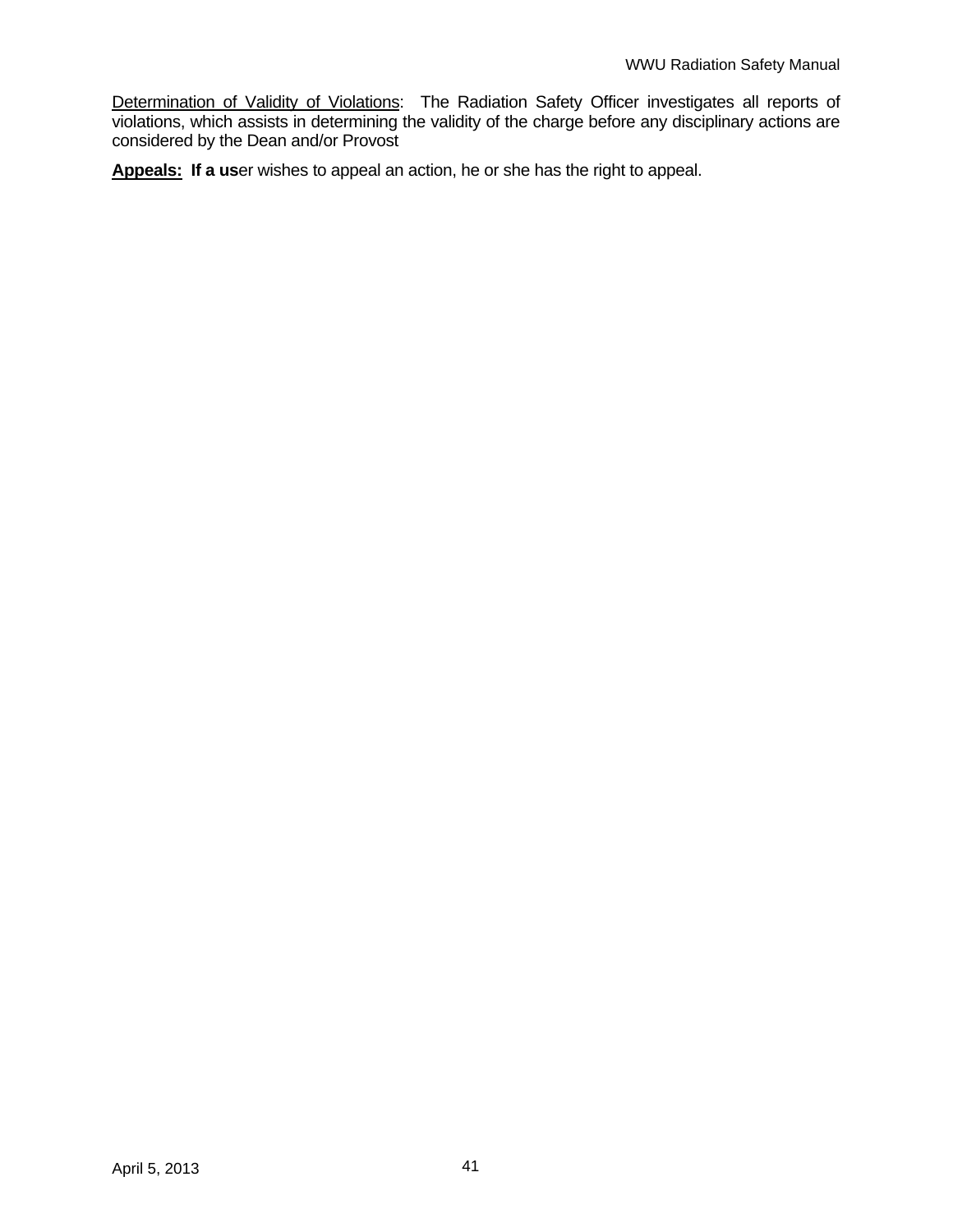Determination of Validity of Violations: The Radiation Safety Officer investigates all reports of violations, which assists in determining the validity of the charge before any disciplinary actions are considered by the Dean and/or Provost

**Appeals: If a us**er wishes to appeal an action, he or she has the right to appeal.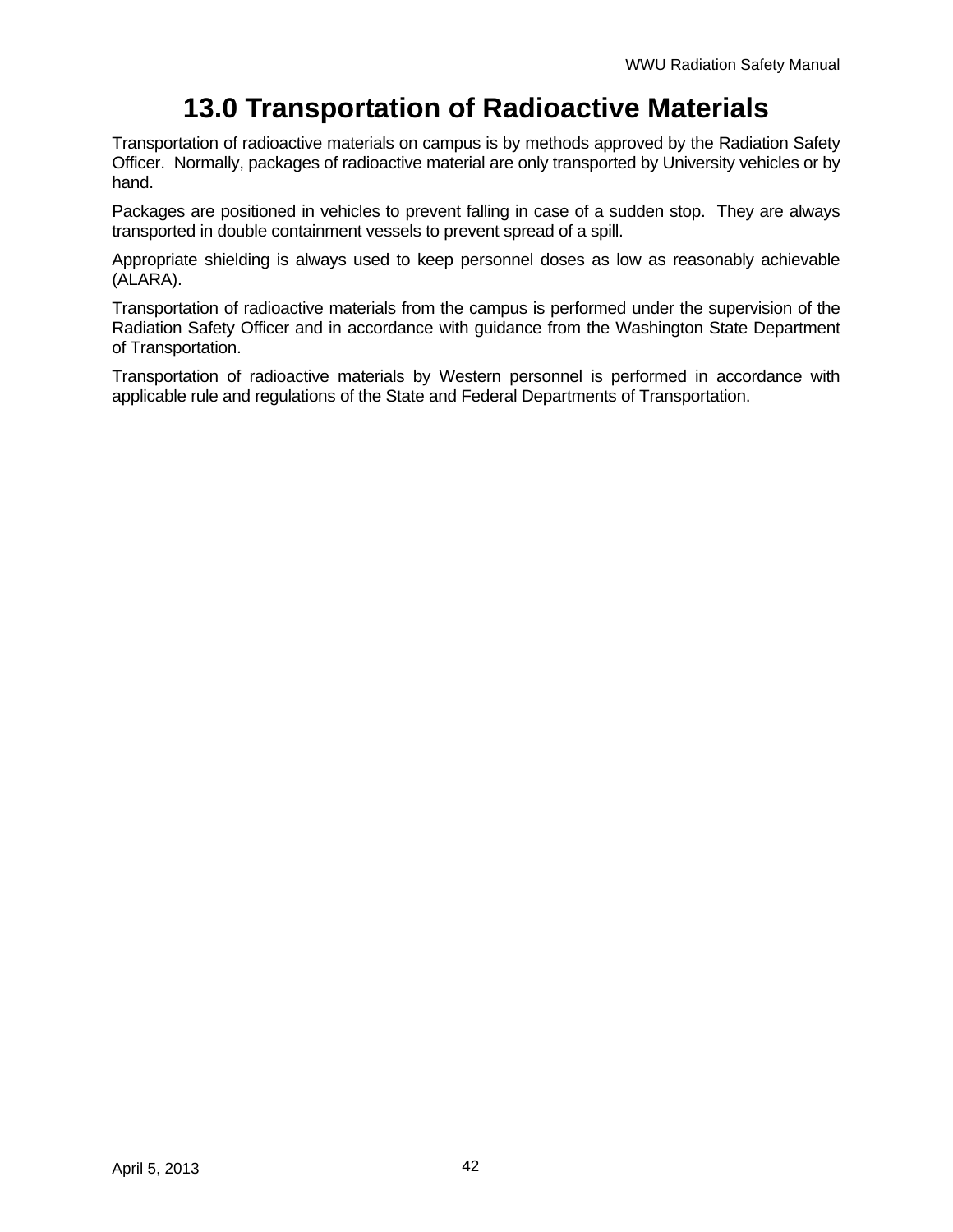# **13.0 Transportation of Radioactive Materials**

Transportation of radioactive materials on campus is by methods approved by the Radiation Safety Officer. Normally, packages of radioactive material are only transported by University vehicles or by hand.

Packages are positioned in vehicles to prevent falling in case of a sudden stop. They are always transported in double containment vessels to prevent spread of a spill.

Appropriate shielding is always used to keep personnel doses as low as reasonably achievable (ALARA).

Transportation of radioactive materials from the campus is performed under the supervision of the Radiation Safety Officer and in accordance with guidance from the Washington State Department of Transportation.

Transportation of radioactive materials by Western personnel is performed in accordance with applicable rule and regulations of the State and Federal Departments of Transportation.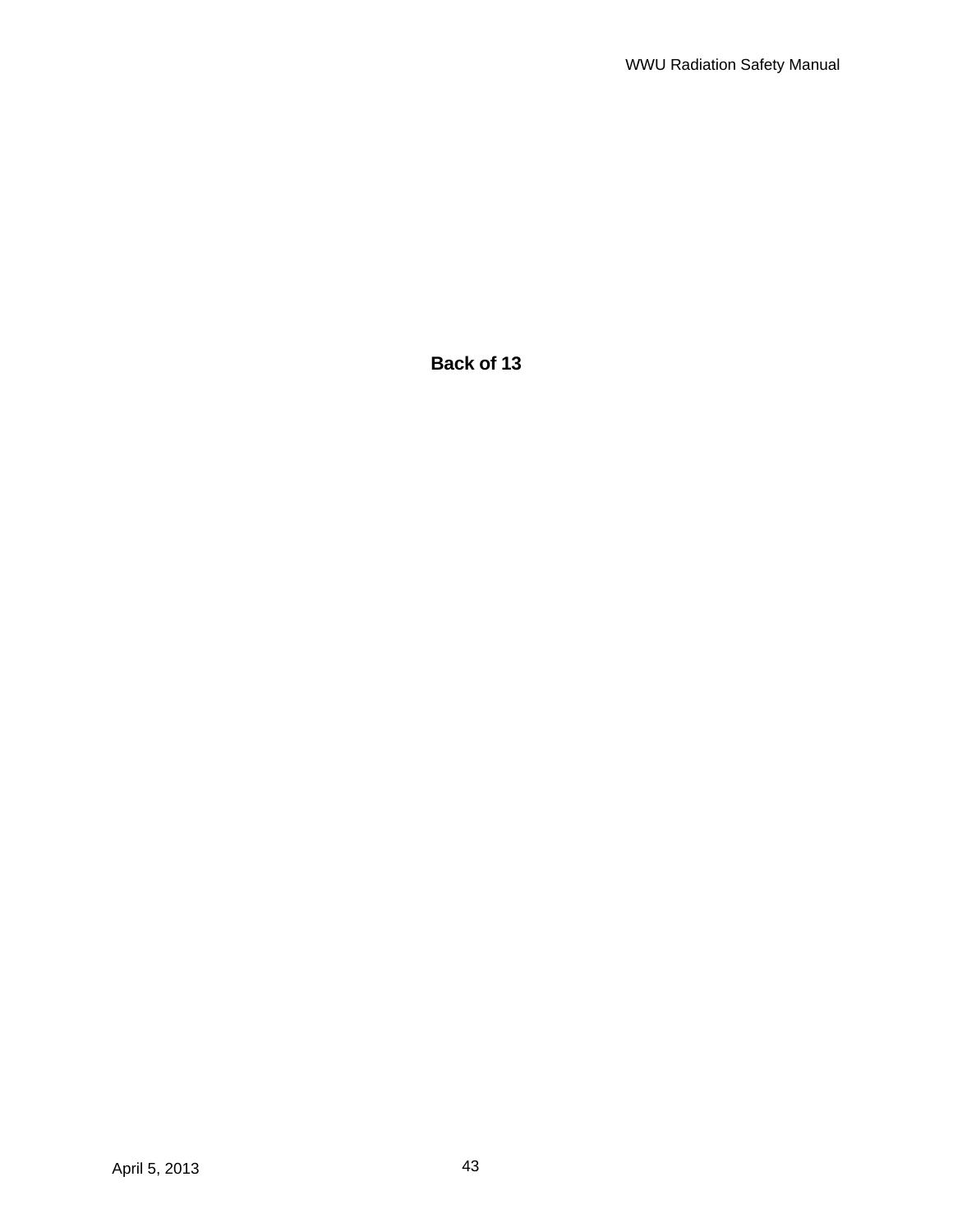**Back of 13**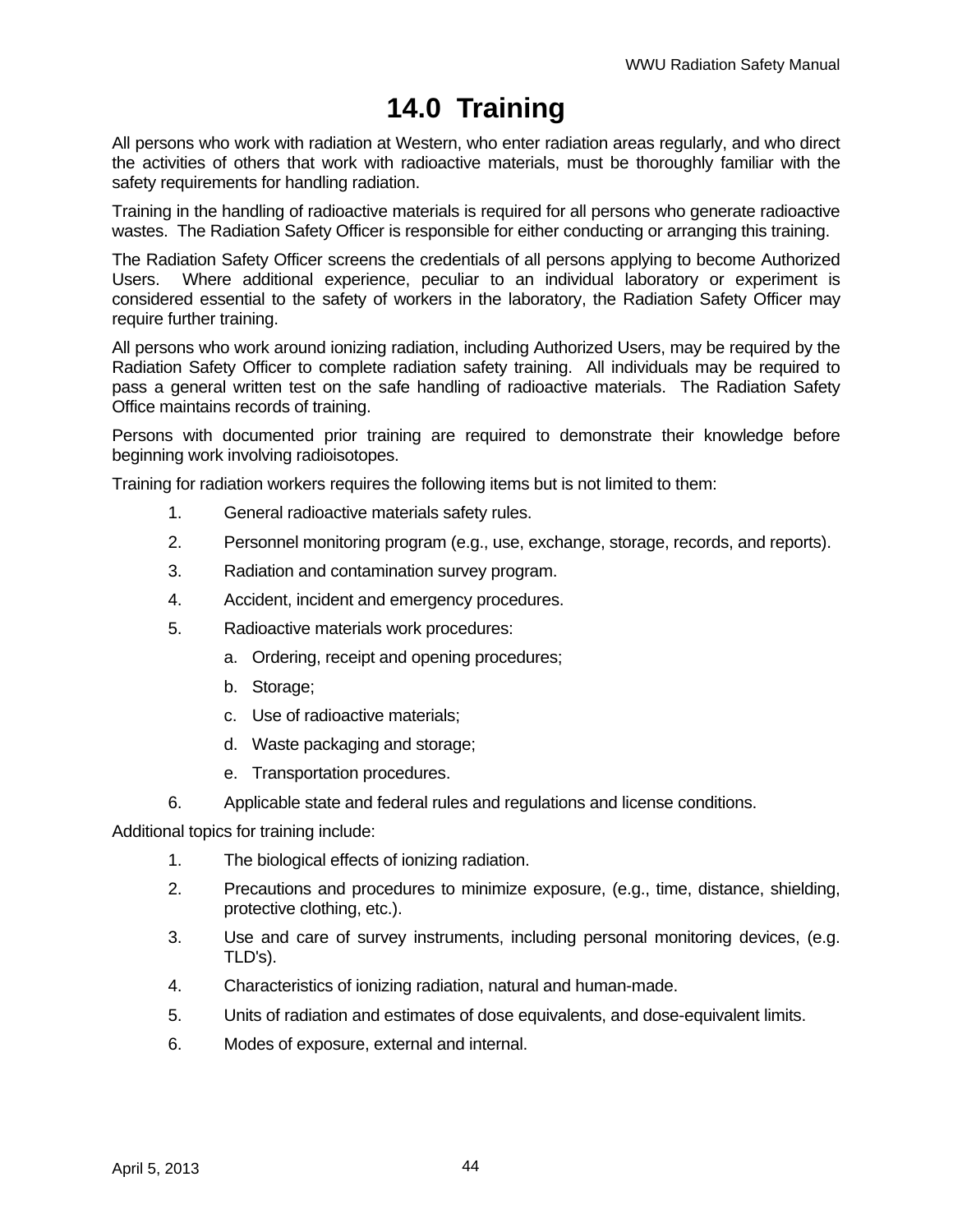# **14.0 Training**

All persons who work with radiation at Western, who enter radiation areas regularly, and who direct the activities of others that work with radioactive materials, must be thoroughly familiar with the safety requirements for handling radiation.

Training in the handling of radioactive materials is required for all persons who generate radioactive wastes. The Radiation Safety Officer is responsible for either conducting or arranging this training.

The Radiation Safety Officer screens the credentials of all persons applying to become Authorized Users. Where additional experience, peculiar to an individual laboratory or experiment is considered essential to the safety of workers in the laboratory, the Radiation Safety Officer may require further training.

All persons who work around ionizing radiation, including Authorized Users, may be required by the Radiation Safety Officer to complete radiation safety training. All individuals may be required to pass a general written test on the safe handling of radioactive materials. The Radiation Safety Office maintains records of training.

Persons with documented prior training are required to demonstrate their knowledge before beginning work involving radioisotopes.

Training for radiation workers requires the following items but is not limited to them:

- 1. General radioactive materials safety rules.
- 2. Personnel monitoring program (e.g., use, exchange, storage, records, and reports).
- 3. Radiation and contamination survey program.
- 4. Accident, incident and emergency procedures.
- 5. Radioactive materials work procedures:
	- a. Ordering, receipt and opening procedures;
	- b. Storage;
	- c. Use of radioactive materials;
	- d. Waste packaging and storage;
	- e. Transportation procedures.
- 6. Applicable state and federal rules and regulations and license conditions.

Additional topics for training include:

- 1. The biological effects of ionizing radiation.
- 2. Precautions and procedures to minimize exposure, (e.g., time, distance, shielding, protective clothing, etc.).
- 3. Use and care of survey instruments, including personal monitoring devices, (e.g. TLD's).
- 4. Characteristics of ionizing radiation, natural and human-made.
- 5. Units of radiation and estimates of dose equivalents, and dose-equivalent limits.
- 6. Modes of exposure, external and internal.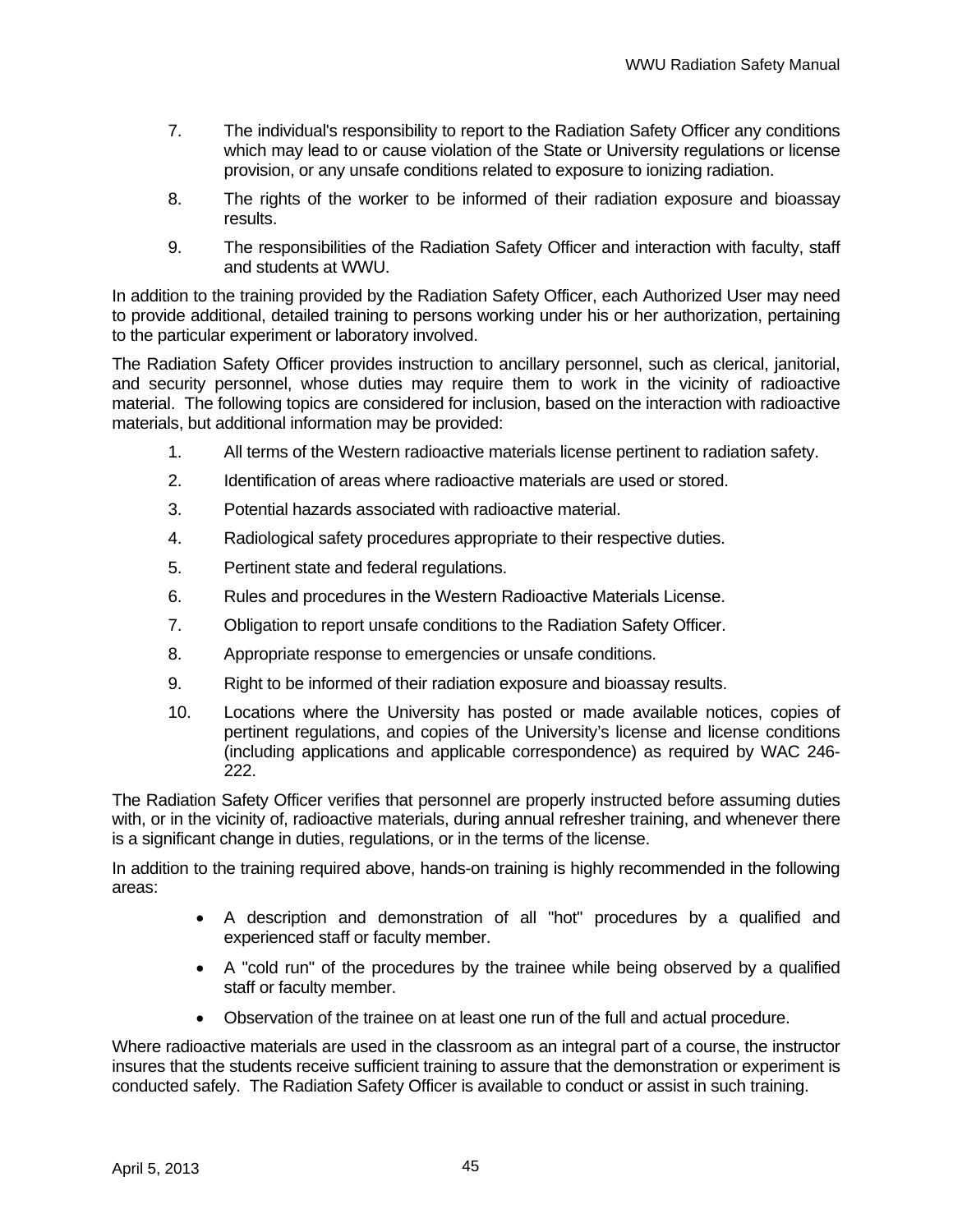- 7. The individual's responsibility to report to the Radiation Safety Officer any conditions which may lead to or cause violation of the State or University regulations or license provision, or any unsafe conditions related to exposure to ionizing radiation.
- 8. The rights of the worker to be informed of their radiation exposure and bioassay results.
- 9. The responsibilities of the Radiation Safety Officer and interaction with faculty, staff and students at WWU.

In addition to the training provided by the Radiation Safety Officer, each Authorized User may need to provide additional, detailed training to persons working under his or her authorization, pertaining to the particular experiment or laboratory involved.

The Radiation Safety Officer provides instruction to ancillary personnel, such as clerical, janitorial, and security personnel, whose duties may require them to work in the vicinity of radioactive material. The following topics are considered for inclusion, based on the interaction with radioactive materials, but additional information may be provided:

- 1. All terms of the Western radioactive materials license pertinent to radiation safety.
- 2. Identification of areas where radioactive materials are used or stored.
- 3. Potential hazards associated with radioactive material.
- 4. Radiological safety procedures appropriate to their respective duties.
- 5. Pertinent state and federal regulations.
- 6. Rules and procedures in the Western Radioactive Materials License.
- 7. Obligation to report unsafe conditions to the Radiation Safety Officer.
- 8. Appropriate response to emergencies or unsafe conditions.
- 9. Right to be informed of their radiation exposure and bioassay results.
- 10. Locations where the University has posted or made available notices, copies of pertinent regulations, and copies of the University's license and license conditions (including applications and applicable correspondence) as required by WAC 246- 222.

The Radiation Safety Officer verifies that personnel are properly instructed before assuming duties with, or in the vicinity of, radioactive materials, during annual refresher training, and whenever there is a significant change in duties, regulations, or in the terms of the license.

In addition to the training required above, hands-on training is highly recommended in the following areas:

- A description and demonstration of all "hot" procedures by a qualified and experienced staff or faculty member.
- A "cold run" of the procedures by the trainee while being observed by a qualified staff or faculty member.
- Observation of the trainee on at least one run of the full and actual procedure.

Where radioactive materials are used in the classroom as an integral part of a course, the instructor insures that the students receive sufficient training to assure that the demonstration or experiment is conducted safely. The Radiation Safety Officer is available to conduct or assist in such training.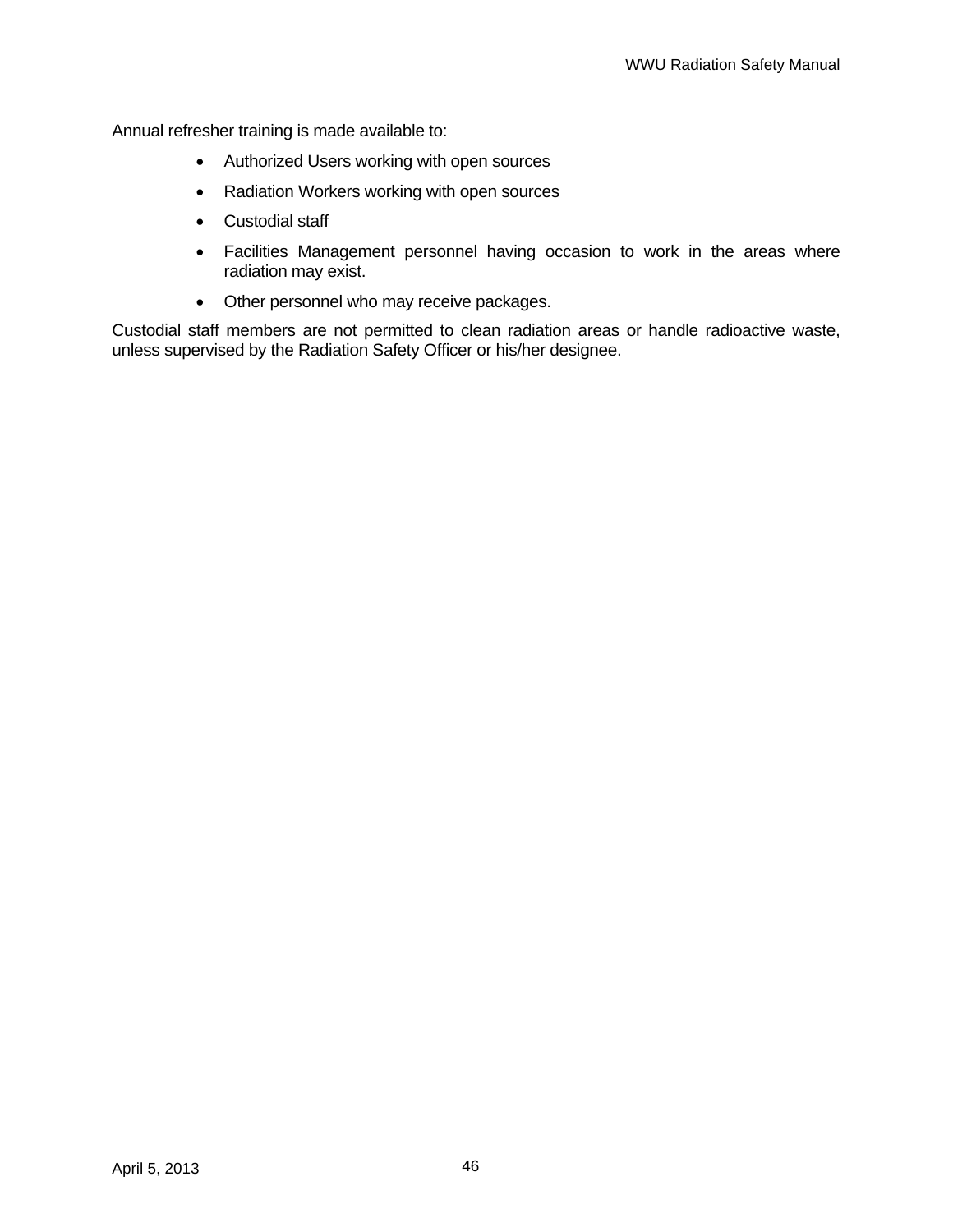Annual refresher training is made available to:

- Authorized Users working with open sources
- Radiation Workers working with open sources
- Custodial staff
- Facilities Management personnel having occasion to work in the areas where radiation may exist.
- Other personnel who may receive packages.

Custodial staff members are not permitted to clean radiation areas or handle radioactive waste, unless supervised by the Radiation Safety Officer or his/her designee.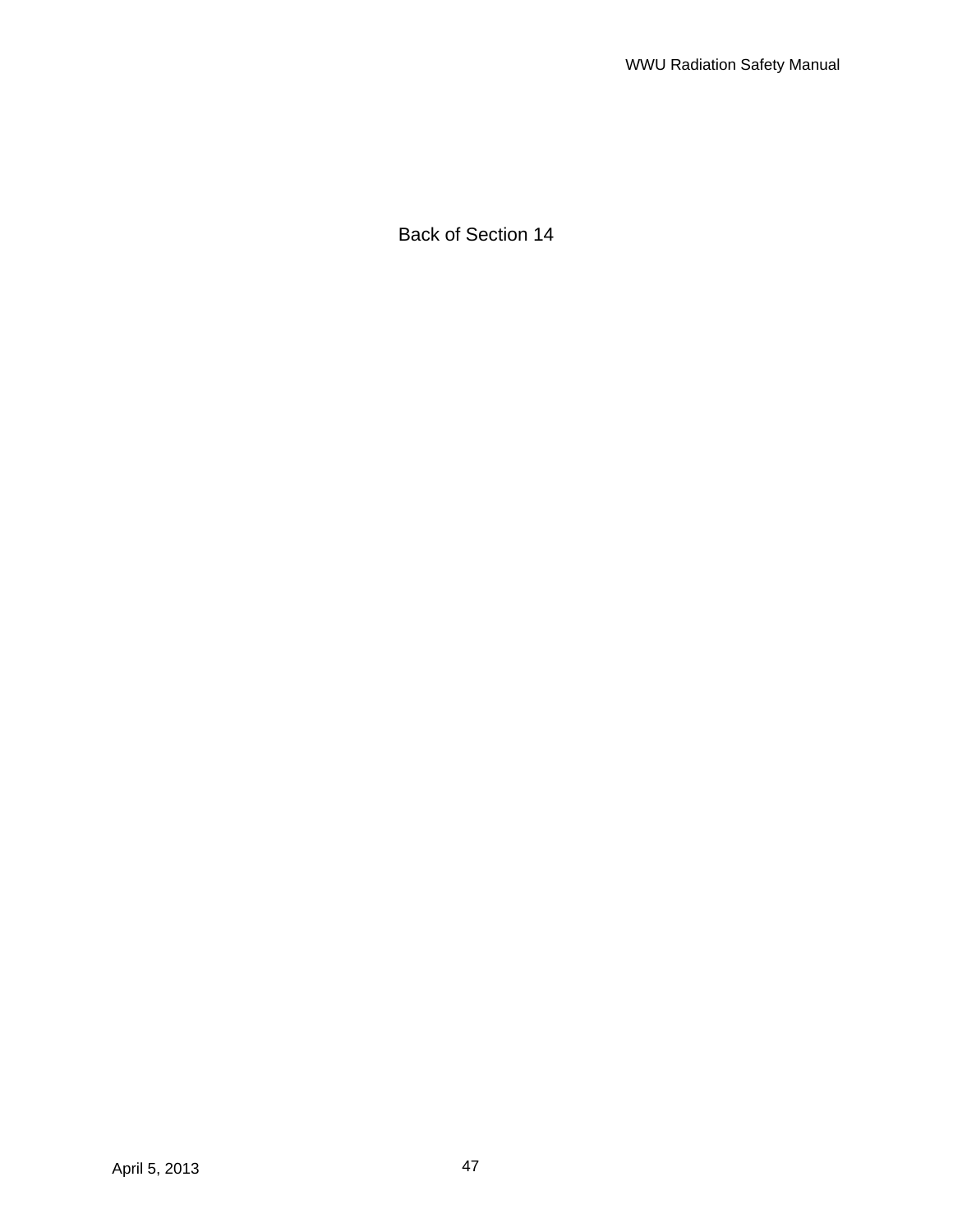Back of Section 14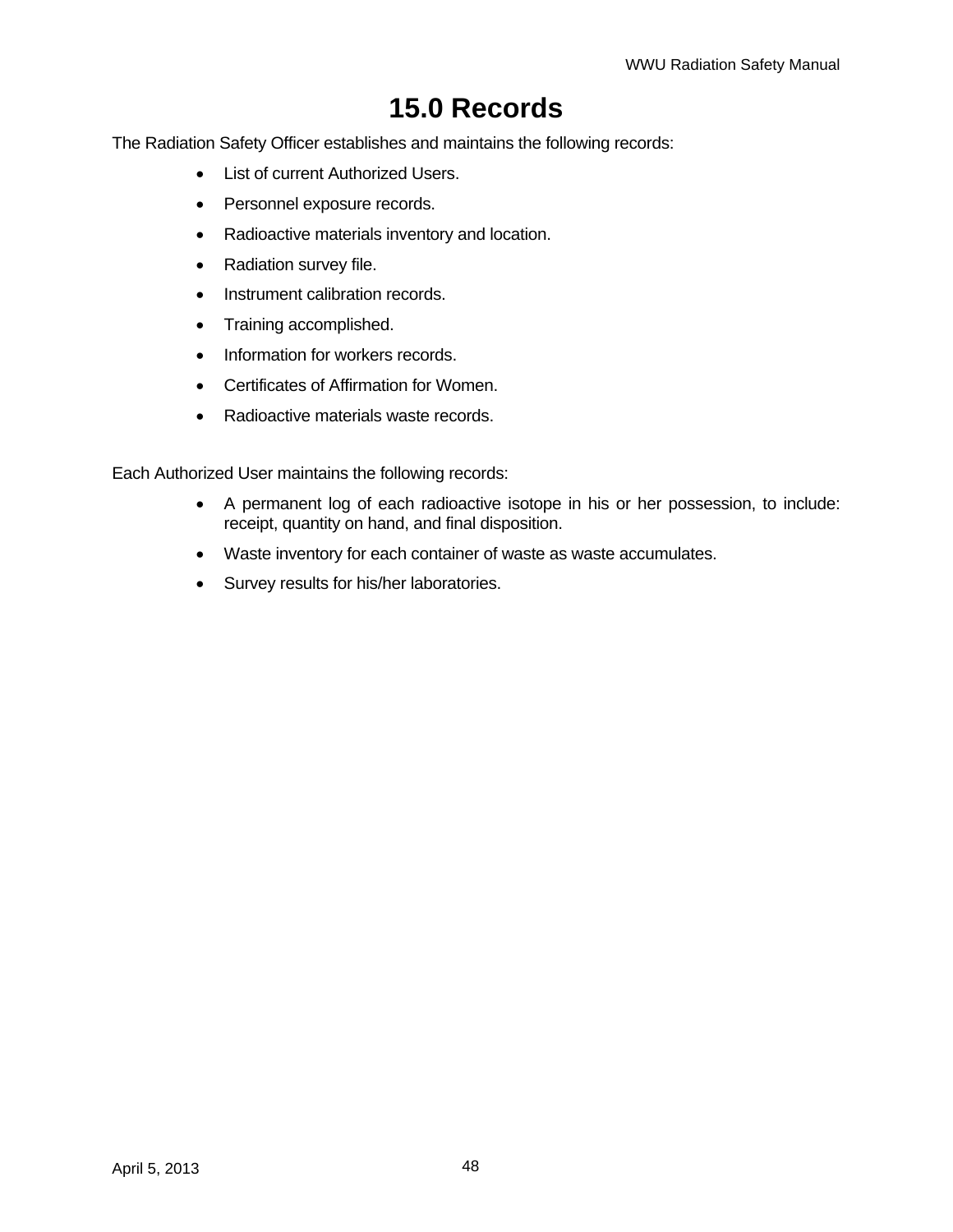# **15.0 Records**

The Radiation Safety Officer establishes and maintains the following records:

- List of current Authorized Users.
- Personnel exposure records.
- Radioactive materials inventory and location.
- Radiation survey file.
- Instrument calibration records.
- Training accomplished.
- Information for workers records.
- Certificates of Affirmation for Women.
- Radioactive materials waste records.

Each Authorized User maintains the following records:

- A permanent log of each radioactive isotope in his or her possession, to include: receipt, quantity on hand, and final disposition.
- Waste inventory for each container of waste as waste accumulates.
- Survey results for his/her laboratories.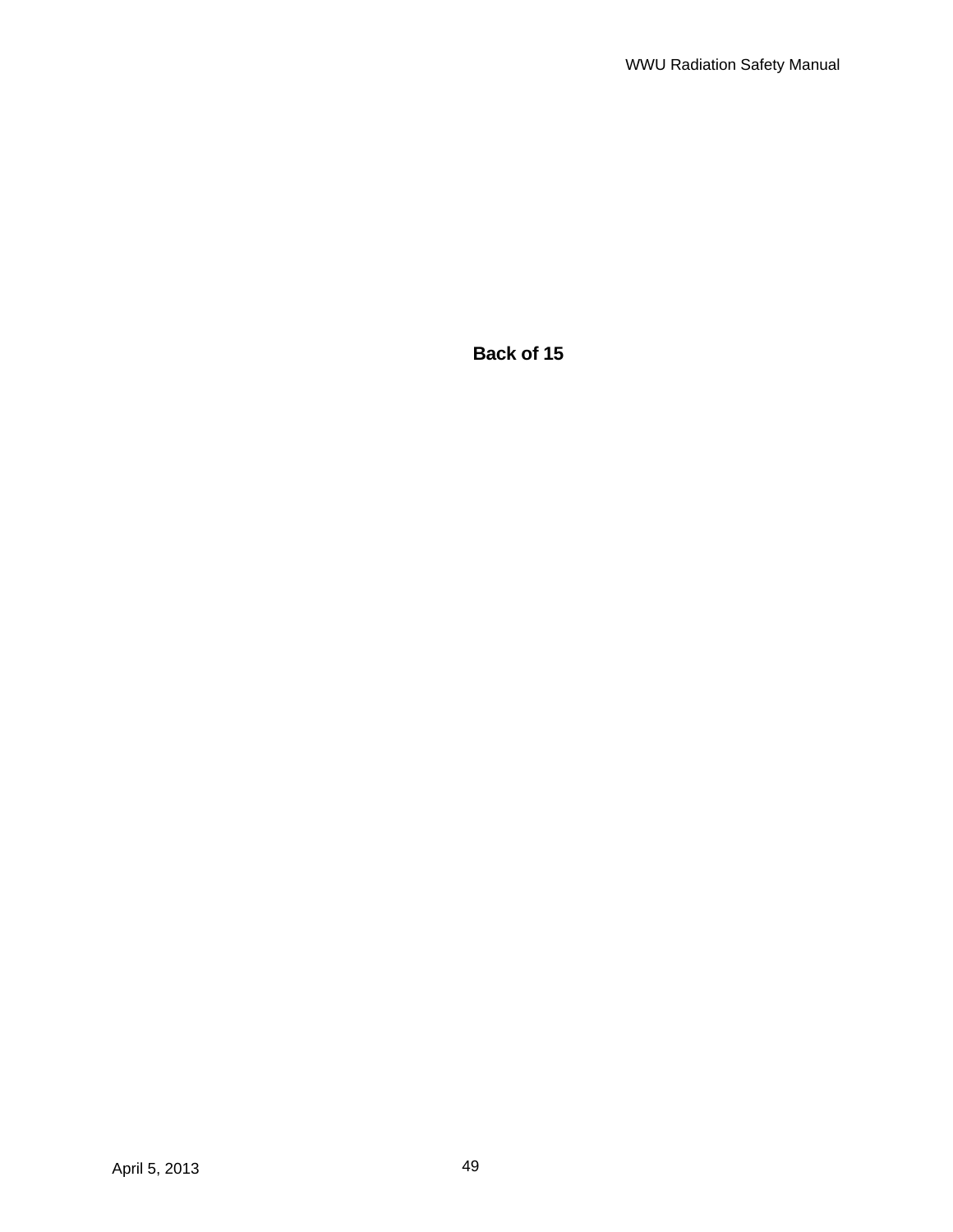**Back of 15**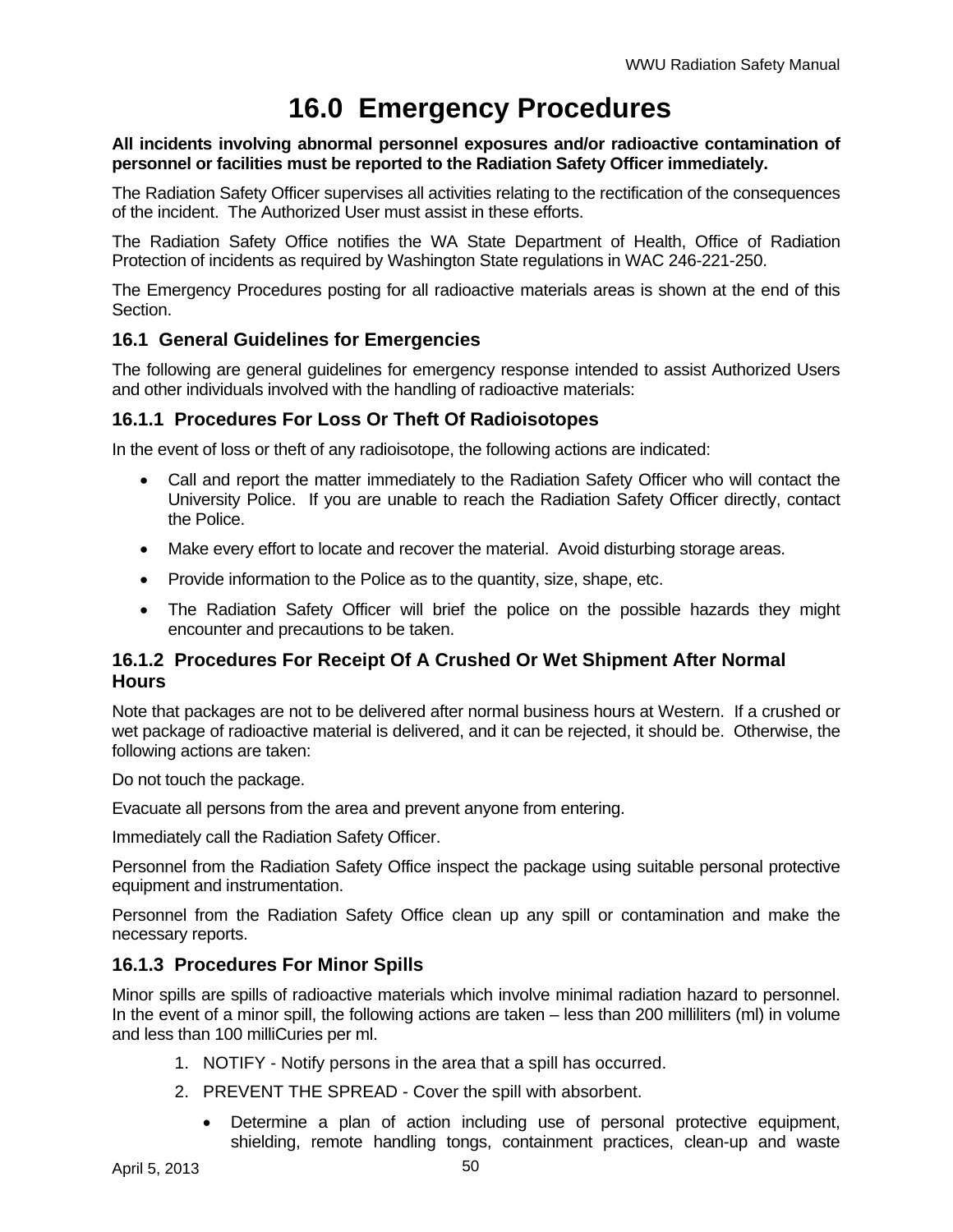# **16.0 Emergency Procedures**

#### **All incidents involving abnormal personnel exposures and/or radioactive contamination of personnel or facilities must be reported to the Radiation Safety Officer immediately.**

The Radiation Safety Officer supervises all activities relating to the rectification of the consequences of the incident. The Authorized User must assist in these efforts.

The Radiation Safety Office notifies the WA State Department of Health, Office of Radiation Protection of incidents as required by Washington State regulations in WAC 246-221-250.

The Emergency Procedures posting for all radioactive materials areas is shown at the end of this Section.

## **16.1 General Guidelines for Emergencies**

The following are general guidelines for emergency response intended to assist Authorized Users and other individuals involved with the handling of radioactive materials:

### **16.1.1 Procedures For Loss Or Theft Of Radioisotopes**

In the event of loss or theft of any radioisotope, the following actions are indicated:

- Call and report the matter immediately to the Radiation Safety Officer who will contact the University Police. If you are unable to reach the Radiation Safety Officer directly, contact the Police.
- Make every effort to locate and recover the material. Avoid disturbing storage areas.
- Provide information to the Police as to the quantity, size, shape, etc.
- The Radiation Safety Officer will brief the police on the possible hazards they might encounter and precautions to be taken.

## **16.1.2 Procedures For Receipt Of A Crushed Or Wet Shipment After Normal Hours**

Note that packages are not to be delivered after normal business hours at Western. If a crushed or wet package of radioactive material is delivered, and it can be rejected, it should be. Otherwise, the following actions are taken:

Do not touch the package.

Evacuate all persons from the area and prevent anyone from entering.

Immediately call the Radiation Safety Officer.

Personnel from the Radiation Safety Office inspect the package using suitable personal protective equipment and instrumentation.

Personnel from the Radiation Safety Office clean up any spill or contamination and make the necessary reports.

## **16.1.3 Procedures For Minor Spills**

Minor spills are spills of radioactive materials which involve minimal radiation hazard to personnel. In the event of a minor spill, the following actions are taken – less than 200 milliliters (ml) in volume and less than 100 milliCuries per ml.

- 1. NOTIFY Notify persons in the area that a spill has occurred.
- 2. PREVENT THE SPREAD Cover the spill with absorbent.
	- Determine a plan of action including use of personal protective equipment, shielding, remote handling tongs, containment practices, clean-up and waste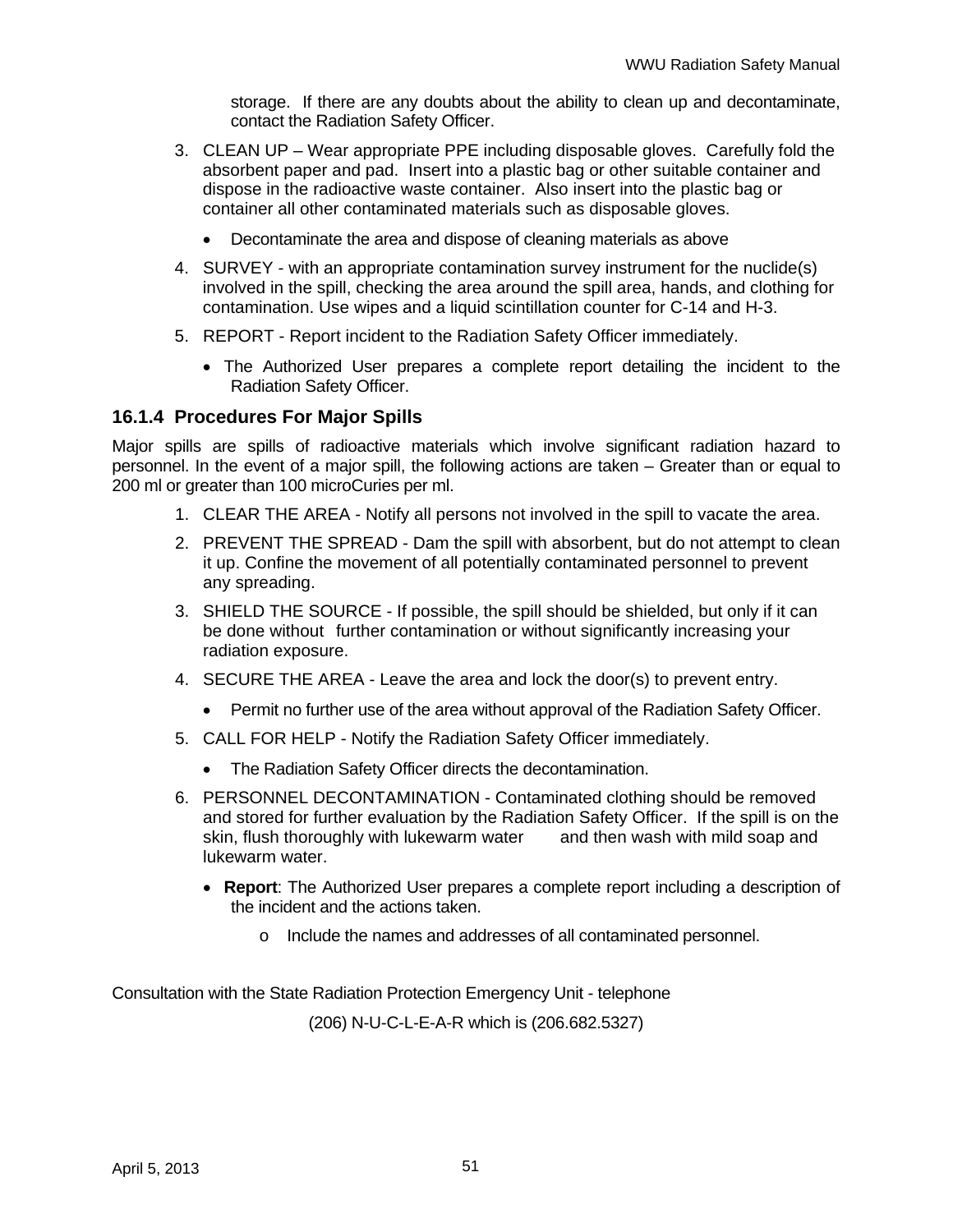storage. If there are any doubts about the ability to clean up and decontaminate, contact the Radiation Safety Officer.

- 3. CLEAN UP Wear appropriate PPE including disposable gloves. Carefully fold the absorbent paper and pad. Insert into a plastic bag or other suitable container and dispose in the radioactive waste container. Also insert into the plastic bag or container all other contaminated materials such as disposable gloves.
	- Decontaminate the area and dispose of cleaning materials as above
- 4. SURVEY with an appropriate contamination survey instrument for the nuclide(s) involved in the spill, checking the area around the spill area, hands, and clothing for contamination. Use wipes and a liquid scintillation counter for C-14 and H-3.
- 5. REPORT Report incident to the Radiation Safety Officer immediately.
	- The Authorized User prepares a complete report detailing the incident to the Radiation Safety Officer.

### **16.1.4 Procedures For Major Spills**

Major spills are spills of radioactive materials which involve significant radiation hazard to personnel. In the event of a major spill, the following actions are taken – Greater than or equal to 200 ml or greater than 100 microCuries per ml.

- 1. CLEAR THE AREA Notify all persons not involved in the spill to vacate the area.
- 2. PREVENT THE SPREAD Dam the spill with absorbent, but do not attempt to clean it up. Confine the movement of all potentially contaminated personnel to prevent any spreading.
- 3. SHIELD THE SOURCE If possible, the spill should be shielded, but only if it can be done without further contamination or without significantly increasing your radiation exposure.
- 4. SECURE THE AREA Leave the area and lock the door(s) to prevent entry.
	- Permit no further use of the area without approval of the Radiation Safety Officer.
- 5. CALL FOR HELP Notify the Radiation Safety Officer immediately.
	- The Radiation Safety Officer directs the decontamination.
- 6. PERSONNEL DECONTAMINATION Contaminated clothing should be removed and stored for further evaluation by the Radiation Safety Officer. If the spill is on the skin, flush thoroughly with lukewarm water and then wash with mild soap and lukewarm water.
	- **Report**: The Authorized User prepares a complete report including a description of the incident and the actions taken.
		- o Include the names and addresses of all contaminated personnel.

Consultation with the State Radiation Protection Emergency Unit - telephone

(206) N-U-C-L-E-A-R which is (206.682.5327)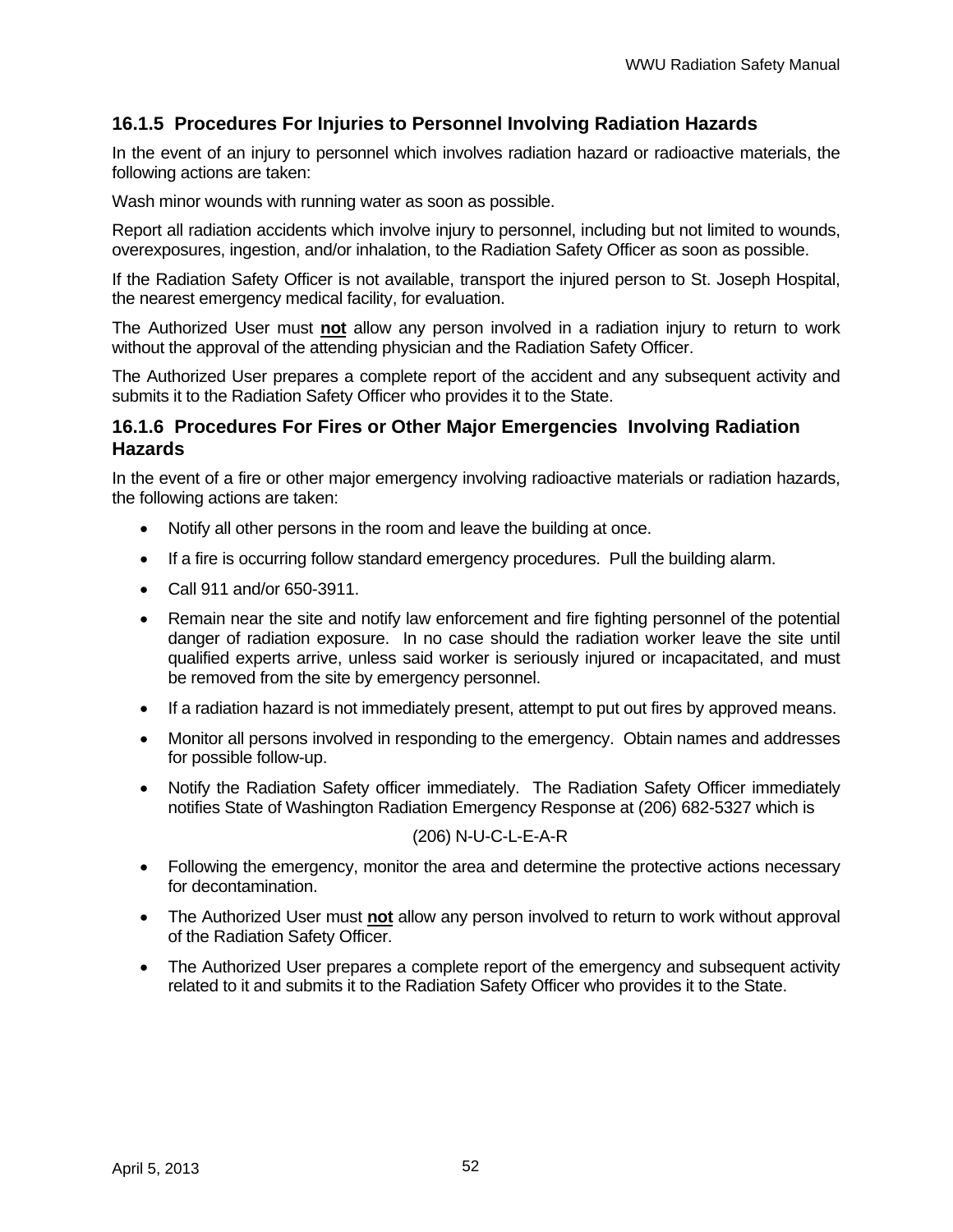# **16.1.5 Procedures For Injuries to Personnel Involving Radiation Hazards**

In the event of an injury to personnel which involves radiation hazard or radioactive materials, the following actions are taken:

Wash minor wounds with running water as soon as possible.

Report all radiation accidents which involve injury to personnel, including but not limited to wounds, overexposures, ingestion, and/or inhalation, to the Radiation Safety Officer as soon as possible.

If the Radiation Safety Officer is not available, transport the injured person to St. Joseph Hospital, the nearest emergency medical facility, for evaluation.

The Authorized User must **not** allow any person involved in a radiation injury to return to work without the approval of the attending physician and the Radiation Safety Officer.

The Authorized User prepares a complete report of the accident and any subsequent activity and submits it to the Radiation Safety Officer who provides it to the State.

## **16.1.6 Procedures For Fires or Other Major Emergencies Involving Radiation Hazards**

In the event of a fire or other major emergency involving radioactive materials or radiation hazards, the following actions are taken:

- Notify all other persons in the room and leave the building at once.
- If a fire is occurring follow standard emergency procedures. Pull the building alarm.
- Call 911 and/or 650-3911.
- Remain near the site and notify law enforcement and fire fighting personnel of the potential danger of radiation exposure. In no case should the radiation worker leave the site until qualified experts arrive, unless said worker is seriously injured or incapacitated, and must be removed from the site by emergency personnel.
- If a radiation hazard is not immediately present, attempt to put out fires by approved means.
- Monitor all persons involved in responding to the emergency. Obtain names and addresses for possible follow-up.
- Notify the Radiation Safety officer immediately. The Radiation Safety Officer immediately notifies State of Washington Radiation Emergency Response at (206) 682-5327 which is

#### (206) N-U-C-L-E-A-R

- Following the emergency, monitor the area and determine the protective actions necessary for decontamination.
- The Authorized User must **not** allow any person involved to return to work without approval of the Radiation Safety Officer.
- The Authorized User prepares a complete report of the emergency and subsequent activity related to it and submits it to the Radiation Safety Officer who provides it to the State.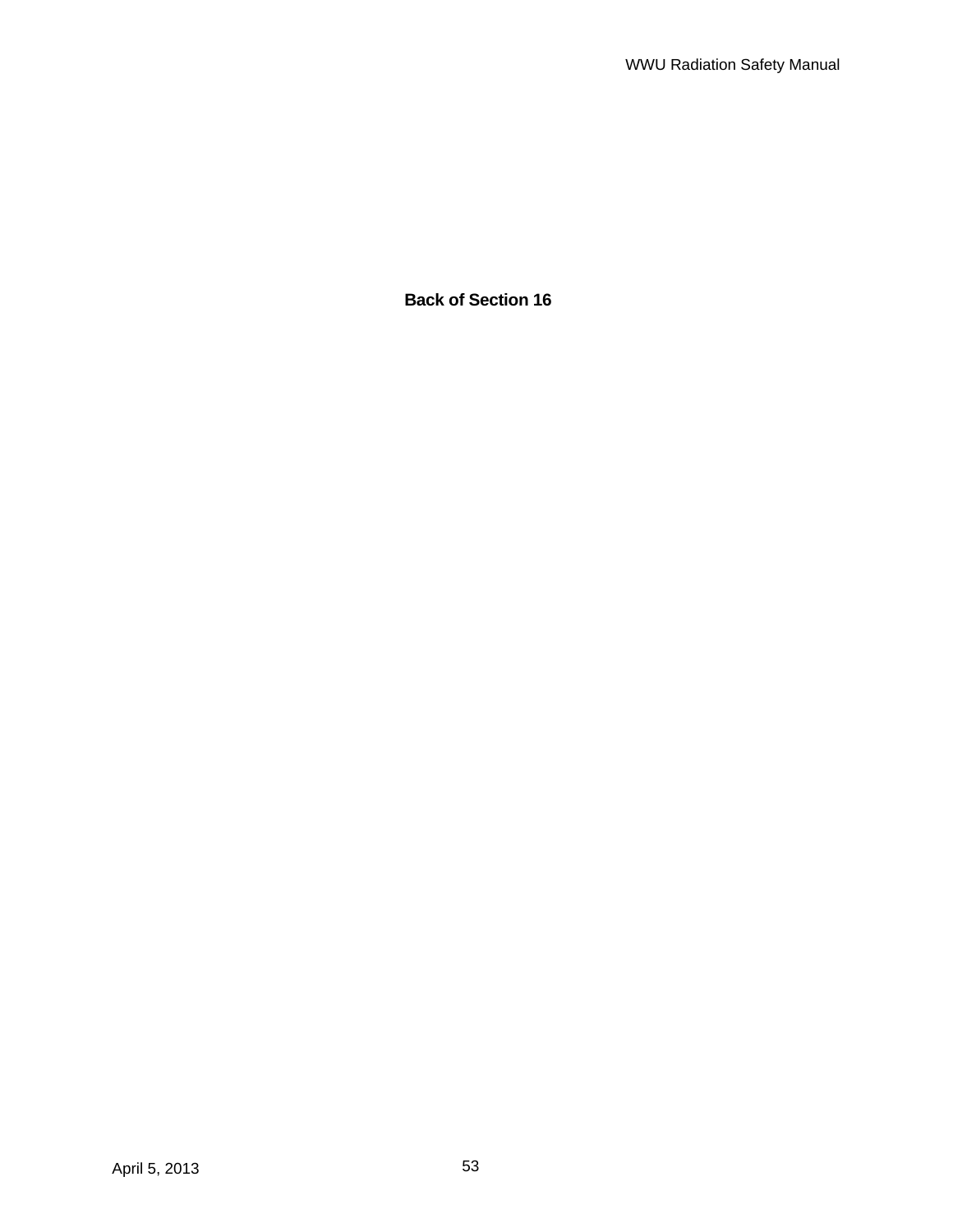**Back of Section 16**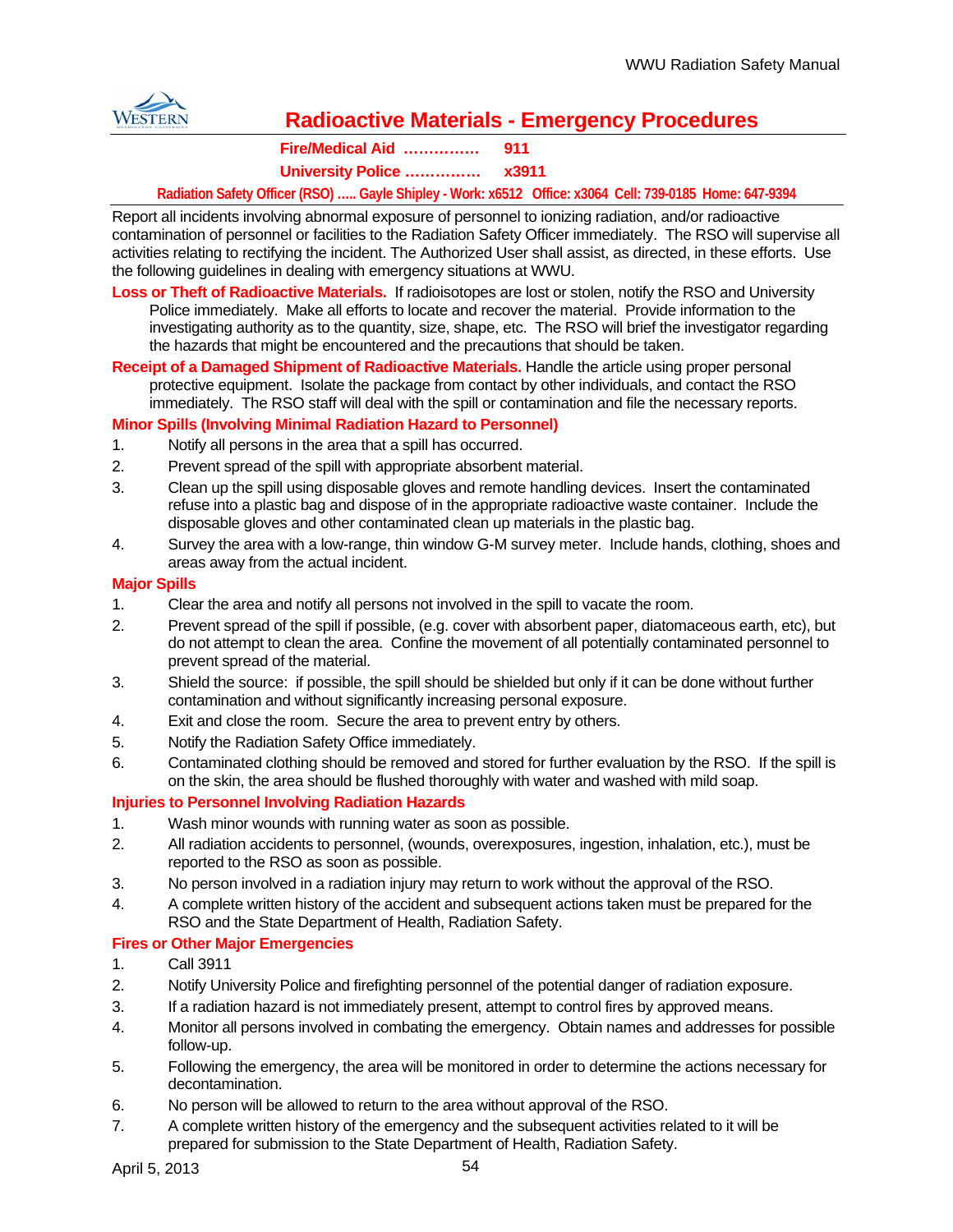

# **Radioactive Materials - Emergency Procedures**

#### **Fire/Medical Aid …………… 911 University Police …………… x3911**

#### **Radiation Safety Officer (RSO) ….. Gayle Shipley - Work: x6512 Office: x3064 Cell: 739-0185 Home: 647-9394**

Report all incidents involving abnormal exposure of personnel to ionizing radiation, and/or radioactive contamination of personnel or facilities to the Radiation Safety Officer immediately. The RSO will supervise all activities relating to rectifying the incident. The Authorized User shall assist, as directed, in these efforts. Use the following guidelines in dealing with emergency situations at WWU.

- **Loss or Theft of Radioactive Materials.** If radioisotopes are lost or stolen, notify the RSO and University Police immediately. Make all efforts to locate and recover the material. Provide information to the investigating authority as to the quantity, size, shape, etc. The RSO will brief the investigator regarding the hazards that might be encountered and the precautions that should be taken.
- **Receipt of a Damaged Shipment of Radioactive Materials.** Handle the article using proper personal protective equipment. Isolate the package from contact by other individuals, and contact the RSO immediately. The RSO staff will deal with the spill or contamination and file the necessary reports.

#### **Minor Spills (Involving Minimal Radiation Hazard to Personnel)**

- 1. Notify all persons in the area that a spill has occurred.
- 2. Prevent spread of the spill with appropriate absorbent material.
- 3. Clean up the spill using disposable gloves and remote handling devices. Insert the contaminated refuse into a plastic bag and dispose of in the appropriate radioactive waste container. Include the disposable gloves and other contaminated clean up materials in the plastic bag.
- 4. Survey the area with a low-range, thin window G-M survey meter. Include hands, clothing, shoes and areas away from the actual incident.

#### **Major Spills**

- 1. Clear the area and notify all persons not involved in the spill to vacate the room.
- 2. Prevent spread of the spill if possible, (e.g. cover with absorbent paper, diatomaceous earth, etc), but do not attempt to clean the area. Confine the movement of all potentially contaminated personnel to prevent spread of the material.
- 3. Shield the source: if possible, the spill should be shielded but only if it can be done without further contamination and without significantly increasing personal exposure.
- 4. Exit and close the room. Secure the area to prevent entry by others.
- 5. Notify the Radiation Safety Office immediately.
- 6. Contaminated clothing should be removed and stored for further evaluation by the RSO. If the spill is on the skin, the area should be flushed thoroughly with water and washed with mild soap.

#### **Injuries to Personnel Involving Radiation Hazards**

- 1. Wash minor wounds with running water as soon as possible.
- 2. All radiation accidents to personnel, (wounds, overexposures, ingestion, inhalation, etc.), must be reported to the RSO as soon as possible.
- 3. No person involved in a radiation injury may return to work without the approval of the RSO.
- 4. A complete written history of the accident and subsequent actions taken must be prepared for the RSO and the State Department of Health, Radiation Safety.

#### **Fires or Other Major Emergencies**

- 1. Call 3911
- 2. Notify University Police and firefighting personnel of the potential danger of radiation exposure.
- 3. If a radiation hazard is not immediately present, attempt to control fires by approved means.
- 4. Monitor all persons involved in combating the emergency. Obtain names and addresses for possible follow-up.
- 5. Following the emergency, the area will be monitored in order to determine the actions necessary for decontamination.
- 6. No person will be allowed to return to the area without approval of the RSO.
- 7. A complete written history of the emergency and the subsequent activities related to it will be prepared for submission to the State Department of Health, Radiation Safety.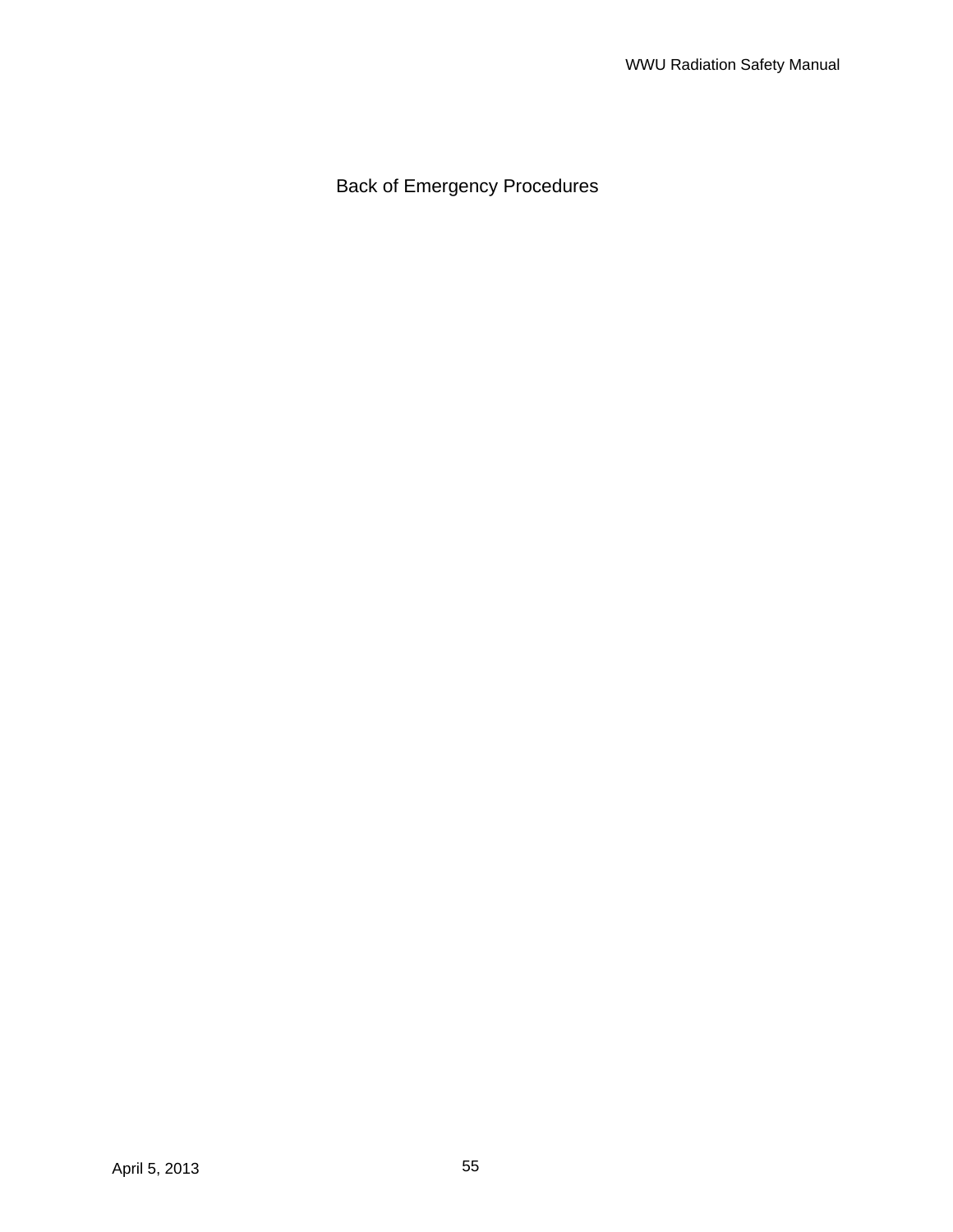Back of Emergency Procedures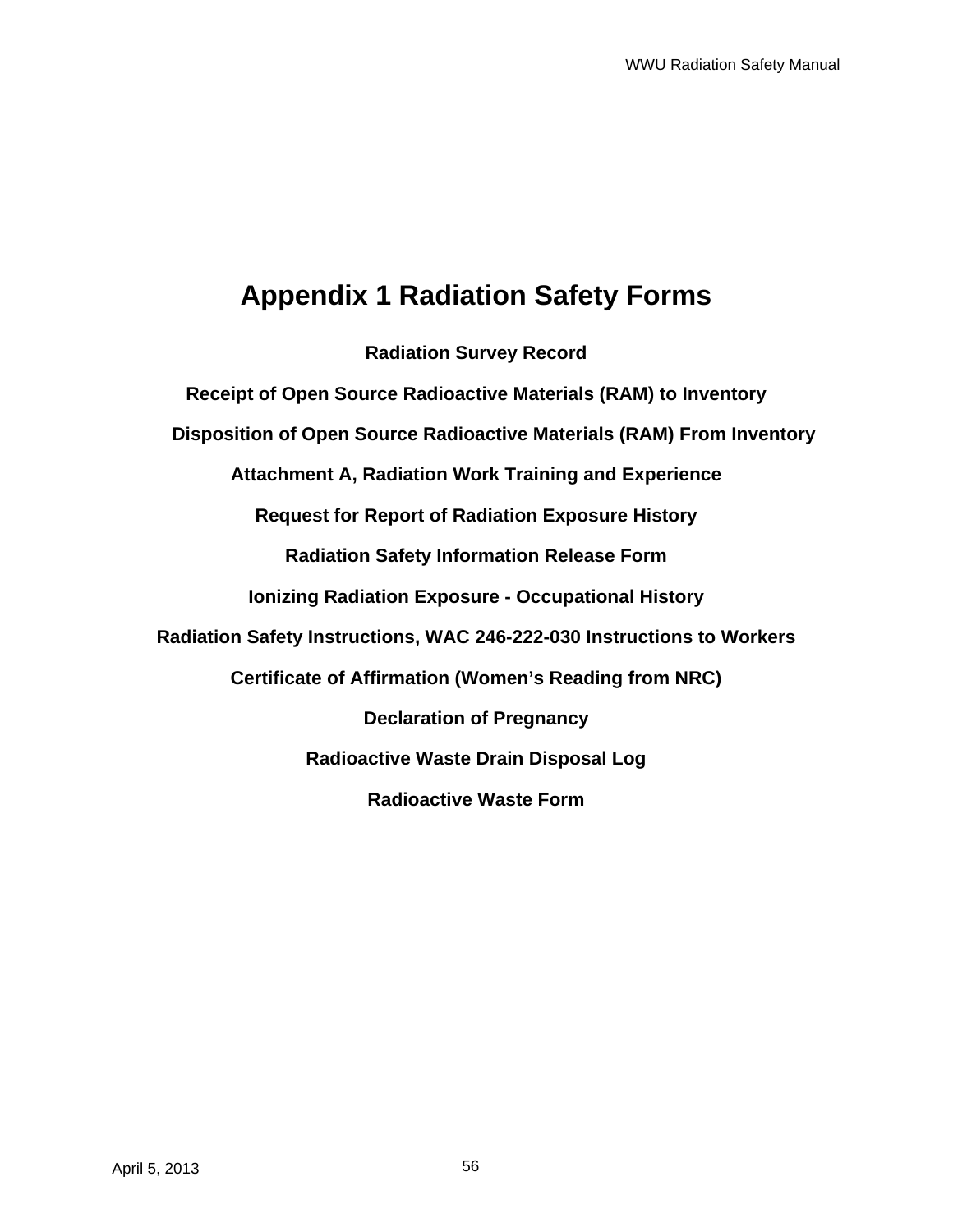# **Appendix 1 Radiation Safety Forms**

**Radiation Survey Record Receipt of Open Source Radioactive Materials (RAM) to Inventory Disposition of Open Source Radioactive Materials (RAM) From Inventory Attachment A, Radiation Work Training and Experience Request for Report of Radiation Exposure History Radiation Safety Information Release Form Ionizing Radiation Exposure - Occupational History Radiation Safety Instructions, WAC 246-222-030 Instructions to Workers Certificate of Affirmation (Women's Reading from NRC) Declaration of Pregnancy Radioactive Waste Drain Disposal Log Radioactive Waste Form**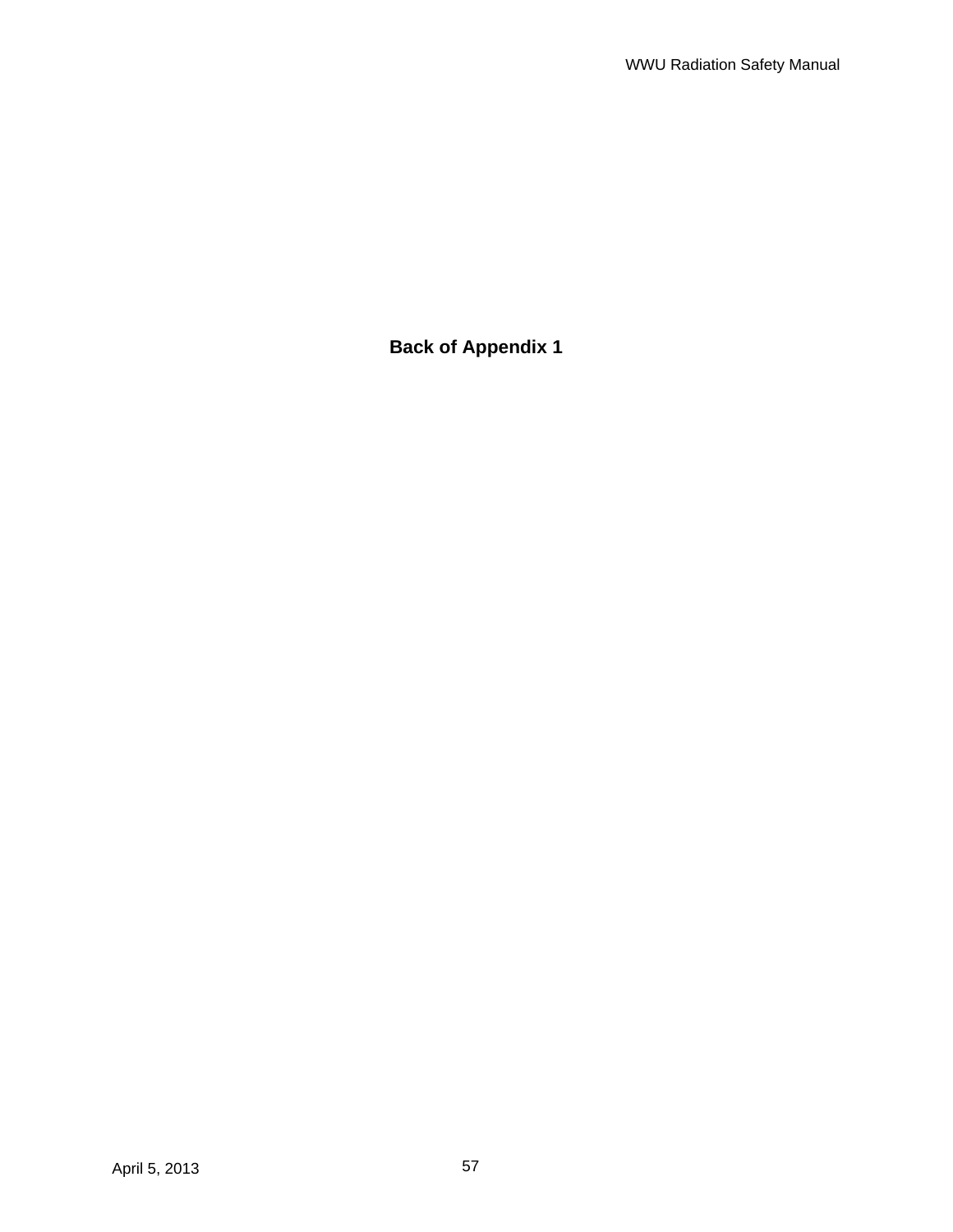**Back of Appendix 1**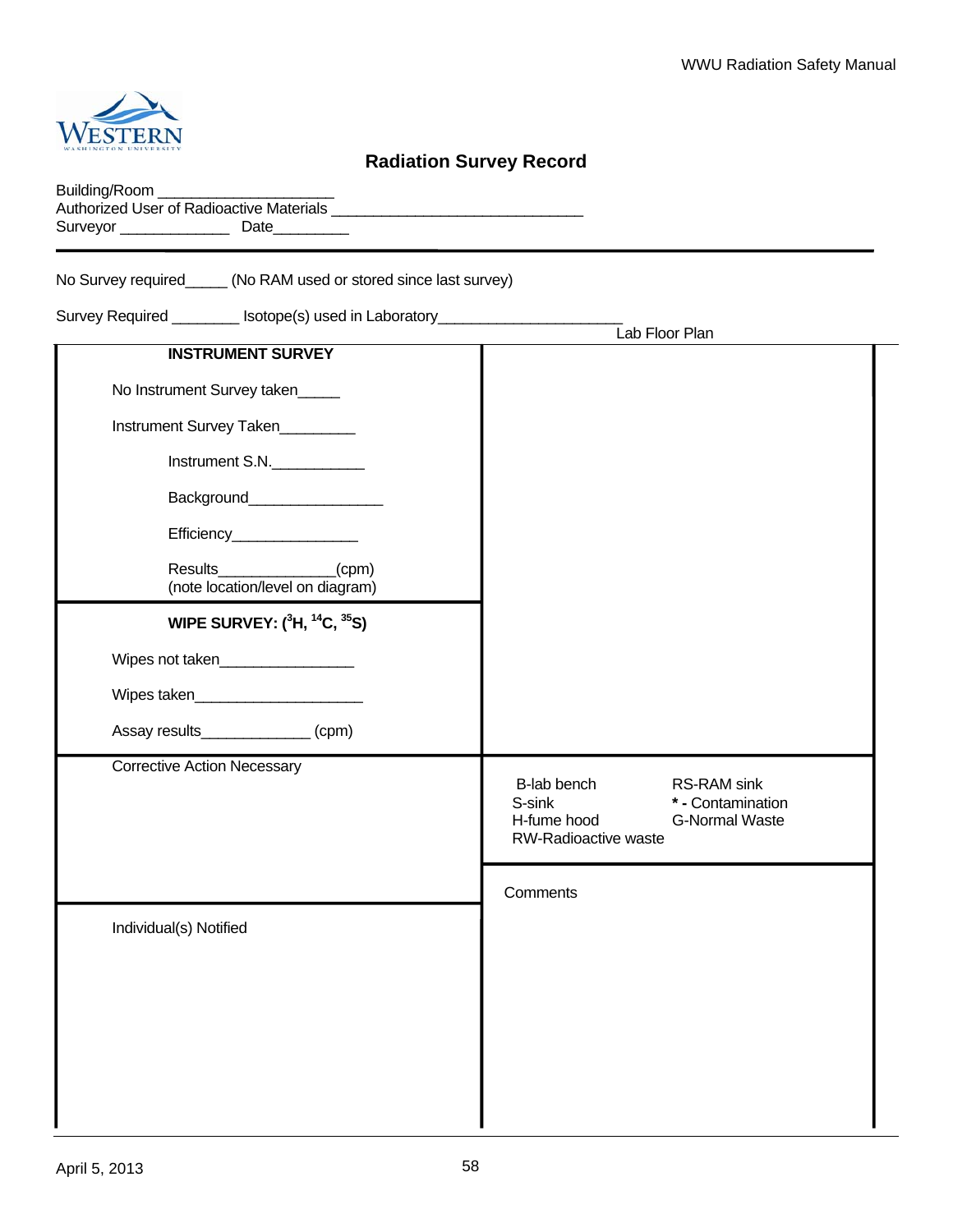

# **Radiation Survey Record**

| Building/Room                                   |      |  |
|-------------------------------------------------|------|--|
| <b>Authorized User of Radioactive Materials</b> |      |  |
| Surveyor                                        | Date |  |

No Survey required\_\_\_\_\_ (No RAM used or stored since last survey)

Survey Required \_\_\_\_\_\_\_\_ Isotope(s) used in Laboratory\_\_\_\_\_\_\_\_\_\_\_\_\_\_\_\_\_\_\_\_\_\_

|                                                   | Lab Floor Plan                                                                                                            |
|---------------------------------------------------|---------------------------------------------------------------------------------------------------------------------------|
| <b>INSTRUMENT SURVEY</b>                          |                                                                                                                           |
| No Instrument Survey taken                        |                                                                                                                           |
| Instrument Survey Taken                           |                                                                                                                           |
| Instrument S.N.                                   |                                                                                                                           |
|                                                   |                                                                                                                           |
| Efficiency___________________                     |                                                                                                                           |
| Results (cpm)<br>(note location/level on diagram) |                                                                                                                           |
| WIPE SURVEY: $(^{3}H, ^{14}C, ^{35}S)$            |                                                                                                                           |
| Wipes not taken__________________                 |                                                                                                                           |
| Wipes taken                                       |                                                                                                                           |
| Assay results______________(cpm)                  |                                                                                                                           |
| <b>Corrective Action Necessary</b>                | B-lab bench<br>RS-RAM sink<br>S-sink<br>* - Contamination<br>H-fume hood<br><b>G-Normal Waste</b><br>RW-Radioactive waste |
|                                                   | Comments                                                                                                                  |
| Individual(s) Notified                            |                                                                                                                           |
|                                                   |                                                                                                                           |
|                                                   |                                                                                                                           |
|                                                   |                                                                                                                           |
|                                                   |                                                                                                                           |
|                                                   |                                                                                                                           |
|                                                   |                                                                                                                           |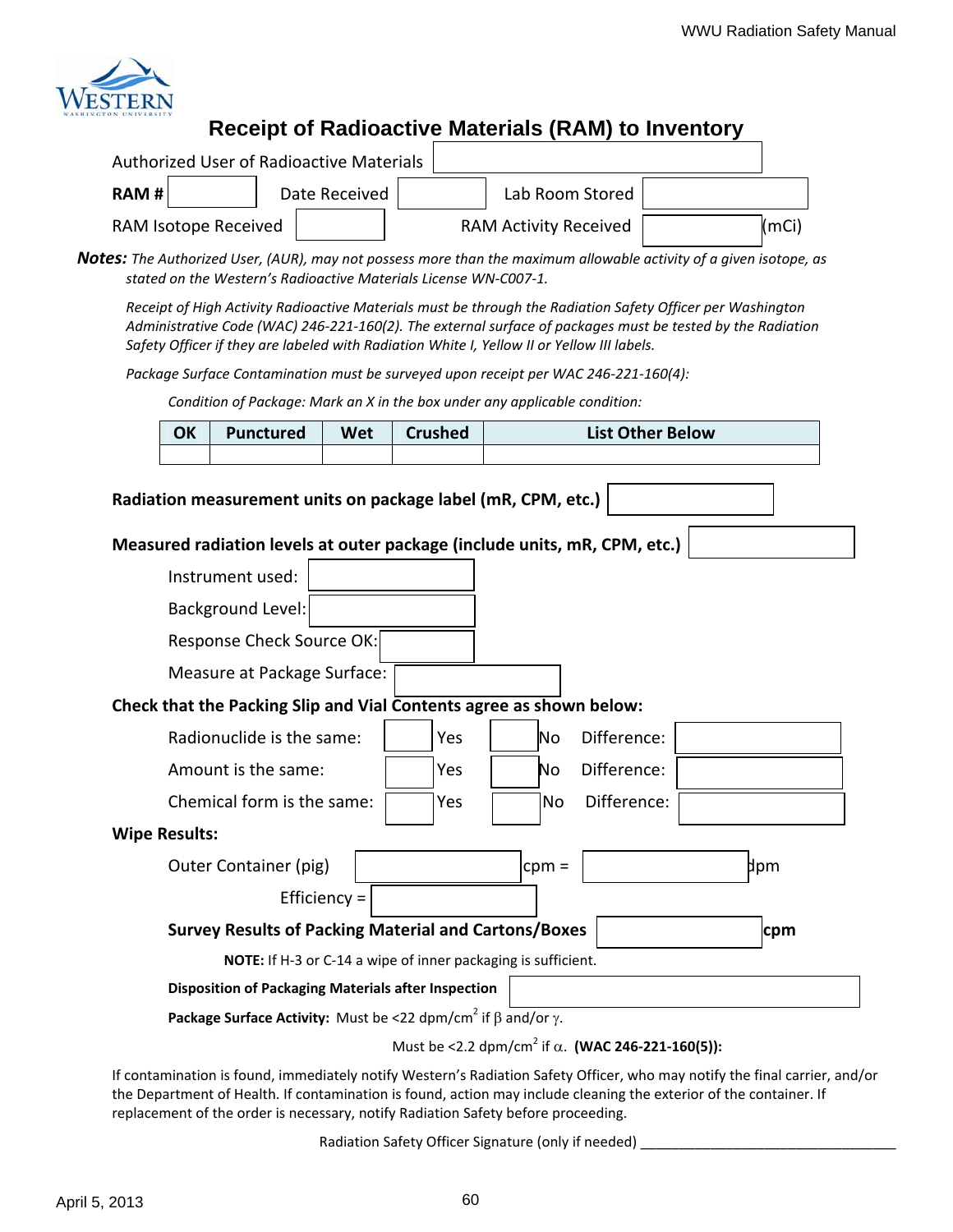

# **Receipt of Radioactive Materials (RAM) to Inventory**

| Authorized User of Radioactive Materials |               |                              |       |
|------------------------------------------|---------------|------------------------------|-------|
| RAM H                                    | Date Received | Lab Room Stored              |       |
| RAM Isotope Received                     |               | <b>RAM Activity Received</b> | (mCi) |

**Notes:** The Authorized User, (AUR), may not possess more than the maximum allowable activity of a given isotope, as *stated on the Western's Radioactive Materials License WN‐C007‐1.*

*Receipt of High Activity Radioactive Materials must be through the Radiation Safety Officer per Washington* Administrative Code (WAC) 246-221-160(2). The external surface of packages must be tested by the Radiation *Safety Officer if they are labeled with Radiation White I, Yellow II or Yellow III labels.*

*Package Surface Contamination must be surveyed upon receipt per WAC 246‐221‐160(4):*

*Condition of Package: Mark an X in the box under any applicable condition:*

| OK | <b>Punctured</b> | Wet | Crushed | <b>List Other Below</b> |
|----|------------------|-----|---------|-------------------------|
|    |                  |     |         |                         |

| Radiation measurement units on package label (mR, CPM, etc.)                                                                                                                                    |
|-------------------------------------------------------------------------------------------------------------------------------------------------------------------------------------------------|
| Measured radiation levels at outer package (include units, mR, CPM, etc.)                                                                                                                       |
| Instrument used:                                                                                                                                                                                |
| <b>Background Level:</b>                                                                                                                                                                        |
| Response Check Source OK:                                                                                                                                                                       |
| Measure at Package Surface:                                                                                                                                                                     |
| Check that the Packing Slip and Vial Contents agree as shown below:                                                                                                                             |
| Radionuclide is the same:<br>Difference:<br>Yes<br>No.                                                                                                                                          |
| Difference:<br>Amount is the same:<br>Yes<br>No                                                                                                                                                 |
| Difference:<br>Chemical form is the same:<br>Yes<br><b>No</b>                                                                                                                                   |
| <b>Wipe Results:</b>                                                                                                                                                                            |
| þpm<br>Outer Container (pig)<br>$cpm =$                                                                                                                                                         |
| Efficiency $=$                                                                                                                                                                                  |
| <b>Survey Results of Packing Material and Cartons/Boxes</b><br>cpm                                                                                                                              |
| NOTE: If H-3 or C-14 a wipe of inner packaging is sufficient.                                                                                                                                   |
| <b>Disposition of Packaging Materials after Inspection</b>                                                                                                                                      |
| Package Surface Activity: Must be <22 dpm/cm <sup>2</sup> if $\beta$ and/or $\gamma$ .                                                                                                          |
| Must be <2.2 dpm/cm <sup>2</sup> if $\alpha$ . (WAC 246-221-160(5)):<br>If contamination is found, immodiately notify Western's Padiation Safety Officer, who may notify the final carrier, and |

If contamination is found, immediately notify Western's Radiation Safety Officer, who may notify the final carrier, and/or the Department of Health. If contamination is found, action may include cleaning the exterior of the container. If replacement of the order is necessary, notify Radiation Safety before proceeding.

Radiation Safety Officer Signature (only if needed) \_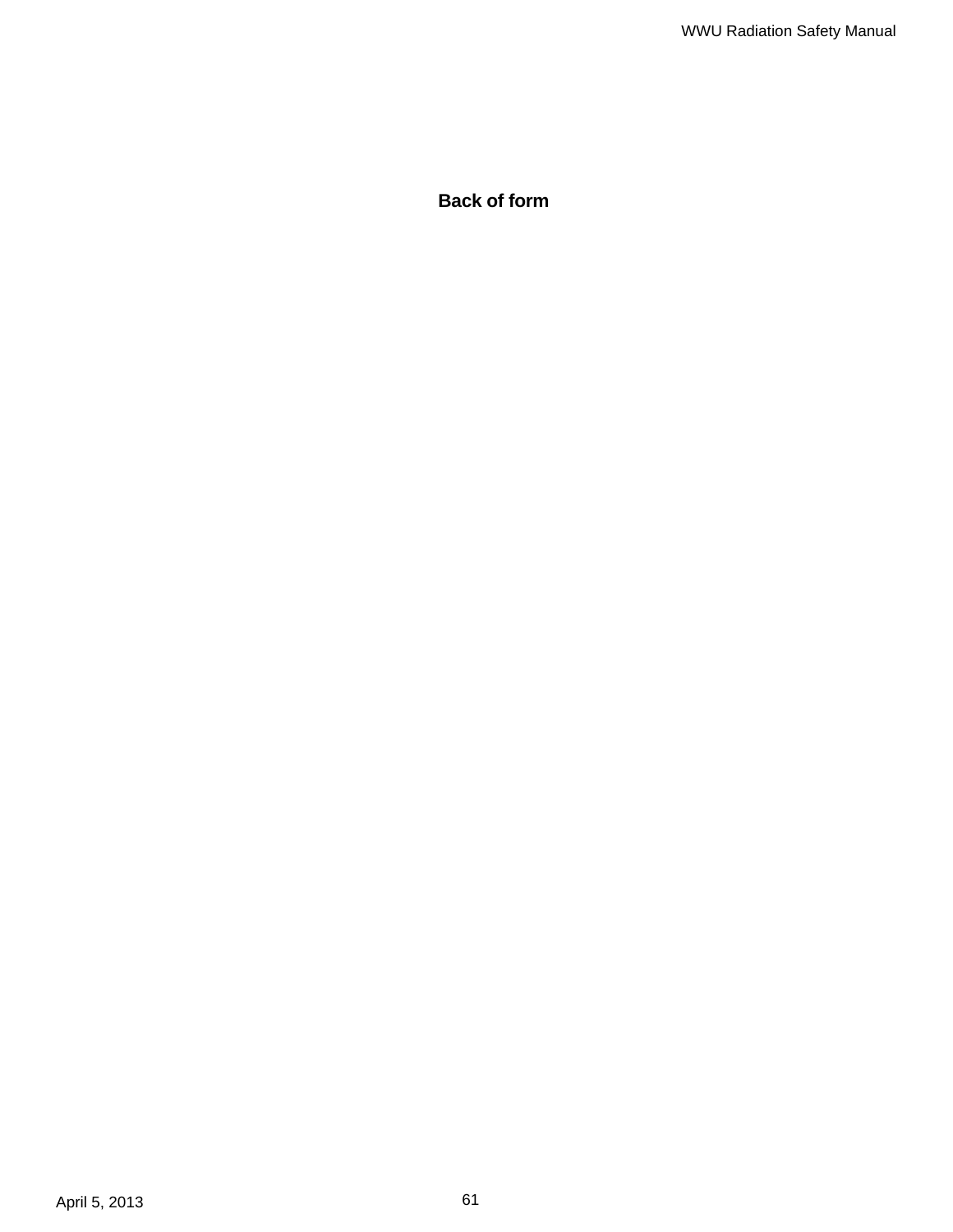**Back of form**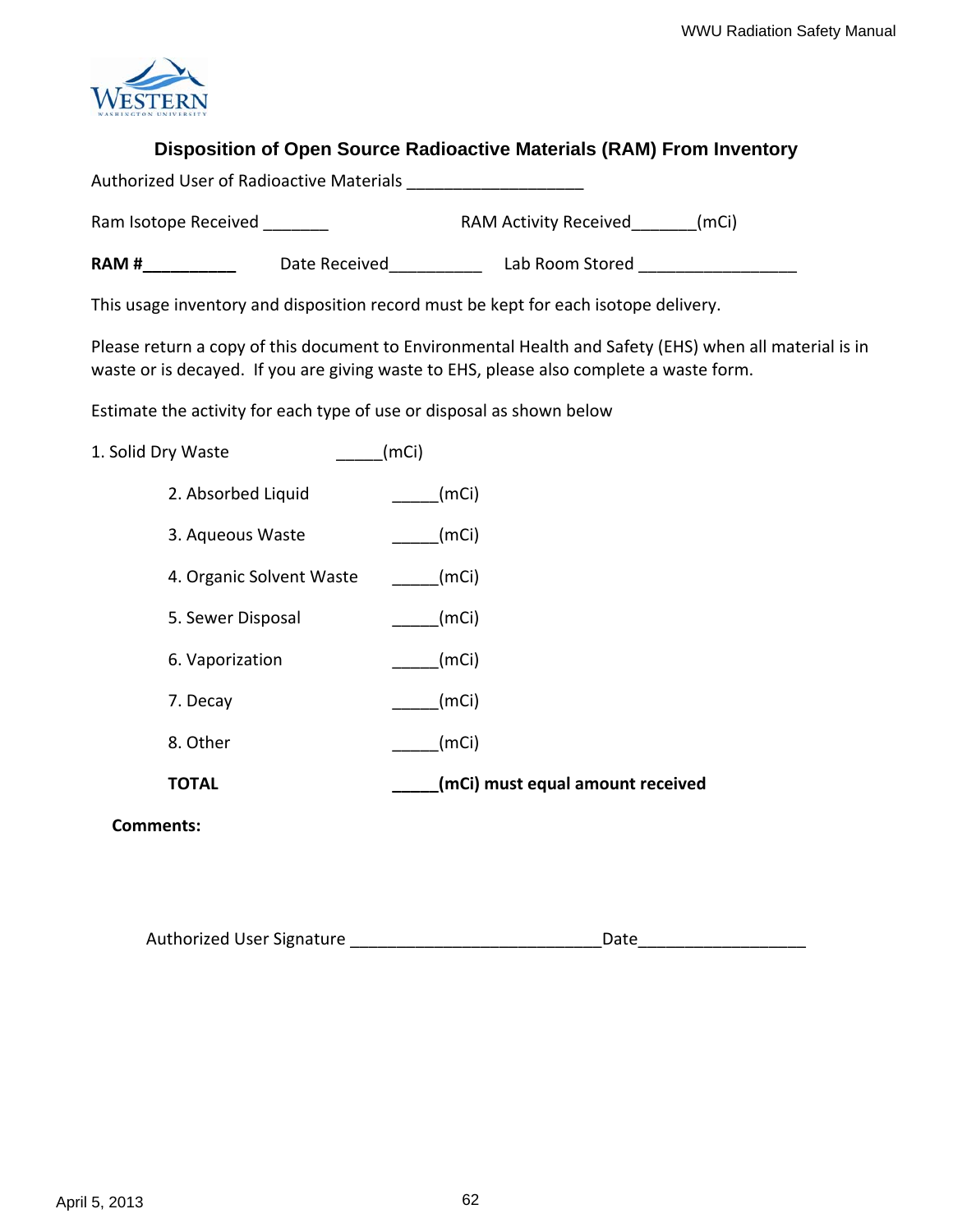

# **Disposition of Open Source Radioactive Materials (RAM) From Inventory**

| <b>Authorized User of Radioactive Materials</b> |  |
|-------------------------------------------------|--|
|                                                 |  |

Ram Isotope Received \_\_\_\_\_\_\_ RAM Activity Received\_\_\_\_\_\_\_(mCi)

**RAM #\_\_\_\_\_\_\_\_\_\_\_** Date Received\_\_\_\_\_\_\_\_\_\_ Lab Room Stored \_\_\_\_\_\_\_\_\_\_\_\_\_\_\_\_\_\_\_\_\_\_\_

This usage inventory and disposition record must be kept for each isotope delivery.

Please return a copy of this document to Environmental Health and Safety (EHS) when all material is in waste or is decayed. If you are giving waste to EHS, please also complete a waste form.

Estimate the activity for each type of use or disposal as shown below

1. Solid Dry Waste (mCi)

- 2. Absorbed Liquid \_\_\_\_\_\_\_(mCi)
- 3. Aqueous Waste (mCi)
- 4. Organic Solvent Waste (mCi)
- 5. Sewer Disposal (mCi)
- 6. Vaporization (mCi)
- 7. Decay (mCi)
- 8. Other \_\_\_\_\_(mCi)
- **TOTAL \_\_\_\_\_(mCi) must equal amount received**

**Comments:**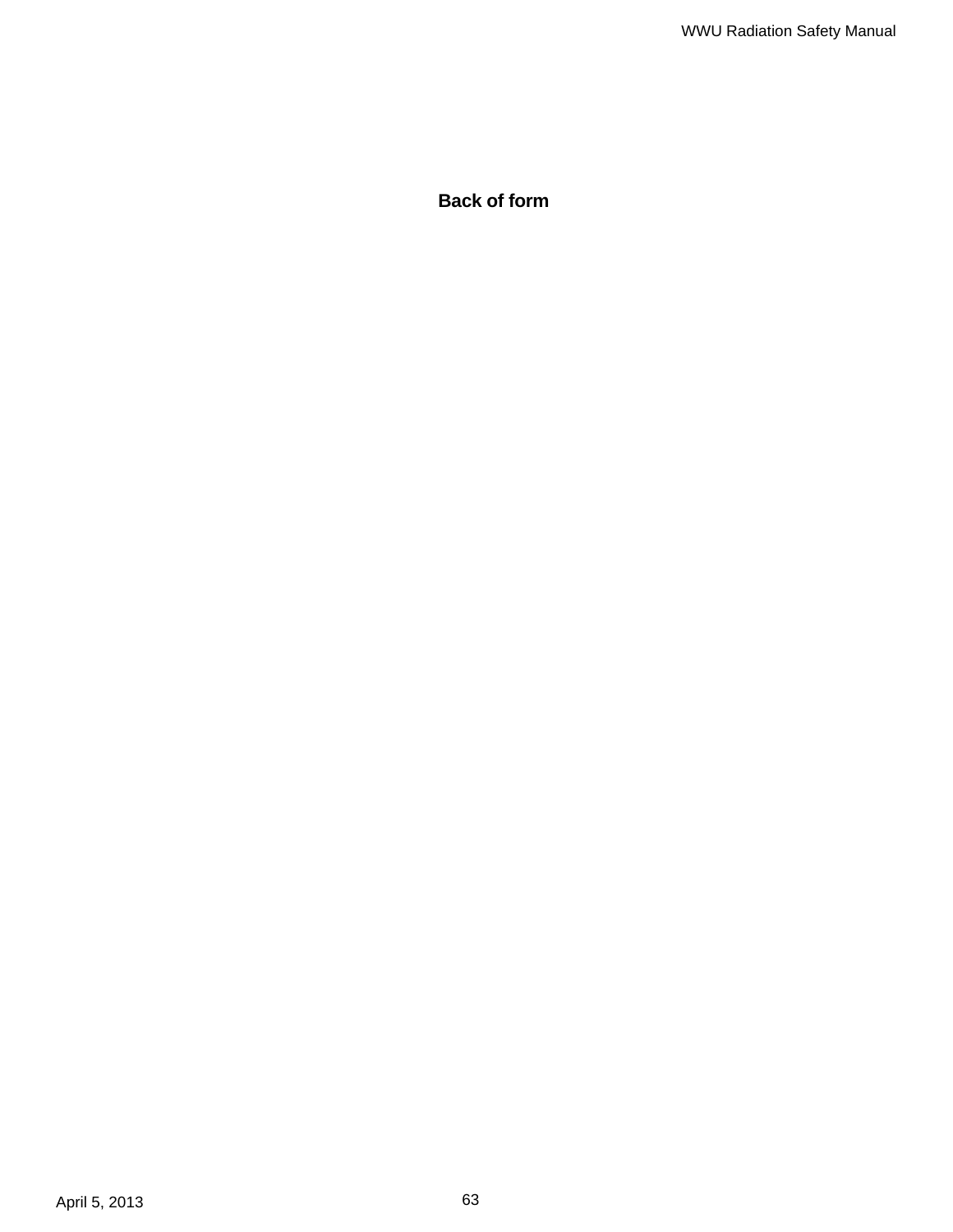**Back of form**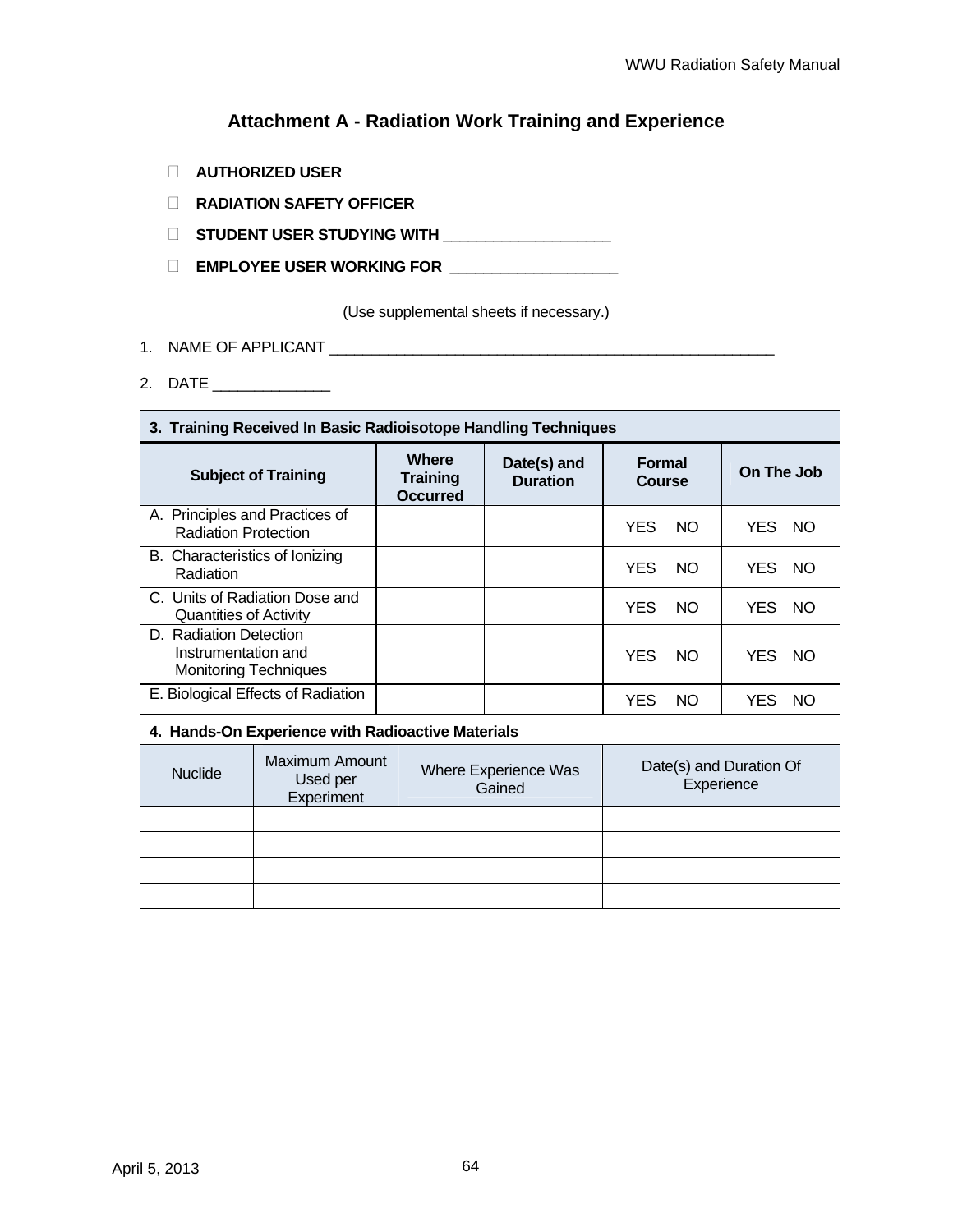# **Attachment A - Radiation Work Training and Experience**

- **AUTHORIZED USER**
- **RADIATION SAFETY OFFICER**
- **STUDENT USER STUDYING WITH \_\_\_\_\_\_\_\_\_\_\_\_\_\_\_\_\_\_\_\_**
- **EMPLOYEE USER WORKING FOR \_\_\_\_\_\_\_\_\_\_\_\_\_\_\_\_\_\_\_\_**

(Use supplemental sheets if necessary.)

- 1. NAME OF APPLICANT \_\_\_\_\_\_\_\_\_\_\_\_\_\_\_\_\_\_\_\_\_\_\_\_\_\_\_\_\_\_\_\_\_\_\_\_\_\_\_\_\_\_\_\_\_\_\_\_\_\_\_\_\_
- 2. DATE \_\_\_\_\_\_\_\_\_\_\_\_\_\_

 $\overline{\phantom{0}}$ 

| 3. Training Received In Basic Radioisotope Handling Techniques                |                                          |                                                                                |                                |                                              |           |            |           |
|-------------------------------------------------------------------------------|------------------------------------------|--------------------------------------------------------------------------------|--------------------------------|----------------------------------------------|-----------|------------|-----------|
| <b>Subject of Training</b>                                                    |                                          | <b>Where</b><br><b>Training</b><br><b>Occurred</b>                             | Date(s) and<br><b>Duration</b> | <b>Formal</b><br><b>Course</b>               |           | On The Job |           |
| A. Principles and Practices of<br><b>Radiation Protection</b>                 |                                          |                                                                                |                                | <b>YES</b>                                   | <b>NO</b> | YES.       | <b>NO</b> |
| B. Characteristics of Ionizing<br>Radiation                                   |                                          |                                                                                |                                | <b>YES</b><br>NO.<br>YES.                    |           | NO.        |           |
| <b>Quantities of Activity</b>                                                 | C. Units of Radiation Dose and           |                                                                                |                                | <b>YES</b><br><b>NO</b><br>YES.<br><b>NO</b> |           |            |           |
| D. Radiation Detection<br>Instrumentation and<br><b>Monitoring Techniques</b> |                                          |                                                                                |                                | <b>YES</b>                                   | <b>NO</b> | YES        | NO.       |
| E. Biological Effects of Radiation                                            |                                          |                                                                                |                                | <b>YES</b>                                   | <b>NO</b> | YES.       | NO.       |
| 4. Hands-On Experience with Radioactive Materials                             |                                          |                                                                                |                                |                                              |           |            |           |
| <b>Nuclide</b>                                                                | Maximum Amount<br>Used per<br>Experiment | Date(s) and Duration Of<br><b>Where Experience Was</b><br>Experience<br>Gained |                                |                                              |           |            |           |
|                                                                               |                                          |                                                                                |                                |                                              |           |            |           |
|                                                                               |                                          |                                                                                |                                |                                              |           |            |           |
|                                                                               |                                          |                                                                                |                                |                                              |           |            |           |
|                                                                               |                                          |                                                                                |                                |                                              |           |            |           |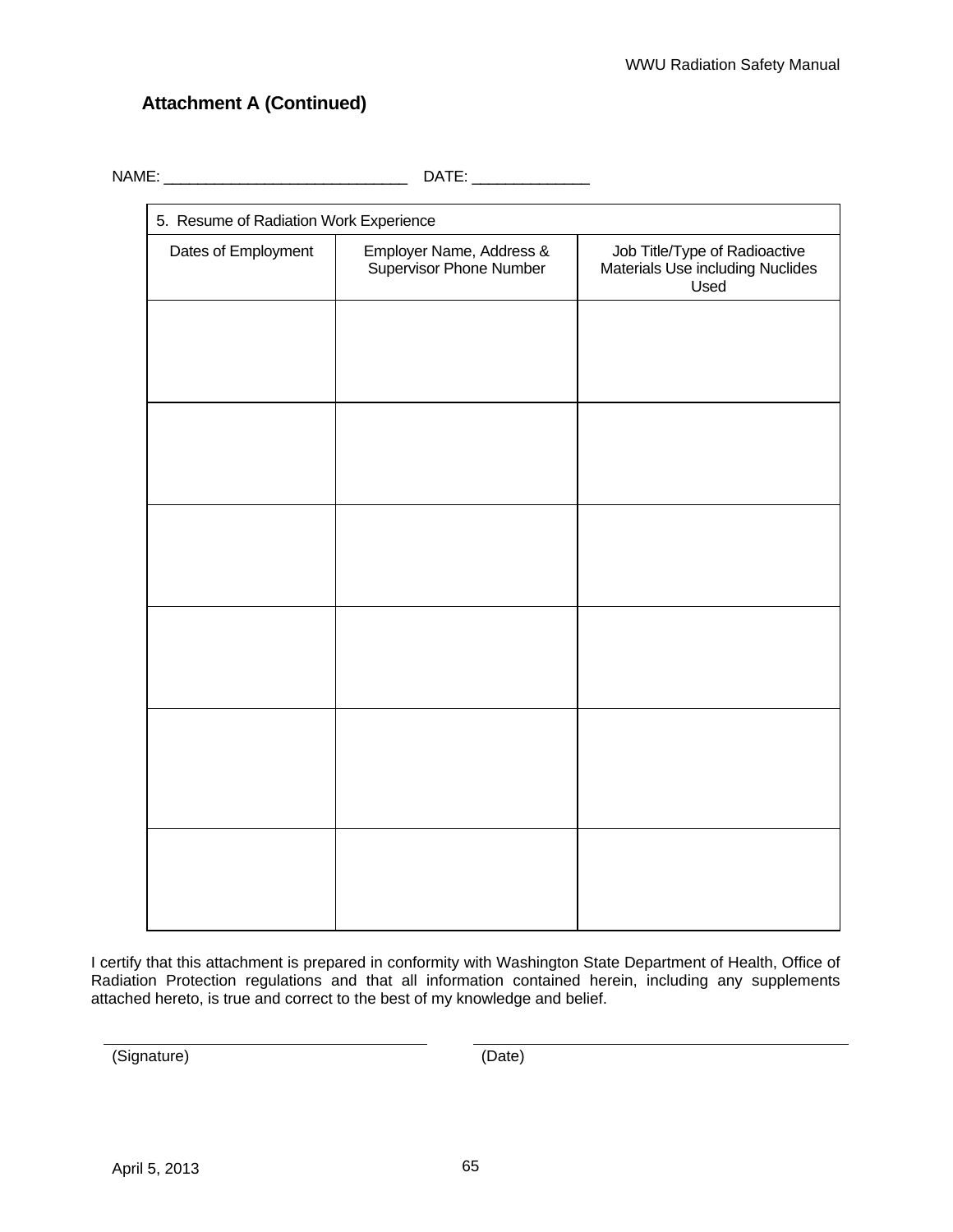# **Attachment A (Continued)**

NAME: \_\_\_\_\_\_\_\_\_\_\_\_\_\_\_\_\_\_\_\_\_\_\_\_\_\_\_\_\_ DATE: \_\_\_\_\_\_\_\_\_\_\_\_\_\_

| 5. Resume of Radiation Work Experience |                                                     |                                                                           |  |  |  |
|----------------------------------------|-----------------------------------------------------|---------------------------------------------------------------------------|--|--|--|
| Dates of Employment                    | Employer Name, Address &<br>Supervisor Phone Number | Job Title/Type of Radioactive<br>Materials Use including Nuclides<br>Used |  |  |  |
|                                        |                                                     |                                                                           |  |  |  |
|                                        |                                                     |                                                                           |  |  |  |
|                                        |                                                     |                                                                           |  |  |  |
|                                        |                                                     |                                                                           |  |  |  |
|                                        |                                                     |                                                                           |  |  |  |
|                                        |                                                     |                                                                           |  |  |  |
|                                        |                                                     |                                                                           |  |  |  |
|                                        |                                                     |                                                                           |  |  |  |
|                                        |                                                     |                                                                           |  |  |  |
|                                        |                                                     |                                                                           |  |  |  |
|                                        |                                                     |                                                                           |  |  |  |
|                                        |                                                     |                                                                           |  |  |  |

I certify that this attachment is prepared in conformity with Washington State Department of Health, Office of Radiation Protection regulations and that all information contained herein, including any supplements attached hereto, is true and correct to the best of my knowledge and belief.

(Signature) (Date)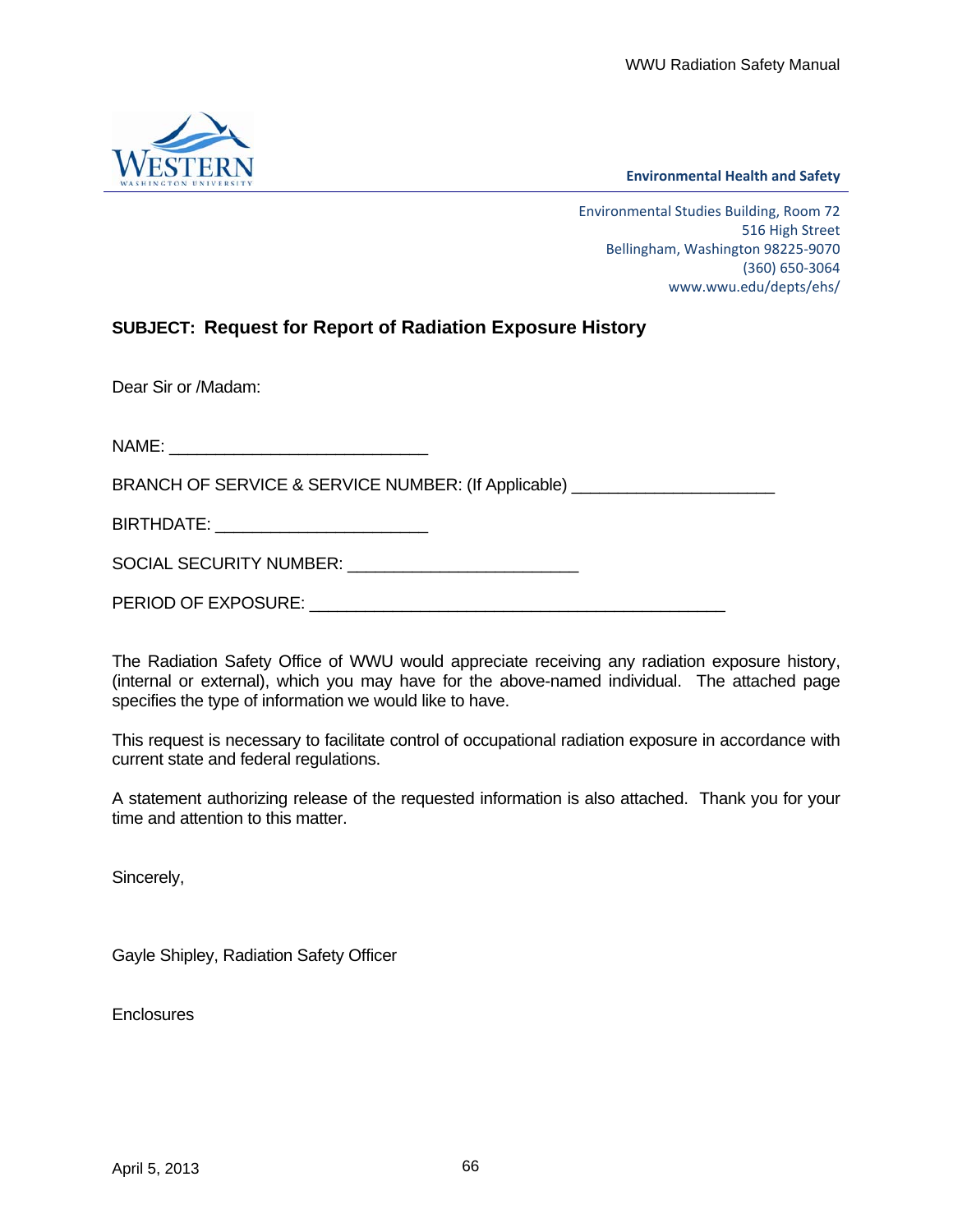

**Environmental Health and Safety**

Environmental Studies Building, Room 72 516 High Street Bellingham, Washington 98225‐9070 (360) 650‐3064 www.wwu.edu/depts/ehs/

# **SUBJECT: Request for Report of Radiation Exposure History**

Dear Sir or /Madam:

NAME:

BRANCH OF SERVICE & SERVICE NUMBER: (If Applicable)

BIRTHDATE: \_\_\_\_\_\_\_\_\_\_\_\_\_\_\_\_\_\_\_\_\_\_\_

SOCIAL SECURITY NUMBER: \_\_\_\_\_\_\_\_\_\_\_\_\_\_\_\_\_\_\_\_\_\_\_\_\_

PERIOD OF EXPOSURE: \_\_\_\_\_\_\_\_\_\_\_\_\_\_\_\_\_\_\_\_\_\_\_\_\_\_\_\_\_\_\_\_\_\_\_\_\_\_\_\_\_\_\_\_\_

The Radiation Safety Office of WWU would appreciate receiving any radiation exposure history, (internal or external), which you may have for the above-named individual. The attached page specifies the type of information we would like to have.

This request is necessary to facilitate control of occupational radiation exposure in accordance with current state and federal regulations.

A statement authorizing release of the requested information is also attached. Thank you for your time and attention to this matter.

Sincerely,

Gayle Shipley, Radiation Safety Officer

**Enclosures**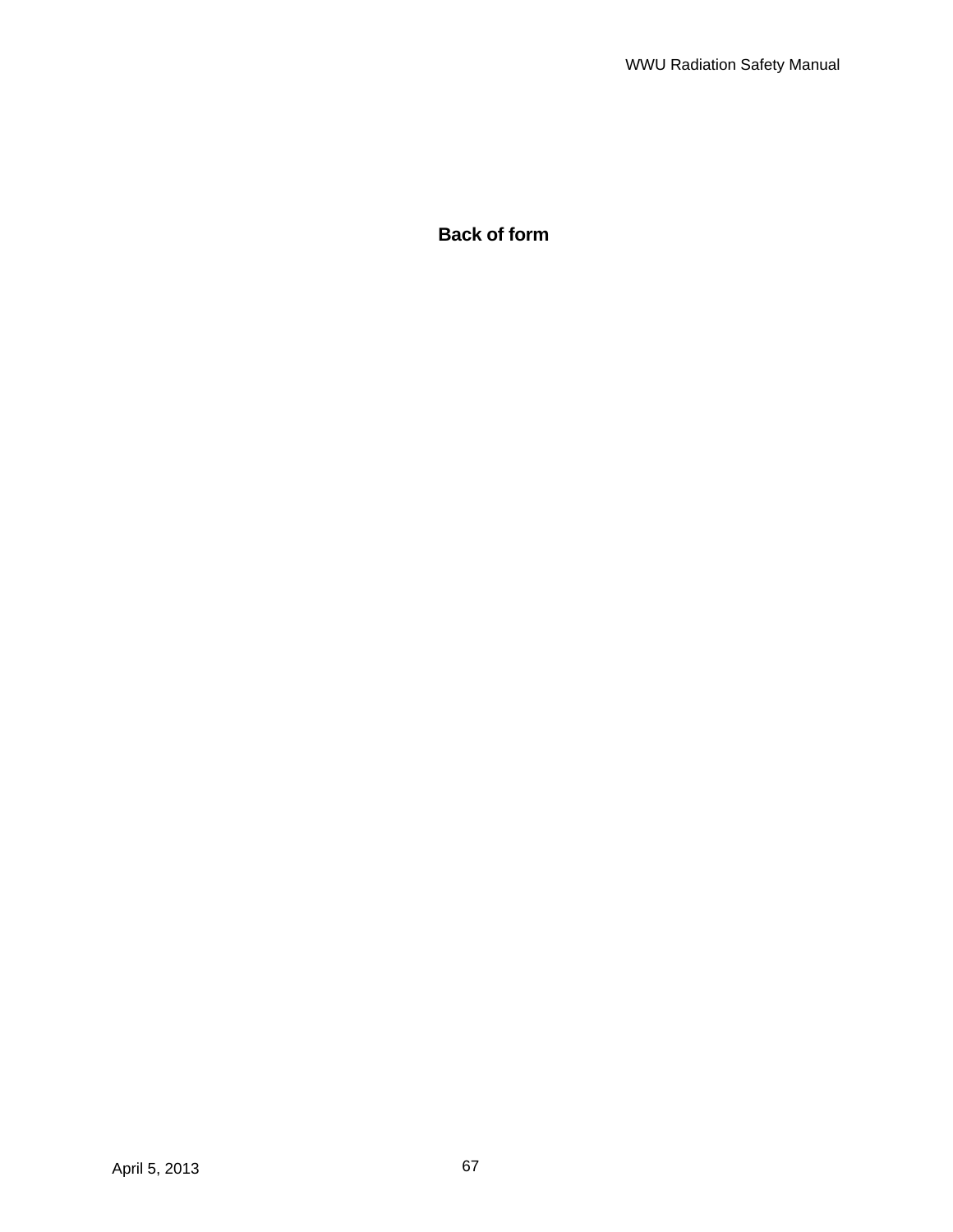**Back of form**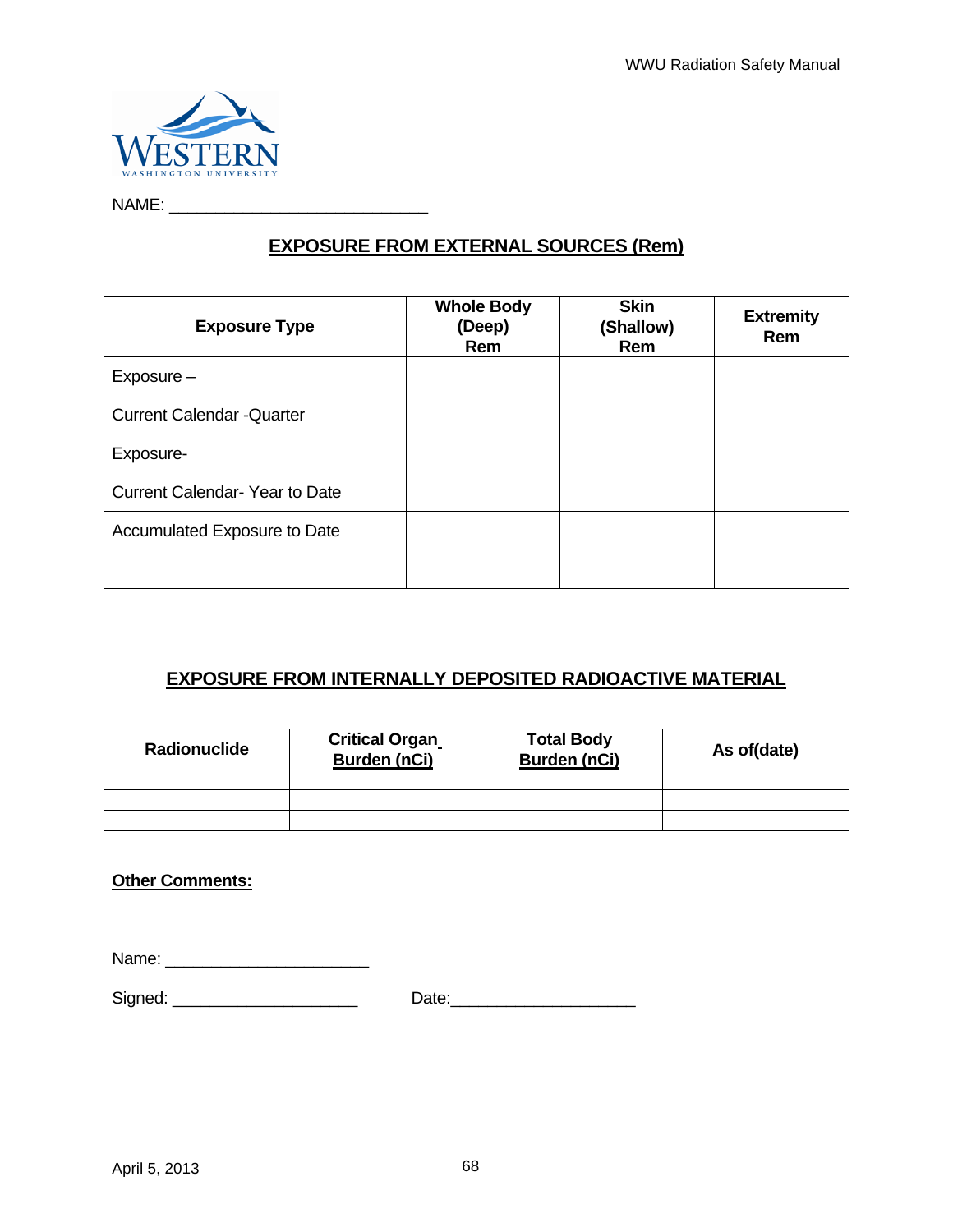

NAME: \_\_\_\_\_\_\_\_\_\_\_\_\_\_\_\_\_\_\_\_\_\_\_\_\_\_\_\_

# **EXPOSURE FROM EXTERNAL SOURCES (Rem)**

| <b>Exposure Type</b>                 | <b>Whole Body</b><br>(Deep)<br>Rem | <b>Skin</b><br>(Shallow)<br>Rem | <b>Extremity</b><br>Rem |
|--------------------------------------|------------------------------------|---------------------------------|-------------------------|
| Exposure -                           |                                    |                                 |                         |
| <b>Current Calendar - Quarter</b>    |                                    |                                 |                         |
| Exposure-                            |                                    |                                 |                         |
| <b>Current Calendar-Year to Date</b> |                                    |                                 |                         |
| Accumulated Exposure to Date         |                                    |                                 |                         |
|                                      |                                    |                                 |                         |

# **EXPOSURE FROM INTERNALLY DEPOSITED RADIOACTIVE MATERIAL**

| Radionuclide | <b>Critical Organ</b><br><b>Burden (nCi)</b> | <b>Total Body</b><br><b>Burden (nCi)</b> | As of(date) |
|--------------|----------------------------------------------|------------------------------------------|-------------|
|              |                                              |                                          |             |
|              |                                              |                                          |             |
|              |                                              |                                          |             |

## **Other Comments:**

Name: \_\_\_\_\_\_\_\_\_\_\_\_\_\_\_\_\_\_\_\_\_\_

Signed: \_\_\_\_\_\_\_\_\_\_\_\_\_\_\_\_\_\_\_\_ Date:\_\_\_\_\_\_\_\_\_\_\_\_\_\_\_\_\_\_\_\_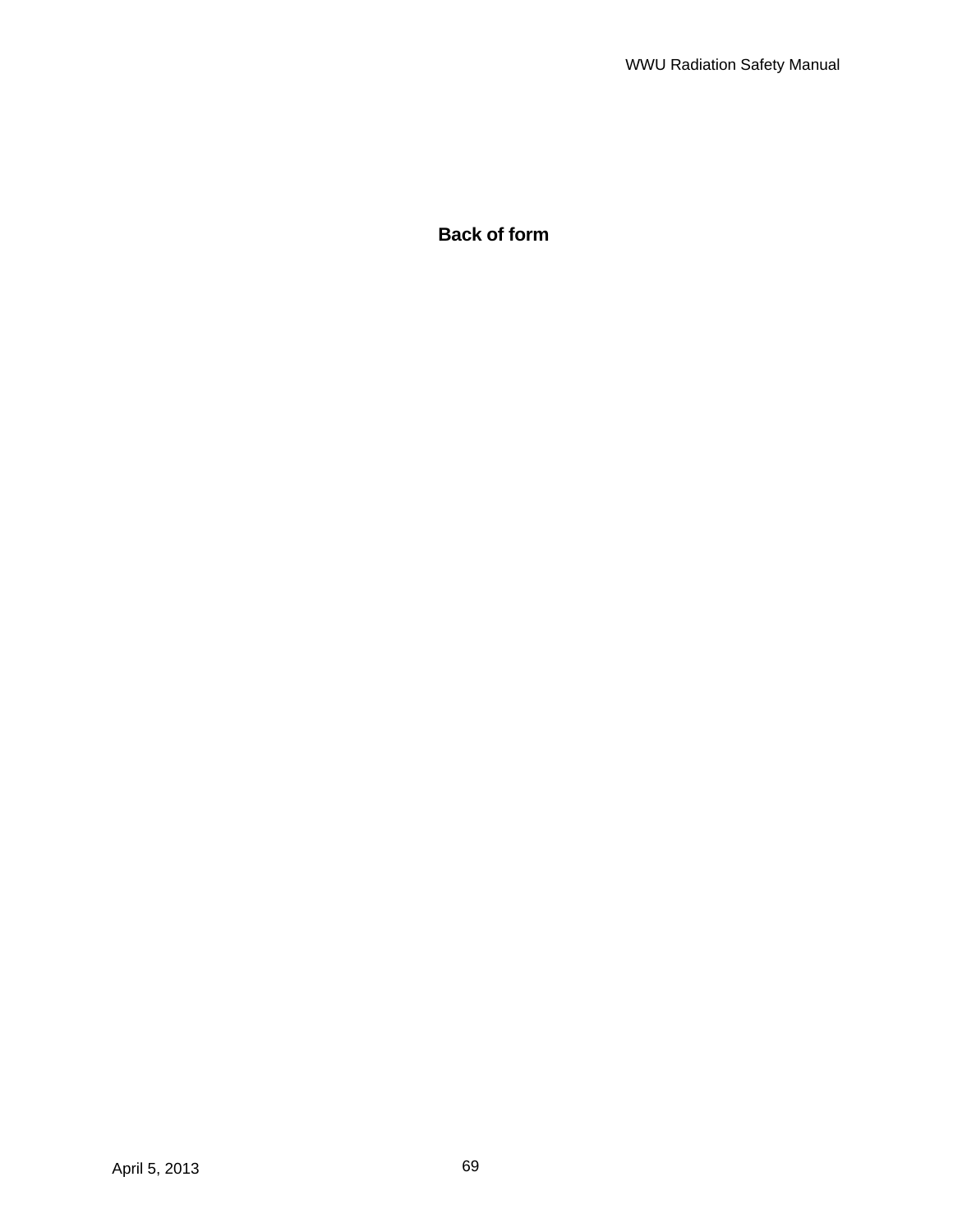**Back of form**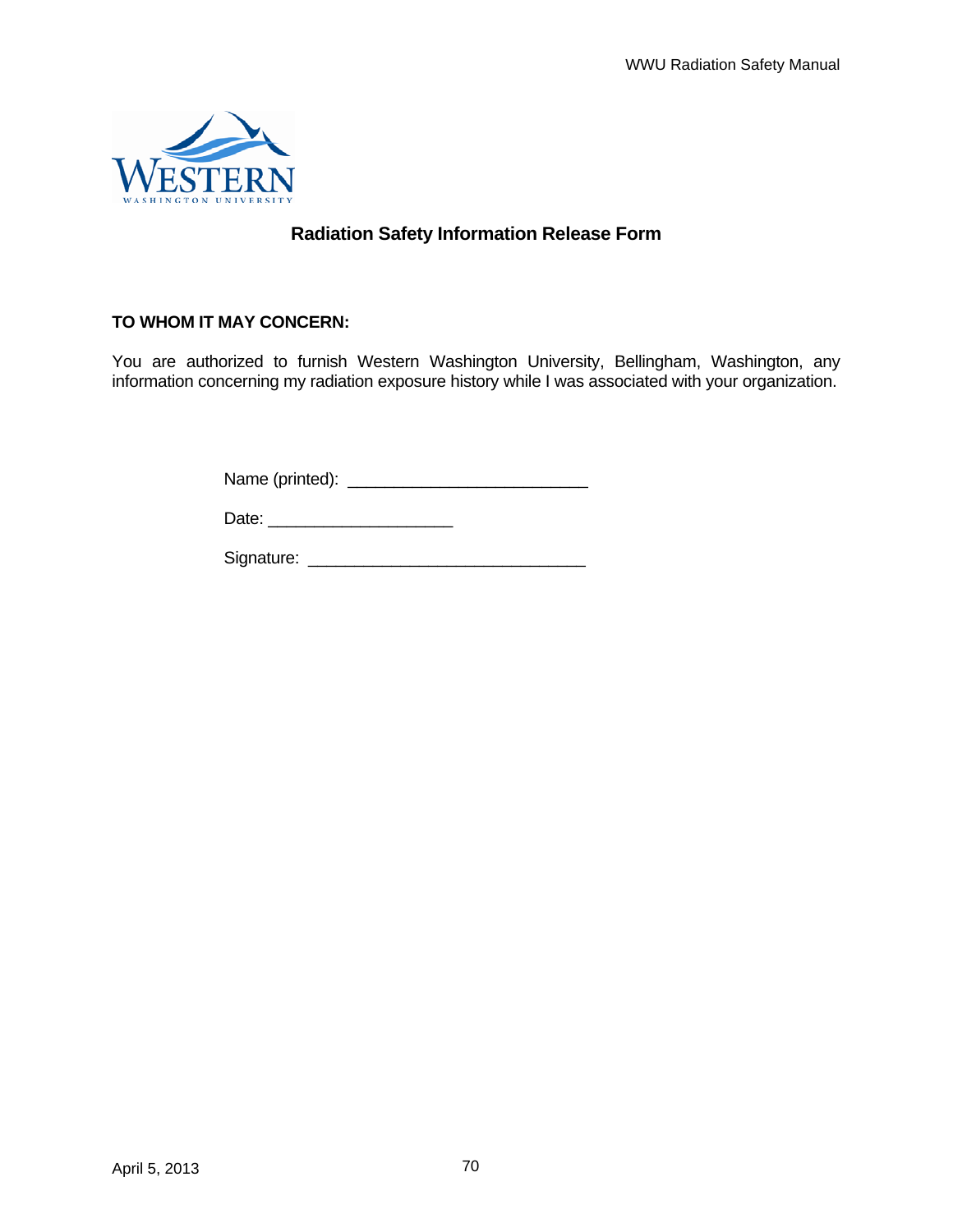

# **Radiation Safety Information Release Form**

## **TO WHOM IT MAY CONCERN:**

You are authorized to furnish Western Washington University, Bellingham, Washington, any information concerning my radiation exposure history while I was associated with your organization.

Name (printed): \_\_\_\_\_\_\_\_\_\_\_\_\_\_\_\_\_\_\_\_\_\_\_\_\_\_

Date: \_\_\_\_\_\_\_\_\_\_\_\_\_\_\_\_\_\_\_\_

Signature: \_\_\_\_\_\_\_\_\_\_\_\_\_\_\_\_\_\_\_\_\_\_\_\_\_\_\_\_\_\_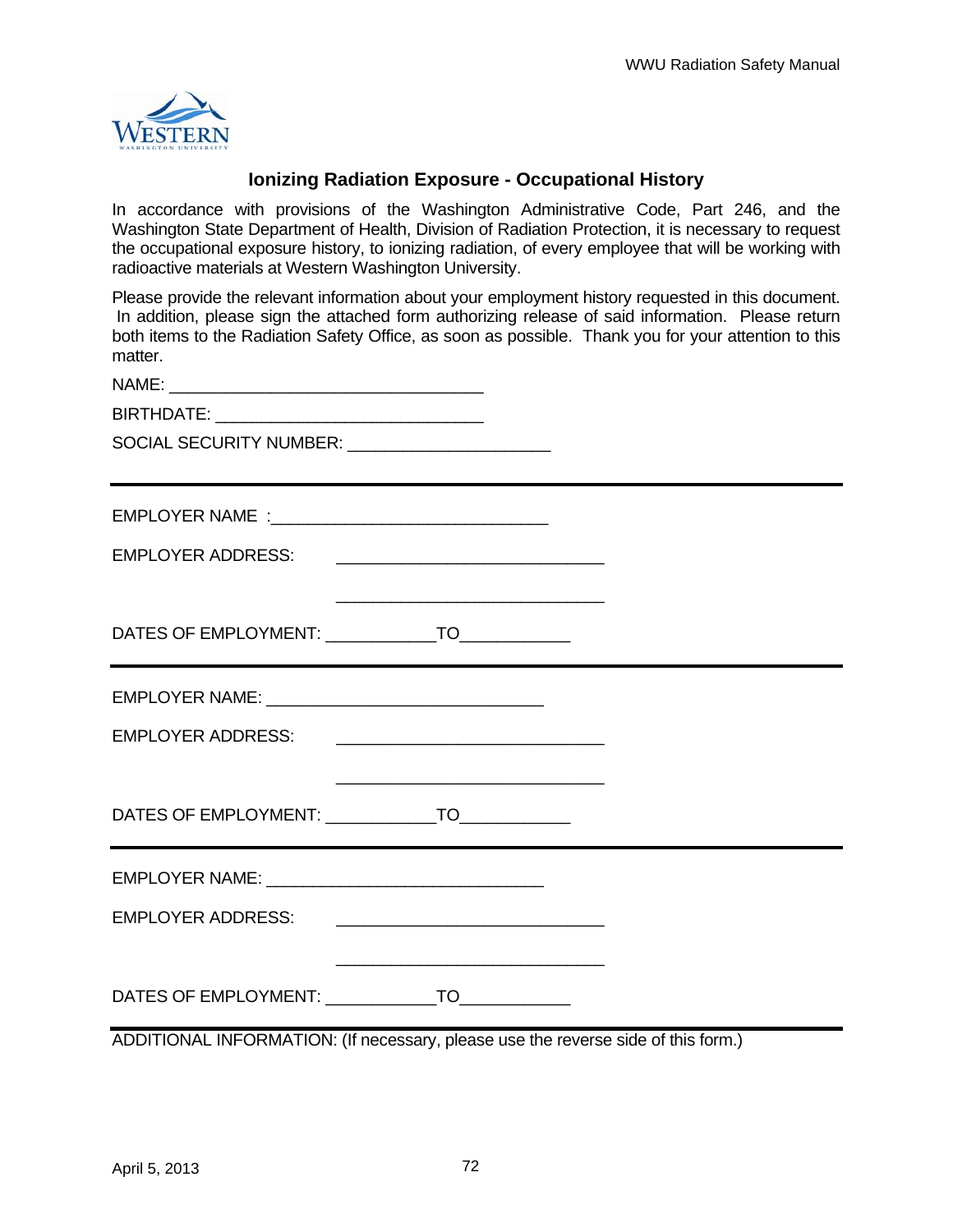

### **Ionizing Radiation Exposure - Occupational History**

In accordance with provisions of the Washington Administrative Code, Part 246, and the Washington State Department of Health, Division of Radiation Protection, it is necessary to request the occupational exposure history, to ionizing radiation, of every employee that will be working with radioactive materials at Western Washington University.

Please provide the relevant information about your employment history requested in this document. In addition, please sign the attached form authorizing release of said information. Please return both items to the Radiation Safety Office, as soon as possible. Thank you for your attention to this matter.

| <b>NAME</b> |  |  |  |
|-------------|--|--|--|
|             |  |  |  |

BIRTHDATE: \_\_\_\_\_\_\_\_\_\_\_\_\_\_\_\_\_\_\_\_\_\_\_\_\_\_\_\_\_

SOCIAL SECURITY NUMBER: \_\_\_\_\_\_\_\_\_\_\_\_\_\_\_\_\_\_\_\_\_\_

|                          | DATES OF EMPLOYMENT: _______________TO______________ |  |
|--------------------------|------------------------------------------------------|--|
|                          |                                                      |  |
|                          | EMPLOYER ADDRESS: <u>_________________________</u>   |  |
|                          |                                                      |  |
|                          | DATES OF EMPLOYMENT: _______________TO_____________  |  |
|                          |                                                      |  |
| <b>EMPLOYER ADDRESS:</b> |                                                      |  |

DATES OF EMPLOYMENT: TO

ADDITIONAL INFORMATION: (If necessary, please use the reverse side of this form.)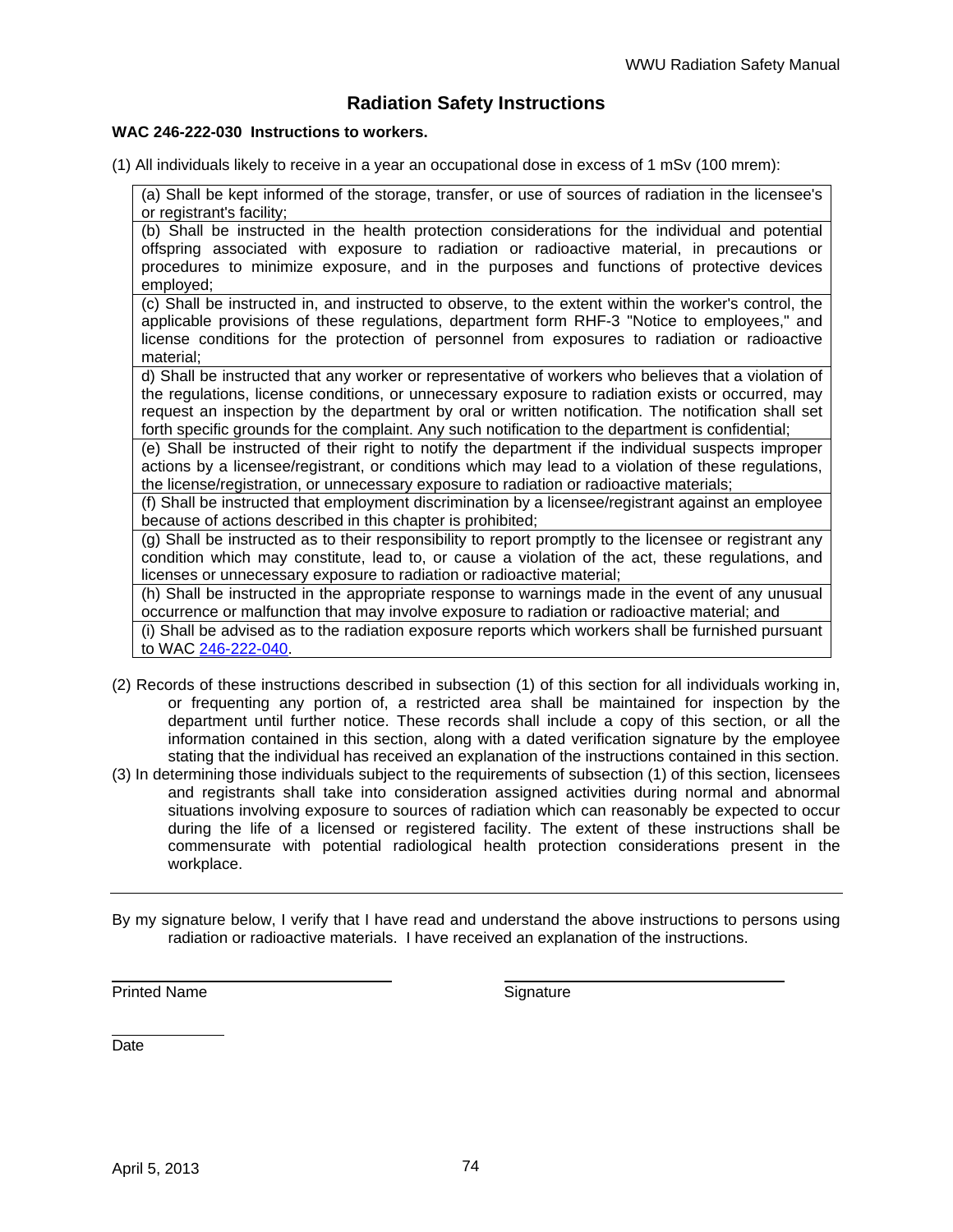### **Radiation Safety Instructions**

#### **WAC 246-222-030 Instructions to workers.**

(1) All individuals likely to receive in a year an occupational dose in excess of 1 mSv (100 mrem):

(a) Shall be kept informed of the storage, transfer, or use of sources of radiation in the licensee's or registrant's facility;

(b) Shall be instructed in the health protection considerations for the individual and potential offspring associated with exposure to radiation or radioactive material, in precautions or procedures to minimize exposure, and in the purposes and functions of protective devices employed;

(c) Shall be instructed in, and instructed to observe, to the extent within the worker's control, the applicable provisions of these regulations, department form RHF-3 "Notice to employees," and license conditions for the protection of personnel from exposures to radiation or radioactive material;

d) Shall be instructed that any worker or representative of workers who believes that a violation of the regulations, license conditions, or unnecessary exposure to radiation exists or occurred, may request an inspection by the department by oral or written notification. The notification shall set forth specific grounds for the complaint. Any such notification to the department is confidential;

(e) Shall be instructed of their right to notify the department if the individual suspects improper actions by a licensee/registrant, or conditions which may lead to a violation of these regulations, the license/registration, or unnecessary exposure to radiation or radioactive materials;

(f) Shall be instructed that employment discrimination by a licensee/registrant against an employee because of actions described in this chapter is prohibited;

(g) Shall be instructed as to their responsibility to report promptly to the licensee or registrant any condition which may constitute, lead to, or cause a violation of the act, these regulations, and licenses or unnecessary exposure to radiation or radioactive material;

(h) Shall be instructed in the appropriate response to warnings made in the event of any unusual occurrence or malfunction that may involve exposure to radiation or radioactive material; and

(i) Shall be advised as to the radiation exposure reports which workers shall be furnished pursuant to WAC 246-222-040.

- (2) Records of these instructions described in subsection (1) of this section for all individuals working in, or frequenting any portion of, a restricted area shall be maintained for inspection by the department until further notice. These records shall include a copy of this section, or all the information contained in this section, along with a dated verification signature by the employee stating that the individual has received an explanation of the instructions contained in this section.
- (3) In determining those individuals subject to the requirements of subsection (1) of this section, licensees and registrants shall take into consideration assigned activities during normal and abnormal situations involving exposure to sources of radiation which can reasonably be expected to occur during the life of a licensed or registered facility. The extent of these instructions shall be commensurate with potential radiological health protection considerations present in the workplace.
- By my signature below, I verify that I have read and understand the above instructions to persons using radiation or radioactive materials. I have received an explanation of the instructions.

Printed Name Signature

 Date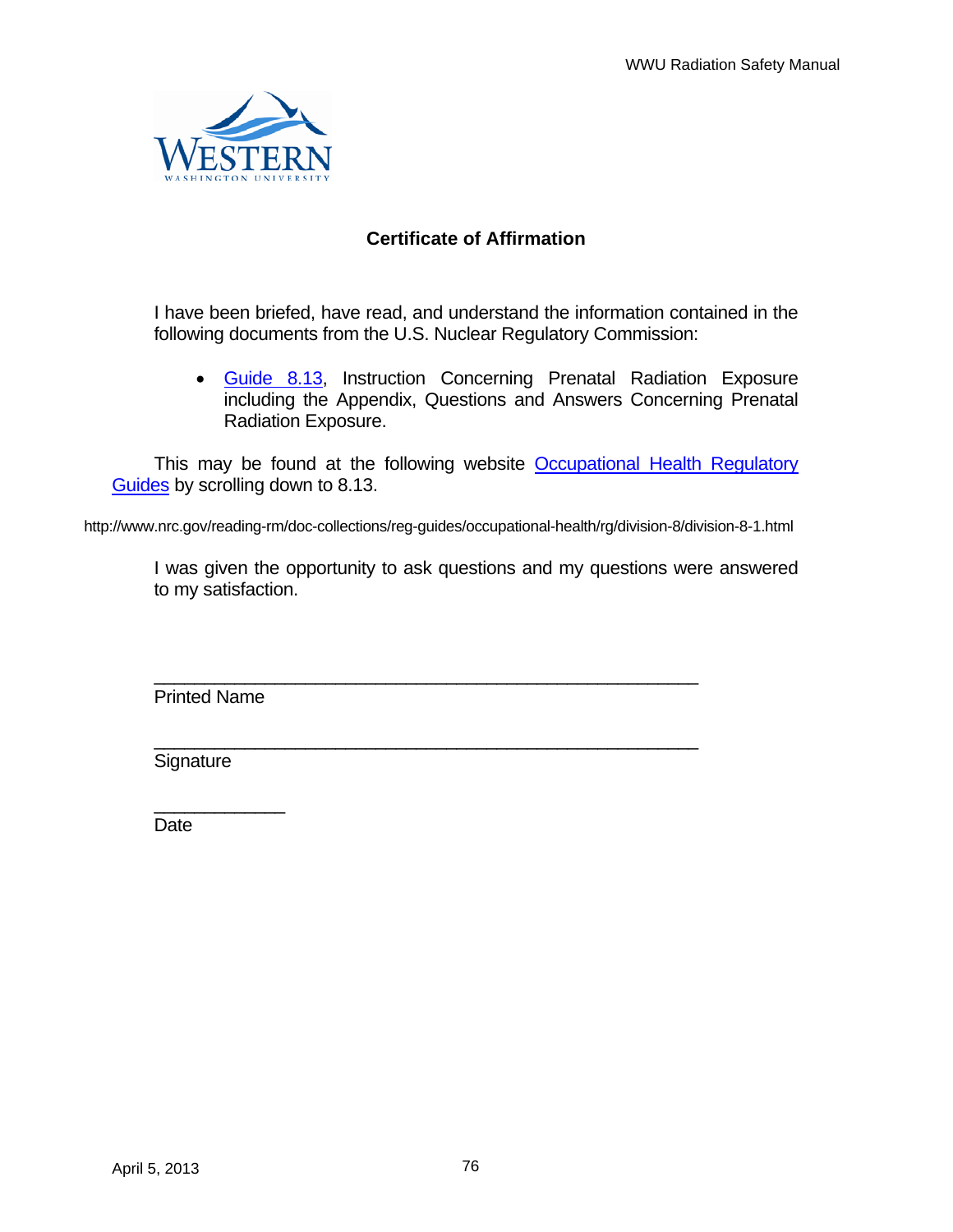

# **Certificate of Affirmation**

I have been briefed, have read, and understand the information contained in the following documents from the U.S. Nuclear Regulatory Commission:

• Guide 8.13, Instruction Concerning Prenatal Radiation Exposure including the Appendix, Questions and Answers Concerning Prenatal Radiation Exposure.

This may be found at the following website Occupational Health Regulatory Guides by scrolling down to 8.13.

http://www.nrc.gov/reading-rm/doc-collections/reg-guides/occupational-health/rg/division-8/division-8-1.html

\_\_\_\_\_\_\_\_\_\_\_\_\_\_\_\_\_\_\_\_\_\_\_\_\_\_\_\_\_\_\_\_\_\_\_\_\_\_\_\_\_\_\_\_\_\_\_\_\_\_\_\_\_\_

\_\_\_\_\_\_\_\_\_\_\_\_\_\_\_\_\_\_\_\_\_\_\_\_\_\_\_\_\_\_\_\_\_\_\_\_\_\_\_\_\_\_\_\_\_\_\_\_\_\_\_\_\_\_

I was given the opportunity to ask questions and my questions were answered to my satisfaction.

Printed Name

 $\overline{\phantom{a}}$  , we can also the contract of  $\overline{\phantom{a}}$ 

**Signature** 

**Date**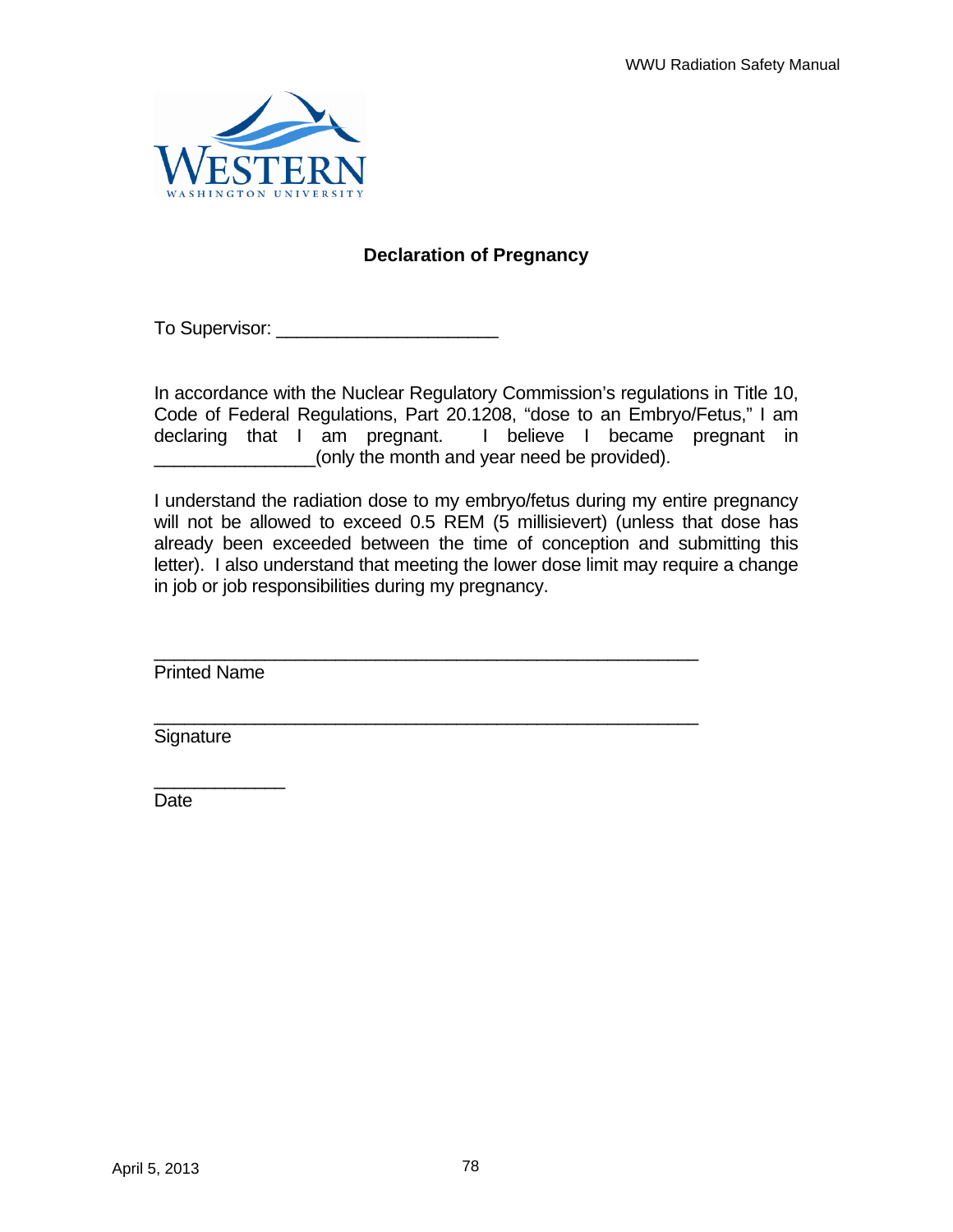

# **Declaration of Pregnancy**

To Supervisor:  $\blacksquare$ 

In accordance with the Nuclear Regulatory Commission's regulations in Title 10, Code of Federal Regulations, Part 20.1208, "dose to an Embryo/Fetus," I am declaring that I am pregnant. I believe I became pregnant in \_\_\_\_\_\_\_\_\_\_\_\_\_\_\_\_(only the month and year need be provided).

I understand the radiation dose to my embryo/fetus during my entire pregnancy will not be allowed to exceed 0.5 REM (5 millisievert) (unless that dose has already been exceeded between the time of conception and submitting this letter). I also understand that meeting the lower dose limit may require a change in job or job responsibilities during my pregnancy.

\_\_\_\_\_\_\_\_\_\_\_\_\_\_\_\_\_\_\_\_\_\_\_\_\_\_\_\_\_\_\_\_\_\_\_\_\_\_\_\_\_\_\_\_\_\_\_\_\_\_\_\_\_\_

\_\_\_\_\_\_\_\_\_\_\_\_\_\_\_\_\_\_\_\_\_\_\_\_\_\_\_\_\_\_\_\_\_\_\_\_\_\_\_\_\_\_\_\_\_\_\_\_\_\_\_\_\_\_

Printed Name

 $\overline{\phantom{a}}$  , where  $\overline{\phantom{a}}$ 

Signature

Date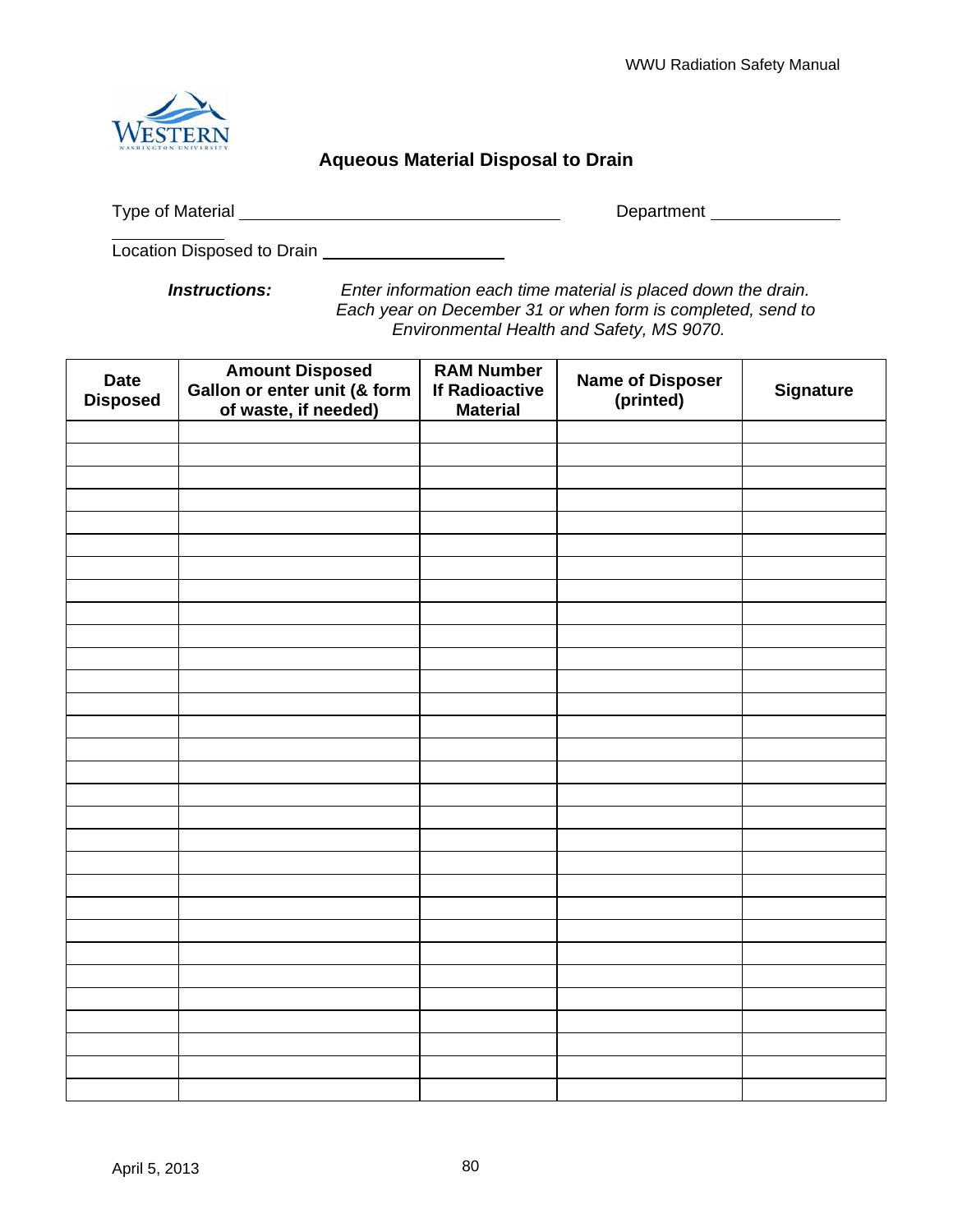

# **Aqueous Material Disposal to Drain**

Type of Material Department

 $\overline{a}$ Location Disposed to Drain

*Instructions: Enter information each time material is placed down the drain. Each year on December 31 or when form is completed, send to Environmental Health and Safety, MS 9070.* 

| <b>Date</b><br><b>Disposed</b> | <b>Amount Disposed</b><br>Gallon or enter unit (& form<br>of waste, if needed) | <b>RAM Number</b><br><b>If Radioactive</b><br><b>Material</b> | <b>Name of Disposer</b><br>(printed) | <b>Signature</b> |
|--------------------------------|--------------------------------------------------------------------------------|---------------------------------------------------------------|--------------------------------------|------------------|
|                                |                                                                                |                                                               |                                      |                  |
|                                |                                                                                |                                                               |                                      |                  |
|                                |                                                                                |                                                               |                                      |                  |
|                                |                                                                                |                                                               |                                      |                  |
|                                |                                                                                |                                                               |                                      |                  |
|                                |                                                                                |                                                               |                                      |                  |
|                                |                                                                                |                                                               |                                      |                  |
|                                |                                                                                |                                                               |                                      |                  |
|                                |                                                                                |                                                               |                                      |                  |
|                                |                                                                                |                                                               |                                      |                  |
|                                |                                                                                |                                                               |                                      |                  |
|                                |                                                                                |                                                               |                                      |                  |
|                                |                                                                                |                                                               |                                      |                  |
|                                |                                                                                |                                                               |                                      |                  |
|                                |                                                                                |                                                               |                                      |                  |
|                                |                                                                                |                                                               |                                      |                  |
|                                |                                                                                |                                                               |                                      |                  |
|                                |                                                                                |                                                               |                                      |                  |
|                                |                                                                                |                                                               |                                      |                  |
|                                |                                                                                |                                                               |                                      |                  |
|                                |                                                                                |                                                               |                                      |                  |
|                                |                                                                                |                                                               |                                      |                  |
|                                |                                                                                |                                                               |                                      |                  |
|                                |                                                                                |                                                               |                                      |                  |
|                                |                                                                                |                                                               |                                      |                  |
|                                |                                                                                |                                                               |                                      |                  |
|                                |                                                                                |                                                               |                                      |                  |
|                                |                                                                                |                                                               |                                      |                  |
|                                |                                                                                |                                                               |                                      |                  |
|                                |                                                                                |                                                               |                                      |                  |